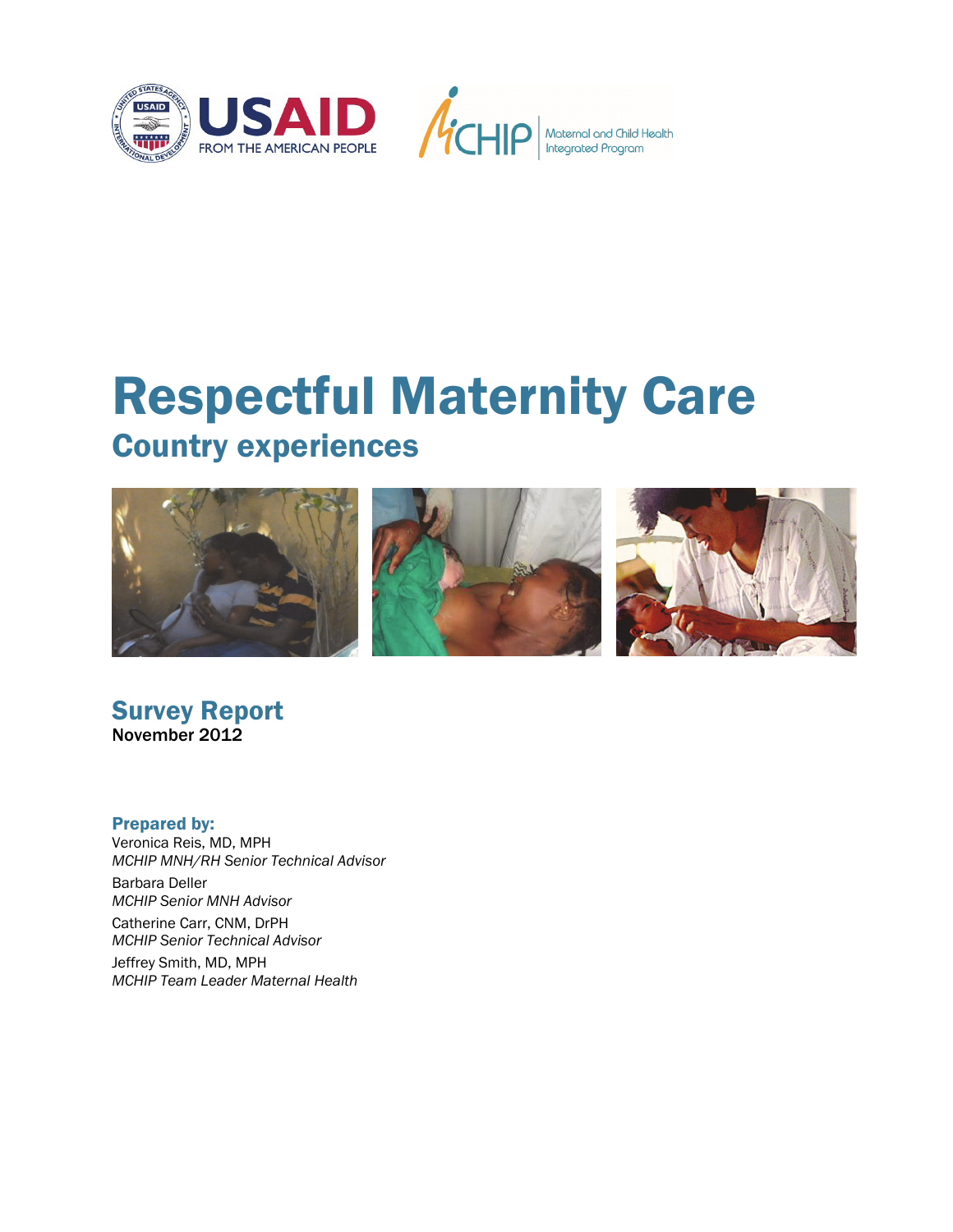



# Respectful Maternity Care Country experiences



Survey Report November 2012

#### Prepared by:

Veronica Reis, MD, MPH *MCHIP MNH/RH Senior Technical Advisor* 

Barbara Deller *MCHIP Senior MNH Advisor* 

Catherine Carr, CNM, DrPH *MCHIP Senior Technical Advisor* 

Jeffrey Smith, MD, MPH *MCHIP Team Leader Maternal Health*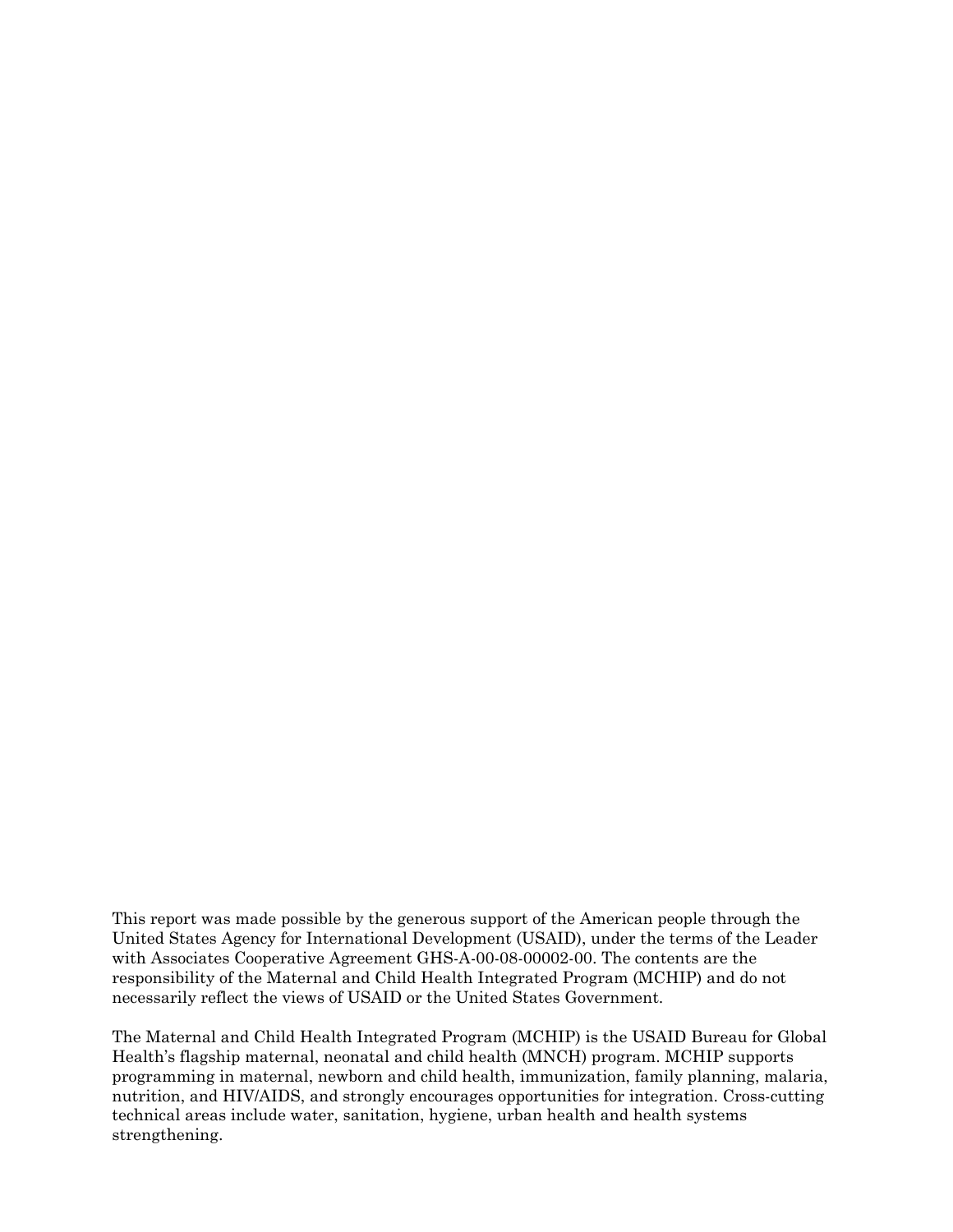This report was made possible by the generous support of the American people through the United States Agency for International Development (USAID), under the terms of the Leader with Associates Cooperative Agreement GHS-A-00-08-00002-00. The contents are the responsibility of the Maternal and Child Health Integrated Program (MCHIP) and do not necessarily reflect the views of USAID or the United States Government.

The Maternal and Child Health Integrated Program (MCHIP) is the USAID Bureau for Global Health's flagship maternal, neonatal and child health (MNCH) program. MCHIP supports programming in maternal, newborn and child health, immunization, family planning, malaria, nutrition, and HIV/AIDS, and strongly encourages opportunities for integration. Cross-cutting technical areas include water, sanitation, hygiene, urban health and health systems strengthening.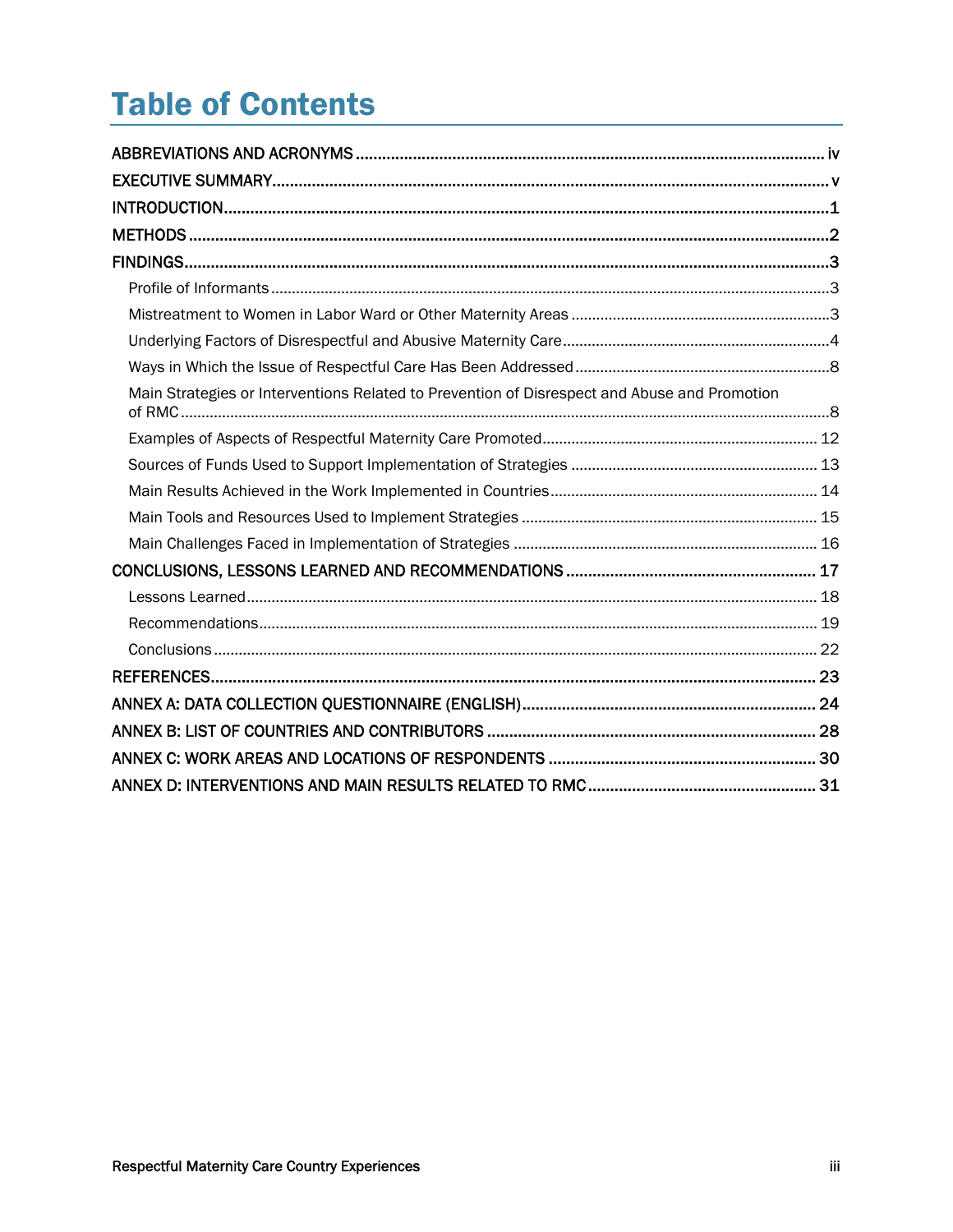## **Table of Contents**

| Main Strategies or Interventions Related to Prevention of Disrespect and Abuse and Promotion |  |
|----------------------------------------------------------------------------------------------|--|
|                                                                                              |  |
|                                                                                              |  |
|                                                                                              |  |
|                                                                                              |  |
|                                                                                              |  |
|                                                                                              |  |
|                                                                                              |  |
|                                                                                              |  |
|                                                                                              |  |
|                                                                                              |  |
|                                                                                              |  |
|                                                                                              |  |
|                                                                                              |  |
|                                                                                              |  |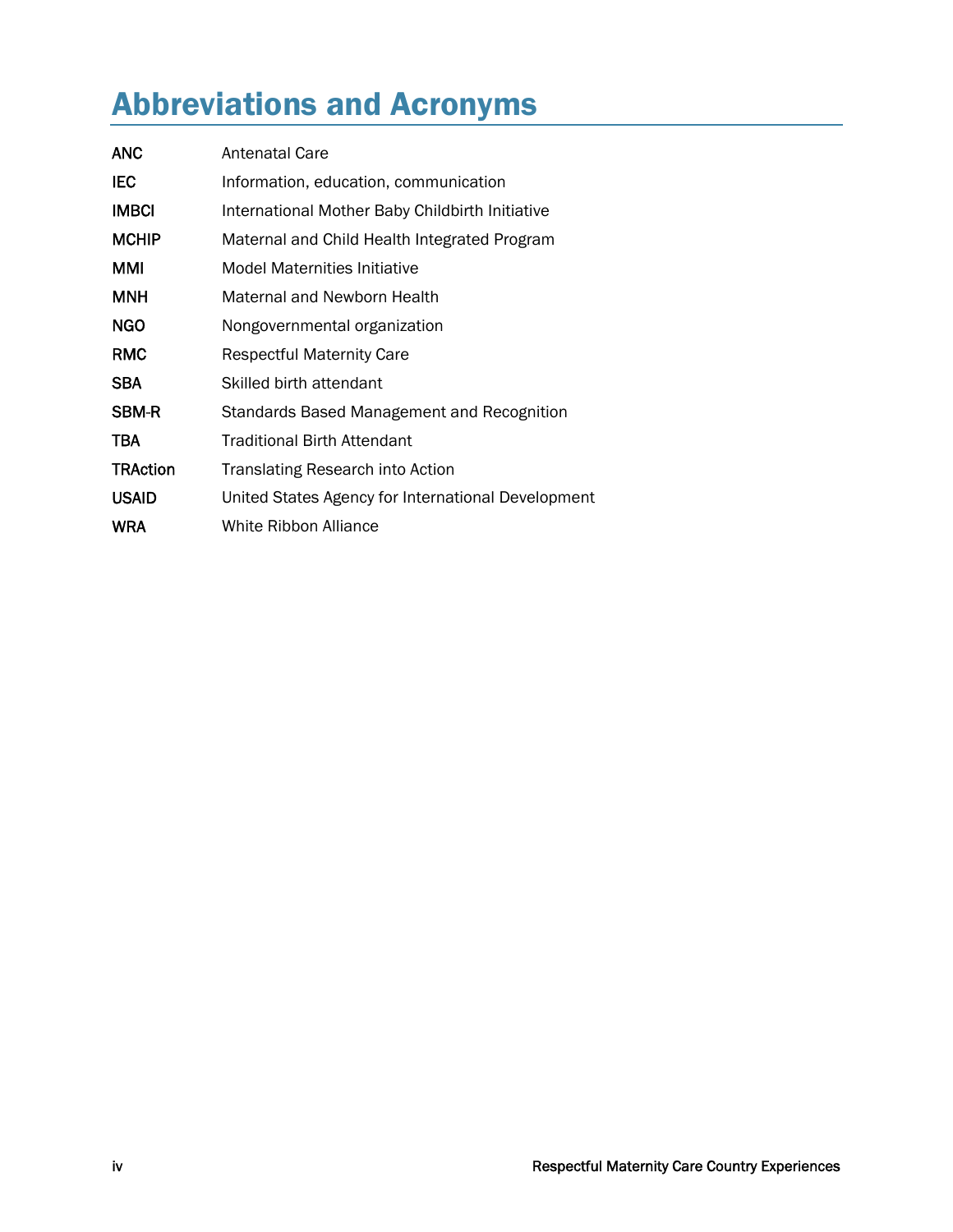## Abbreviations and Acronyms

| <b>ANC</b>      | Antenatal Care                                     |
|-----------------|----------------------------------------------------|
| IEC             | Information, education, communication              |
| <b>IMBCI</b>    | International Mother Baby Childbirth Initiative    |
| <b>MCHIP</b>    | Maternal and Child Health Integrated Program       |
| MMI             | <b>Model Maternities Initiative</b>                |
| <b>MNH</b>      | Maternal and Newborn Health                        |
| <b>NGO</b>      | Nongovernmental organization                       |
| <b>RMC</b>      | <b>Respectful Maternity Care</b>                   |
| <b>SBA</b>      | Skilled birth attendant                            |
| <b>SBM-R</b>    | Standards Based Management and Recognition         |
| TBA             | <b>Traditional Birth Attendant</b>                 |
| <b>TRAction</b> | <b>Translating Research into Action</b>            |
| <b>USAID</b>    | United States Agency for International Development |
| <b>WRA</b>      | White Ribbon Alliance                              |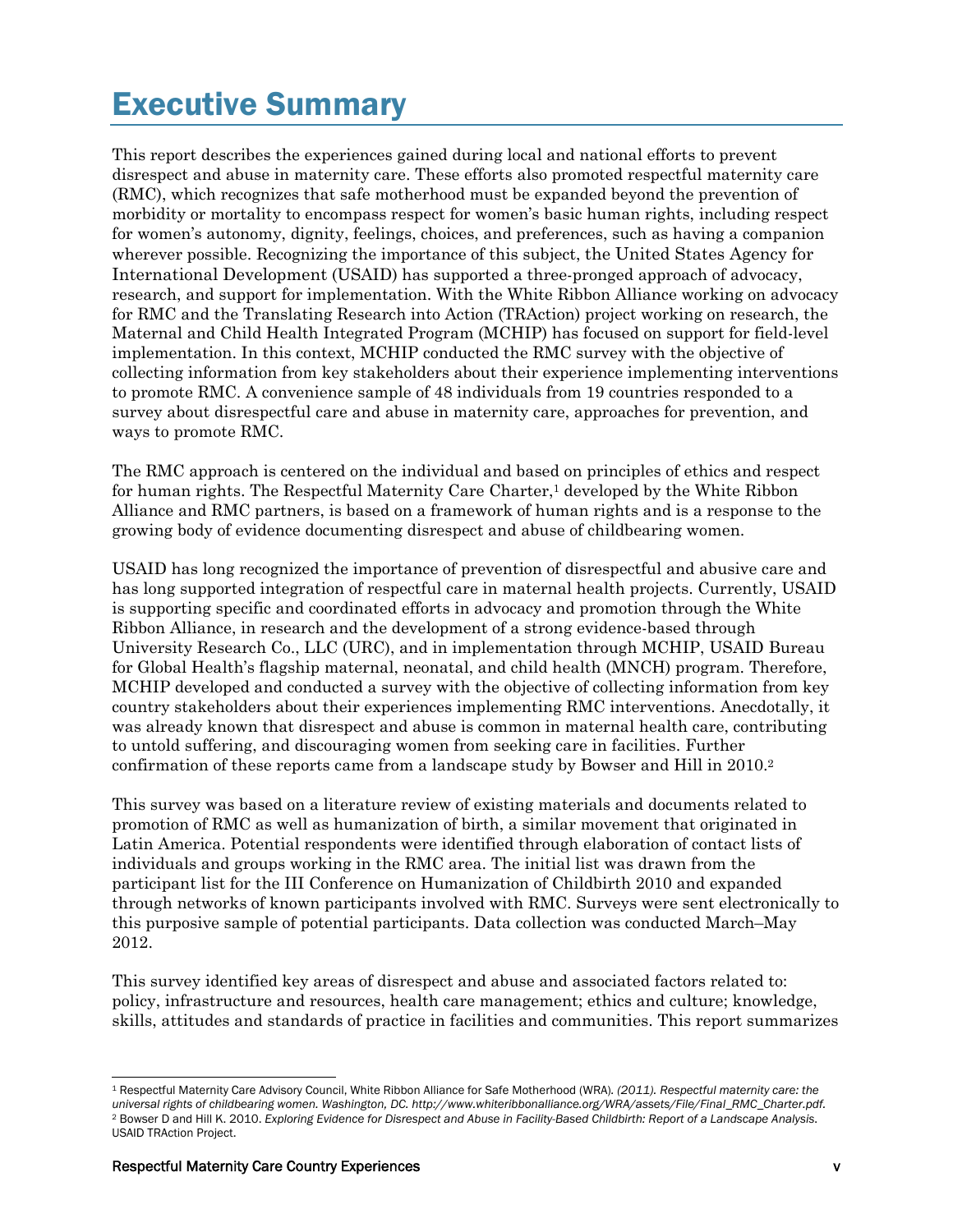## Executive Summary

This report describes the experiences gained during local and national efforts to prevent disrespect and abuse in maternity care. These efforts also promoted respectful maternity care (RMC), which recognizes that safe motherhood must be expanded beyond the prevention of morbidity or mortality to encompass respect for women's basic human rights, including respect for women's autonomy, dignity, feelings, choices, and preferences, such as having a companion wherever possible. Recognizing the importance of this subject, the United States Agency for International Development (USAID) has supported a three-pronged approach of advocacy, research, and support for implementation. With the White Ribbon Alliance working on advocacy for RMC and the Translating Research into Action (TRAction) project working on research, the Maternal and Child Health Integrated Program (MCHIP) has focused on support for field-level implementation. In this context, MCHIP conducted the RMC survey with the objective of collecting information from key stakeholders about their experience implementing interventions to promote RMC. A convenience sample of 48 individuals from 19 countries responded to a survey about disrespectful care and abuse in maternity care, approaches for prevention, and ways to promote RMC.

The RMC approach is centered on the individual and based on principles of ethics and respect for human rights. The Respectful Maternity Care Charter,<sup>1</sup> developed by the White Ribbon Alliance and RMC partners, is based on a framework of human rights and is a response to the growing body of evidence documenting disrespect and abuse of childbearing women.

USAID has long recognized the importance of prevention of disrespectful and abusive care and has long supported integration of respectful care in maternal health projects. Currently, USAID is supporting specific and coordinated efforts in advocacy and promotion through the White Ribbon Alliance, in research and the development of a strong evidence-based through University Research Co., LLC (URC), and in implementation through MCHIP, USAID Bureau for Global Health's flagship maternal, neonatal, and child health (MNCH) program. Therefore, MCHIP developed and conducted a survey with the objective of collecting information from key country stakeholders about their experiences implementing RMC interventions. Anecdotally, it was already known that disrespect and abuse is common in maternal health care, contributing to untold suffering, and discouraging women from seeking care in facilities. Further confirmation of these reports came from a landscape study by Bowser and Hill in 2010.2

This survey was based on a literature review of existing materials and documents related to promotion of RMC as well as humanization of birth, a similar movement that originated in Latin America. Potential respondents were identified through elaboration of contact lists of individuals and groups working in the RMC area. The initial list was drawn from the participant list for the III Conference on Humanization of Childbirth 2010 and expanded through networks of known participants involved with RMC. Surveys were sent electronically to this purposive sample of potential participants. Data collection was conducted March–May 2012.

This survey identified key areas of disrespect and abuse and associated factors related to: policy, infrastructure and resources, health care management; ethics and culture; knowledge, skills, attitudes and standards of practice in facilities and communities. This report summarizes

<sup>-</sup>1 Respectful Maternity Care Advisory Council, White Ribbon Alliance for Safe Motherhood (WRA)*. (2011). Respectful maternity care: the universal rights of childbearing women. Washington, DC. http://www.whiteribbonalliance.org/WRA/assets/File/Final\_RMC\_Charter.pdf.* 2 Bowser D and Hill K. 2010. *Exploring Evidence for Disrespect and Abuse in Facility-Based Childbirth: Report of a Landscape Analysis*. USAID TRAction Project.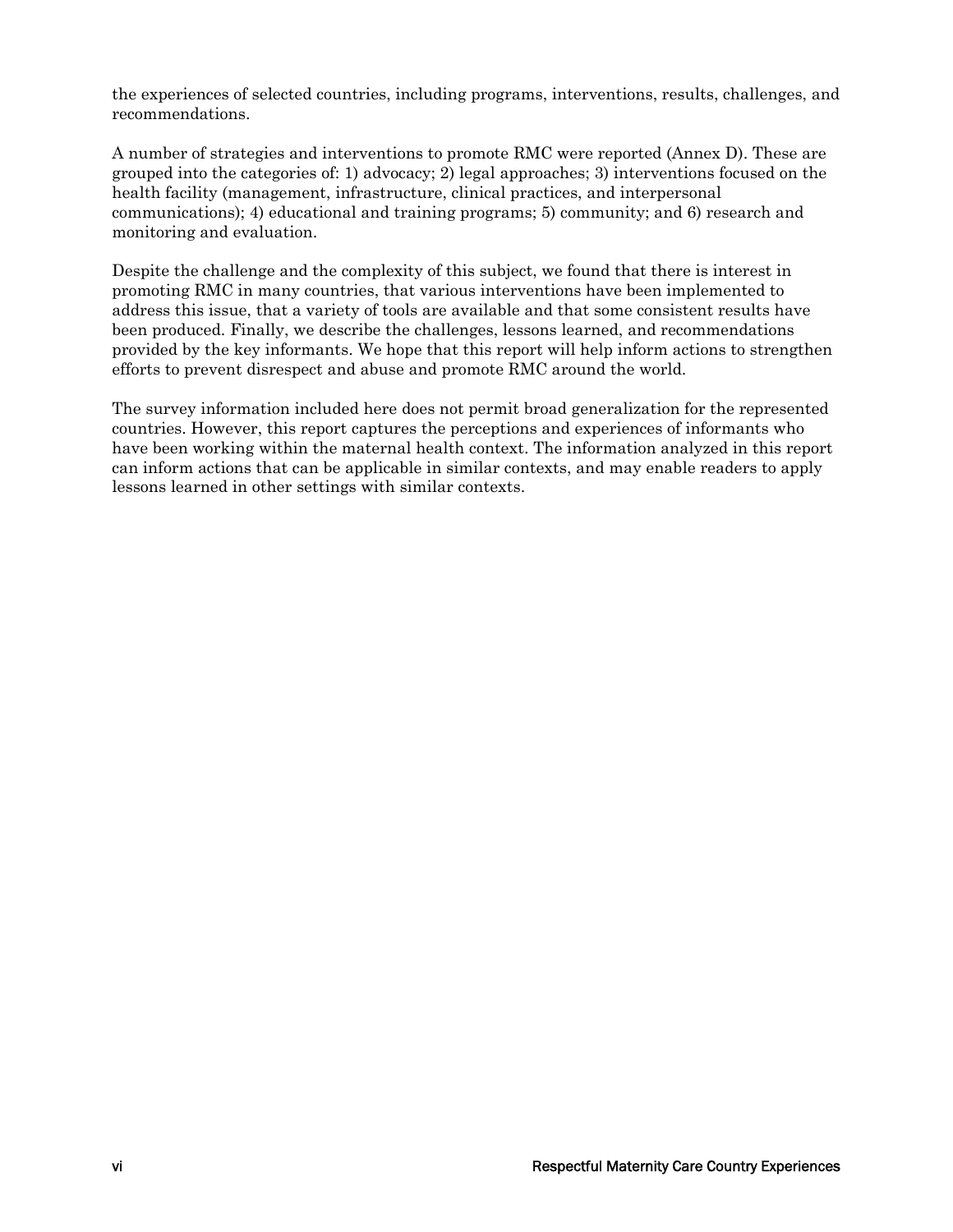the experiences of selected countries, including programs, interventions, results, challenges, and recommendations.

A number of strategies and interventions to promote RMC were reported (Annex D). These are grouped into the categories of: 1) advocacy; 2) legal approaches; 3) interventions focused on the health facility (management, infrastructure, clinical practices, and interpersonal communications); 4) educational and training programs; 5) community; and 6) research and monitoring and evaluation.

Despite the challenge and the complexity of this subject, we found that there is interest in promoting RMC in many countries, that various interventions have been implemented to address this issue, that a variety of tools are available and that some consistent results have been produced. Finally, we describe the challenges, lessons learned, and recommendations provided by the key informants. We hope that this report will help inform actions to strengthen efforts to prevent disrespect and abuse and promote RMC around the world.

The survey information included here does not permit broad generalization for the represented countries. However, this report captures the perceptions and experiences of informants who have been working within the maternal health context. The information analyzed in this report can inform actions that can be applicable in similar contexts, and may enable readers to apply lessons learned in other settings with similar contexts.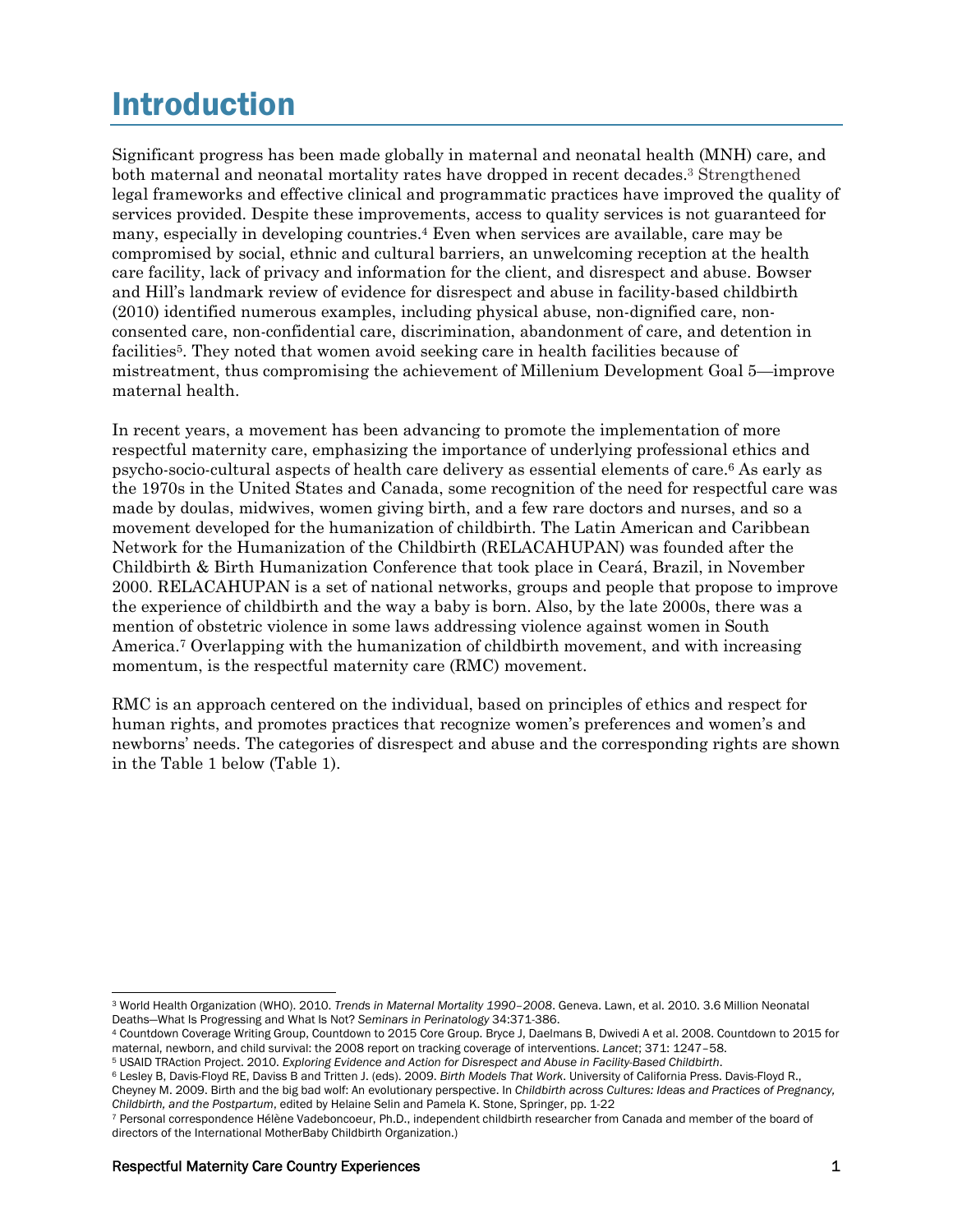## Introduction

Significant progress has been made globally in maternal and neonatal health (MNH) care, and both maternal and neonatal mortality rates have dropped in recent decades.<sup>3</sup> Strengthened legal frameworks and effective clinical and programmatic practices have improved the quality of services provided. Despite these improvements, access to quality services is not guaranteed for many, especially in developing countries.4 Even when services are available, care may be compromised by social, ethnic and cultural barriers, an unwelcoming reception at the health care facility, lack of privacy and information for the client, and disrespect and abuse. Bowser and Hill's landmark review of evidence for disrespect and abuse in facility-based childbirth (2010) identified numerous examples, including physical abuse, non-dignified care, nonconsented care, non-confidential care, discrimination, abandonment of care, and detention in facilities<sup>5</sup>. They noted that women avoid seeking care in health facilities because of mistreatment, thus compromising the achievement of Millenium Development Goal 5—improve maternal health.

In recent years, a movement has been advancing to promote the implementation of more respectful maternity care, emphasizing the importance of underlying professional ethics and psycho-socio-cultural aspects of health care delivery as essential elements of care.6 As early as the 1970s in the United States and Canada, some recognition of the need for respectful care was made by doulas, midwives, women giving birth, and a few rare doctors and nurses, and so a movement developed for the humanization of childbirth. The Latin American and Caribbean Network for the Humanization of the Childbirth (RELACAHUPAN) was founded after the Childbirth & Birth Humanization Conference that took place in Ceará, Brazil, in November 2000. RELACAHUPAN is a set of national networks, groups and people that propose to improve the experience of childbirth and the way a baby is born. Also, by the late 2000s, there was a mention of obstetric violence in some laws addressing violence against women in South America.7 Overlapping with the humanization of childbirth movement, and with increasing momentum, is the respectful maternity care (RMC) movement.

RMC is an approach centered on the individual, based on principles of ethics and respect for human rights, and promotes practices that recognize women's preferences and women's and newborns' needs. The categories of disrespect and abuse and the corresponding rights are shown in the Table 1 below (Table 1).

 $\overline{a}$ 

<sup>3</sup> World Health Organization (WHO). 2010. *Trends in Maternal Mortality 1990–2008*. Geneva. Lawn, et al. 2010. 3.6 Million Neonatal

<sup>&</sup>lt;sup>4</sup> Countdown Coverage Writing Group, Countdown to 2015 Core Group. Bryce J, Daelmans B, Dwivedi A et al. 2008. Countdown to 2015 for maternal, newborn, and child survival: the 2008 report on tracking coverage of interventions. Lancet; 371: 1247-58.<br><sup>5</sup> USAID TRAction Project. 2010. Exploring Evidence and Action for Disrespect and Abuse in Facility-Based

Cheyney M. 2009. Birth and the big bad wolf: An evolutionary perspective. In *Childbirth across Cultures: Ideas and Practices of Pregnancy,* 

<sup>7</sup> Personal correspondence Hélène Vadeboncoeur. Ph.D., independent childbirth researcher from Canada and member of the board of directors of the International MotherBaby Childbirth Organization.)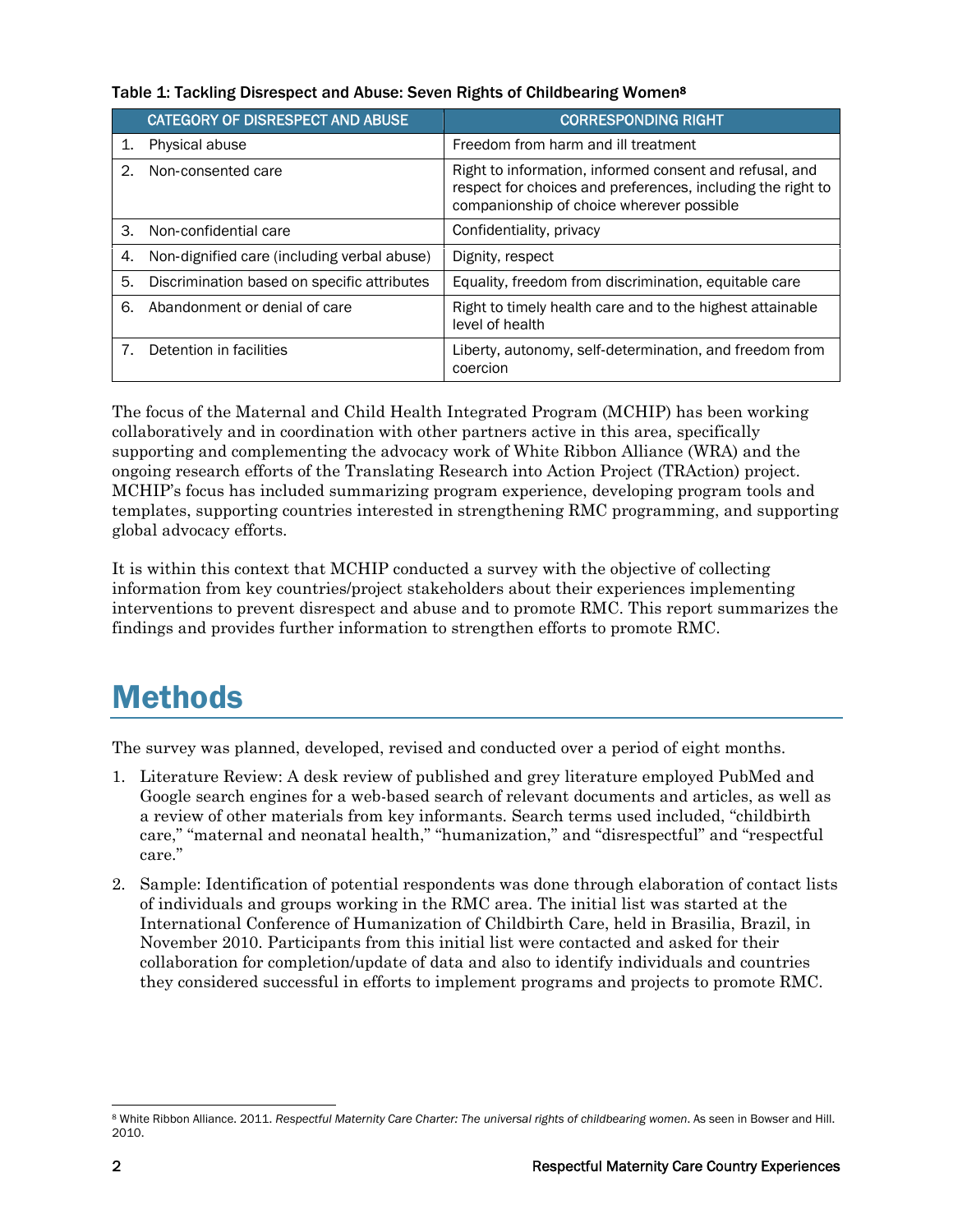|    | CATEGORY OF DISRESPECT AND ABUSE            | <b>CORRESPONDING RIGHT</b>                                                                                                                                          |
|----|---------------------------------------------|---------------------------------------------------------------------------------------------------------------------------------------------------------------------|
| 1. | Physical abuse                              | Freedom from harm and ill treatment                                                                                                                                 |
| 2. | Non-consented care                          | Right to information, informed consent and refusal, and<br>respect for choices and preferences, including the right to<br>companionship of choice wherever possible |
| 3. | Non-confidential care                       | Confidentiality, privacy                                                                                                                                            |
| 4. | Non-dignified care (including verbal abuse) | Dignity, respect                                                                                                                                                    |
| 5. | Discrimination based on specific attributes | Equality, freedom from discrimination, equitable care                                                                                                               |
| 6. | Abandonment or denial of care               | Right to timely health care and to the highest attainable<br>level of health                                                                                        |
|    | Detention in facilities                     | Liberty, autonomy, self-determination, and freedom from<br>coercion                                                                                                 |

#### Table 1: Tackling Disrespect and Abuse: Seven Rights of Childbearing Women8

The focus of the Maternal and Child Health Integrated Program (MCHIP) has been working collaboratively and in coordination with other partners active in this area, specifically supporting and complementing the advocacy work of White Ribbon Alliance (WRA) and the ongoing research efforts of the Translating Research into Action Project (TRAction) project. MCHIP's focus has included summarizing program experience, developing program tools and templates, supporting countries interested in strengthening RMC programming, and supporting global advocacy efforts.

It is within this context that MCHIP conducted a survey with the objective of collecting information from key countries/project stakeholders about their experiences implementing interventions to prevent disrespect and abuse and to promote RMC. This report summarizes the findings and provides further information to strengthen efforts to promote RMC.

## Methods

The survey was planned, developed, revised and conducted over a period of eight months.

- 1. Literature Review: A desk review of published and grey literature employed PubMed and Google search engines for a web-based search of relevant documents and articles, as well as a review of other materials from key informants. Search terms used included, "childbirth care," "maternal and neonatal health," "humanization," and "disrespectful" and "respectful care."
- 2. Sample: Identification of potential respondents was done through elaboration of contact lists of individuals and groups working in the RMC area. The initial list was started at the International Conference of Humanization of Childbirth Care, held in Brasilia, Brazil, in November 2010. Participants from this initial list were contacted and asked for their collaboration for completion/update of data and also to identify individuals and countries they considered successful in efforts to implement programs and projects to promote RMC.

l <sup>8</sup> White Ribbon Alliance. 2011. Respectful Maternity Care Charter: The universal rights of childbearing women. As seen in Bowser and Hill. 2010.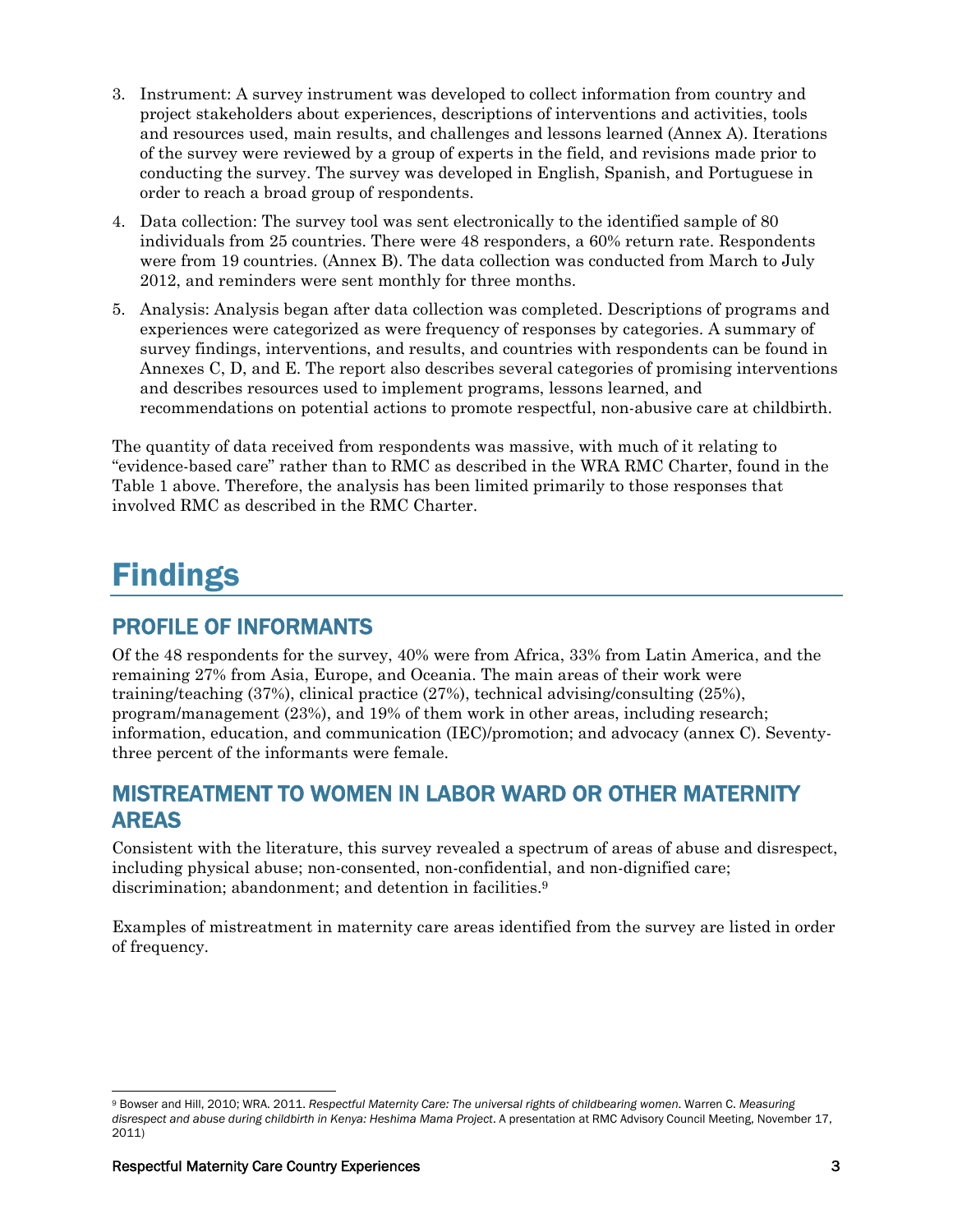- 3. Instrument: A survey instrument was developed to collect information from country and project stakeholders about experiences, descriptions of interventions and activities, tools and resources used, main results, and challenges and lessons learned (Annex A). Iterations of the survey were reviewed by a group of experts in the field, and revisions made prior to conducting the survey. The survey was developed in English, Spanish, and Portuguese in order to reach a broad group of respondents.
- 4. Data collection: The survey tool was sent electronically to the identified sample of 80 individuals from 25 countries. There were 48 responders, a 60% return rate. Respondents were from 19 countries. (Annex B). The data collection was conducted from March to July 2012, and reminders were sent monthly for three months.
- 5. Analysis: Analysis began after data collection was completed. Descriptions of programs and experiences were categorized as were frequency of responses by categories. A summary of survey findings, interventions, and results, and countries with respondents can be found in Annexes C, D, and E. The report also describes several categories of promising interventions and describes resources used to implement programs, lessons learned, and recommendations on potential actions to promote respectful, non-abusive care at childbirth.

The quantity of data received from respondents was massive, with much of it relating to "evidence-based care" rather than to RMC as described in the WRA RMC Charter, found in the Table 1 above. Therefore, the analysis has been limited primarily to those responses that involved RMC as described in the RMC Charter.

## Findings

### PROFILE OF INFORMANTS

Of the 48 respondents for the survey, 40% were from Africa, 33% from Latin America, and the remaining 27% from Asia, Europe, and Oceania. The main areas of their work were training/teaching (37%), clinical practice (27%), technical advising/consulting (25%), program/management (23%), and 19% of them work in other areas, including research; information, education, and communication (IEC)/promotion; and advocacy (annex C). Seventythree percent of the informants were female.

### MISTREATMENT TO WOMEN IN LABOR WARD OR OTHER MATERNITY AREAS

Consistent with the literature, this survey revealed a spectrum of areas of abuse and disrespect, including physical abuse; non-consented, non-confidential, and non-dignified care; discrimination; abandonment; and detention in facilities.<sup>9</sup>

Examples of mistreatment in maternity care areas identified from the survey are listed in order of frequency.

 $\overline{a}$ 9 Bowser and Hill, 2010; WRA. 2011. *Respectful Maternity Care: The universal rights of childbearing women*. Warren C. *Measuring disrespect and abuse during childbirth in Kenya: Heshima Mama Project*. A presentation at RMC Advisory Council Meeting, November 17, 2011)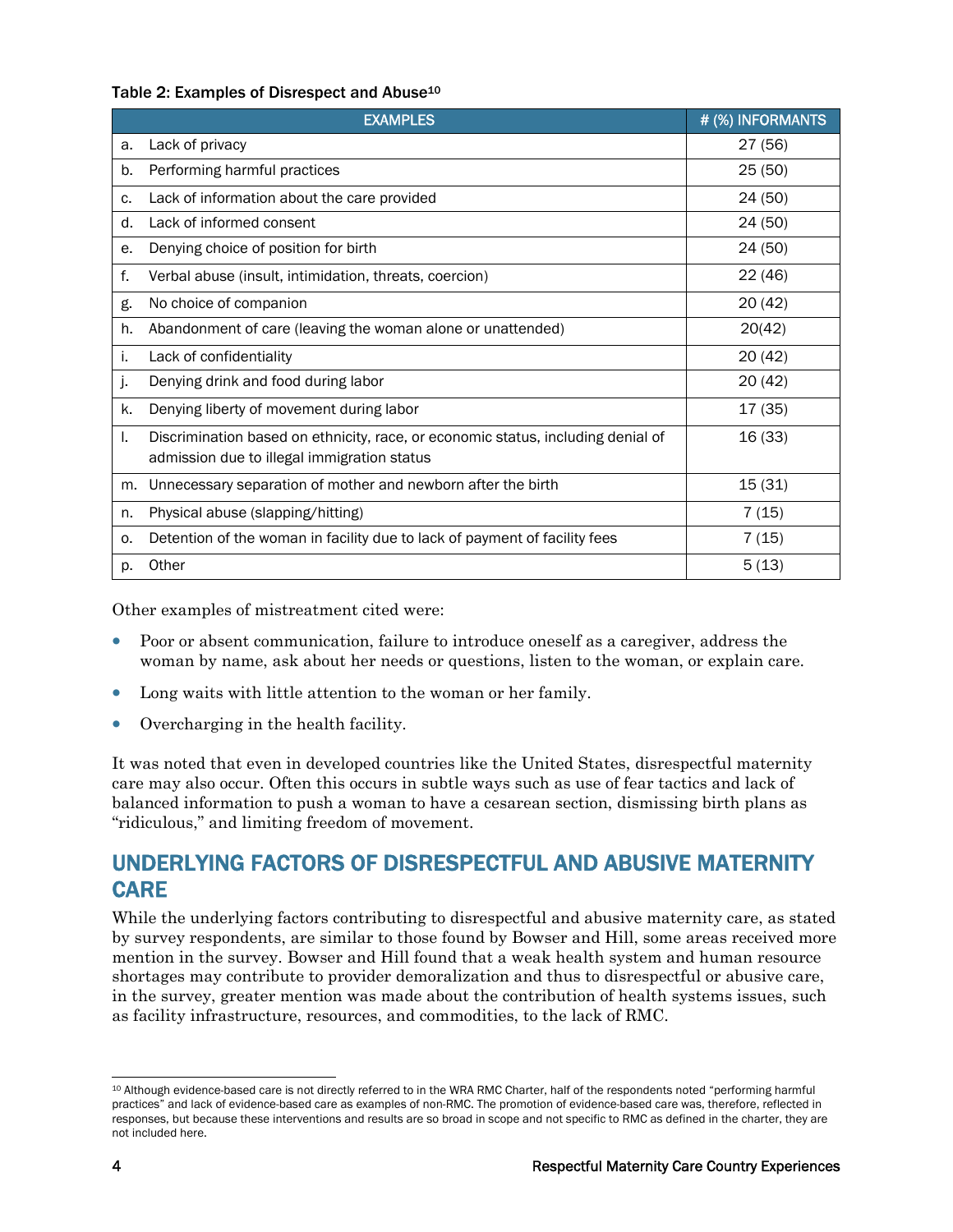#### Table 2: Examples of Disrespect and Abuse<sup>10</sup>

|    | <b>EXAMPLES</b>                                                                                                                 | # (%) INFORMANTS |
|----|---------------------------------------------------------------------------------------------------------------------------------|------------------|
| a. | Lack of privacy                                                                                                                 | 27 (56)          |
| b. | Performing harmful practices                                                                                                    | 25(50)           |
| c. | Lack of information about the care provided                                                                                     | 24 (50)          |
| d. | Lack of informed consent                                                                                                        | 24 (50)          |
| е. | Denying choice of position for birth                                                                                            | 24 (50)          |
| f. | Verbal abuse (insult, intimidation, threats, coercion)                                                                          | 22(46)           |
| g. | No choice of companion                                                                                                          | 20(42)           |
| h. | Abandonment of care (leaving the woman alone or unattended)                                                                     | 20(42)           |
| j. | Lack of confidentiality                                                                                                         | 20(42)           |
| j. | Denying drink and food during labor                                                                                             | 20(42)           |
| k. | Denying liberty of movement during labor                                                                                        | 17(35)           |
| ı. | Discrimination based on ethnicity, race, or economic status, including denial of<br>admission due to illegal immigration status | 16 (33)          |
| m. | Unnecessary separation of mother and newborn after the birth                                                                    | 15(31)           |
| n. | Physical abuse (slapping/hitting)                                                                                               | 7(15)            |
| 0. | Detention of the woman in facility due to lack of payment of facility fees                                                      | 7(15)            |
| p. | Other                                                                                                                           | 5(13)            |

Other examples of mistreatment cited were:

- Poor or absent communication, failure to introduce oneself as a caregiver, address the woman by name, ask about her needs or questions, listen to the woman, or explain care.
- Long waits with little attention to the woman or her family.
- Overcharging in the health facility.

It was noted that even in developed countries like the United States, disrespectful maternity care may also occur. Often this occurs in subtle ways such as use of fear tactics and lack of balanced information to push a woman to have a cesarean section, dismissing birth plans as "ridiculous," and limiting freedom of movement.

### UNDERLYING FACTORS OF DISRESPECTFUL AND ABUSIVE MATERNITY CARE

While the underlying factors contributing to disrespectful and abusive maternity care, as stated by survey respondents, are similar to those found by Bowser and Hill, some areas received more mention in the survey. Bowser and Hill found that a weak health system and human resource shortages may contribute to provider demoralization and thus to disrespectful or abusive care, in the survey, greater mention was made about the contribution of health systems issues, such as facility infrastructure, resources, and commodities, to the lack of RMC.

 $\overline{a}$ 10 Although evidence-based care is not directly referred to in the WRA RMC Charter, half of the respondents noted "performing harmful practices" and lack of evidence-based care as examples of non-RMC. The promotion of evidence-based care was, therefore, reflected in responses, but because these interventions and results are so broad in scope and not specific to RMC as defined in the charter, they are not included here.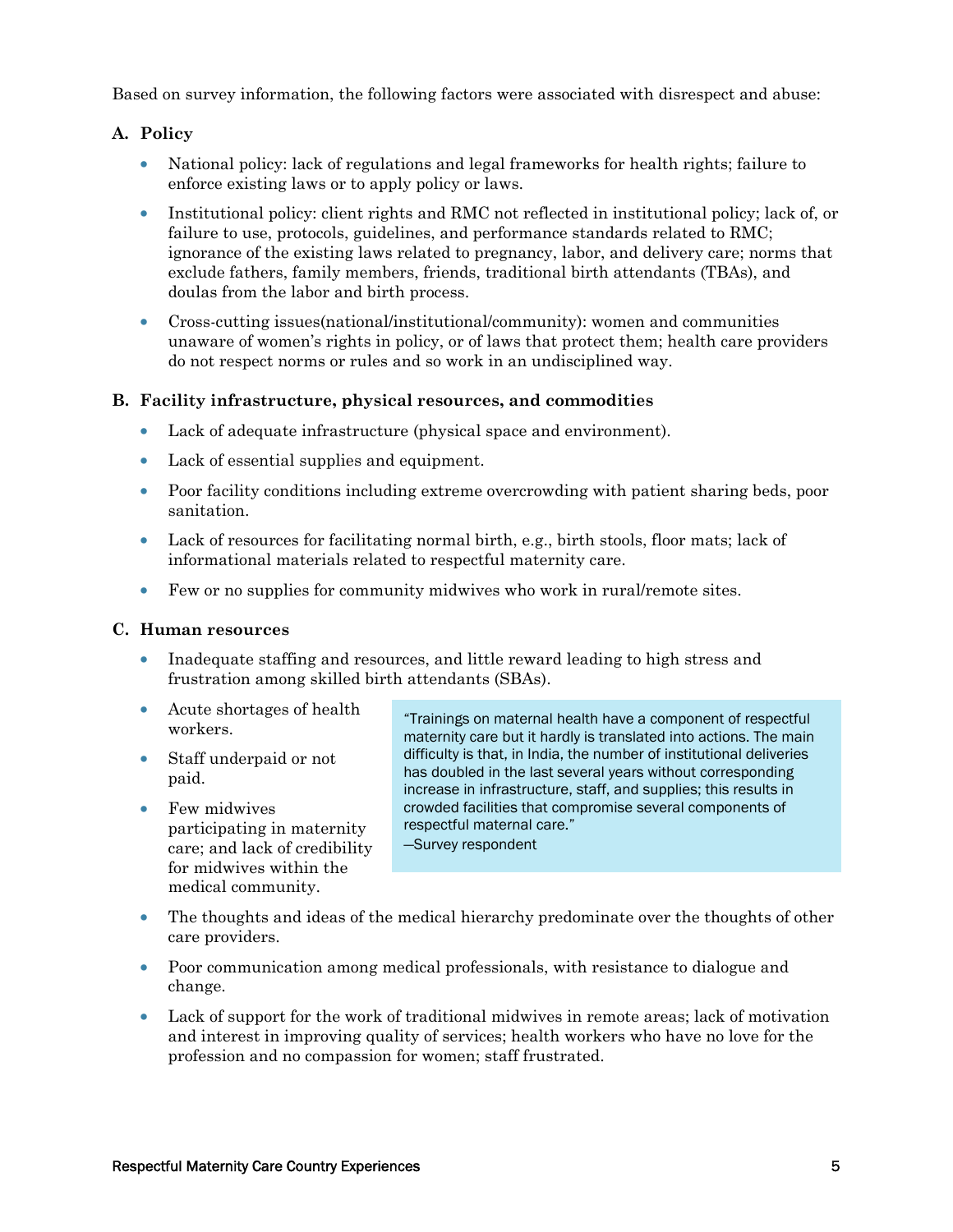Based on survey information, the following factors were associated with disrespect and abuse:

#### **A. Policy**

- National policy: lack of regulations and legal frameworks for health rights; failure to enforce existing laws or to apply policy or laws.
- Institutional policy: client rights and RMC not reflected in institutional policy; lack of, or failure to use, protocols, guidelines, and performance standards related to RMC; ignorance of the existing laws related to pregnancy, labor, and delivery care; norms that exclude fathers, family members, friends, traditional birth attendants (TBAs), and doulas from the labor and birth process.
- Cross-cutting issues(national/institutional/community): women and communities unaware of women's rights in policy, or of laws that protect them; health care providers do not respect norms or rules and so work in an undisciplined way.

#### **B. Facility infrastructure, physical resources, and commodities**

- Lack of adequate infrastructure (physical space and environment).
- Lack of essential supplies and equipment.
- Poor facility conditions including extreme overcrowding with patient sharing beds, poor sanitation.
- Lack of resources for facilitating normal birth, e.g., birth stools, floor mats; lack of informational materials related to respectful maternity care.
- Few or no supplies for community midwives who work in rural/remote sites.

#### **C. Human resources**

- Inadequate staffing and resources, and little reward leading to high stress and frustration among skilled birth attendants (SBAs).
- Acute shortages of health workers.
- Staff underpaid or not paid.
- Few midwives participating in maternity care; and lack of credibility for midwives within the medical community.

"Trainings on maternal health have a component of respectful maternity care but it hardly is translated into actions. The main difficulty is that, in India, the number of institutional deliveries has doubled in the last several years without corresponding increase in infrastructure, staff, and supplies; this results in crowded facilities that compromise several components of respectful maternal care."

—Survey respondent

- The thoughts and ideas of the medical hierarchy predominate over the thoughts of other care providers.
- Poor communication among medical professionals, with resistance to dialogue and change.
- Lack of support for the work of traditional midwives in remote areas; lack of motivation and interest in improving quality of services; health workers who have no love for the profession and no compassion for women; staff frustrated.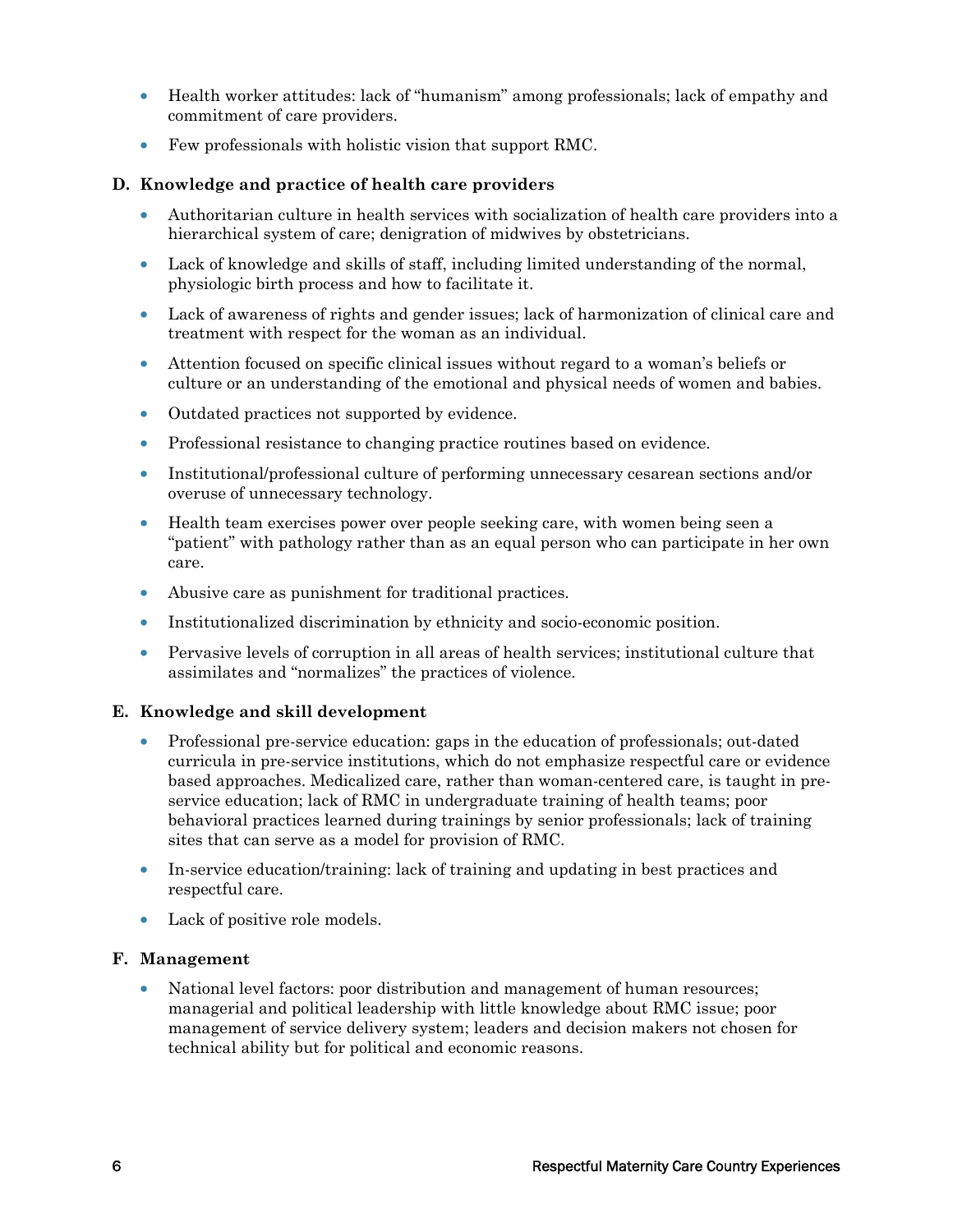- Health worker attitudes: lack of "humanism" among professionals; lack of empathy and commitment of care providers.
- Few professionals with holistic vision that support RMC.

#### **D. Knowledge and practice of health care providers**

- Authoritarian culture in health services with socialization of health care providers into a hierarchical system of care; denigration of midwives by obstetricians.
- Lack of knowledge and skills of staff, including limited understanding of the normal, physiologic birth process and how to facilitate it.
- Lack of awareness of rights and gender issues; lack of harmonization of clinical care and treatment with respect for the woman as an individual.
- Attention focused on specific clinical issues without regard to a woman's beliefs or culture or an understanding of the emotional and physical needs of women and babies.
- Outdated practices not supported by evidence.
- Professional resistance to changing practice routines based on evidence.
- Institutional/professional culture of performing unnecessary cesarean sections and/or overuse of unnecessary technology.
- Health team exercises power over people seeking care, with women being seen a "patient" with pathology rather than as an equal person who can participate in her own care.
- Abusive care as punishment for traditional practices.
- Institutionalized discrimination by ethnicity and socio-economic position.
- Pervasive levels of corruption in all areas of health services; institutional culture that assimilates and "normalizes" the practices of violence.

#### **E. Knowledge and skill development**

- Professional pre-service education: gaps in the education of professionals; out-dated curricula in pre-service institutions, which do not emphasize respectful care or evidence based approaches. Medicalized care, rather than woman-centered care, is taught in preservice education; lack of RMC in undergraduate training of health teams; poor behavioral practices learned during trainings by senior professionals; lack of training sites that can serve as a model for provision of RMC.
- In-service education/training: lack of training and updating in best practices and respectful care.
- Lack of positive role models.

#### **F. Management**

• National level factors: poor distribution and management of human resources; managerial and political leadership with little knowledge about RMC issue; poor management of service delivery system; leaders and decision makers not chosen for technical ability but for political and economic reasons.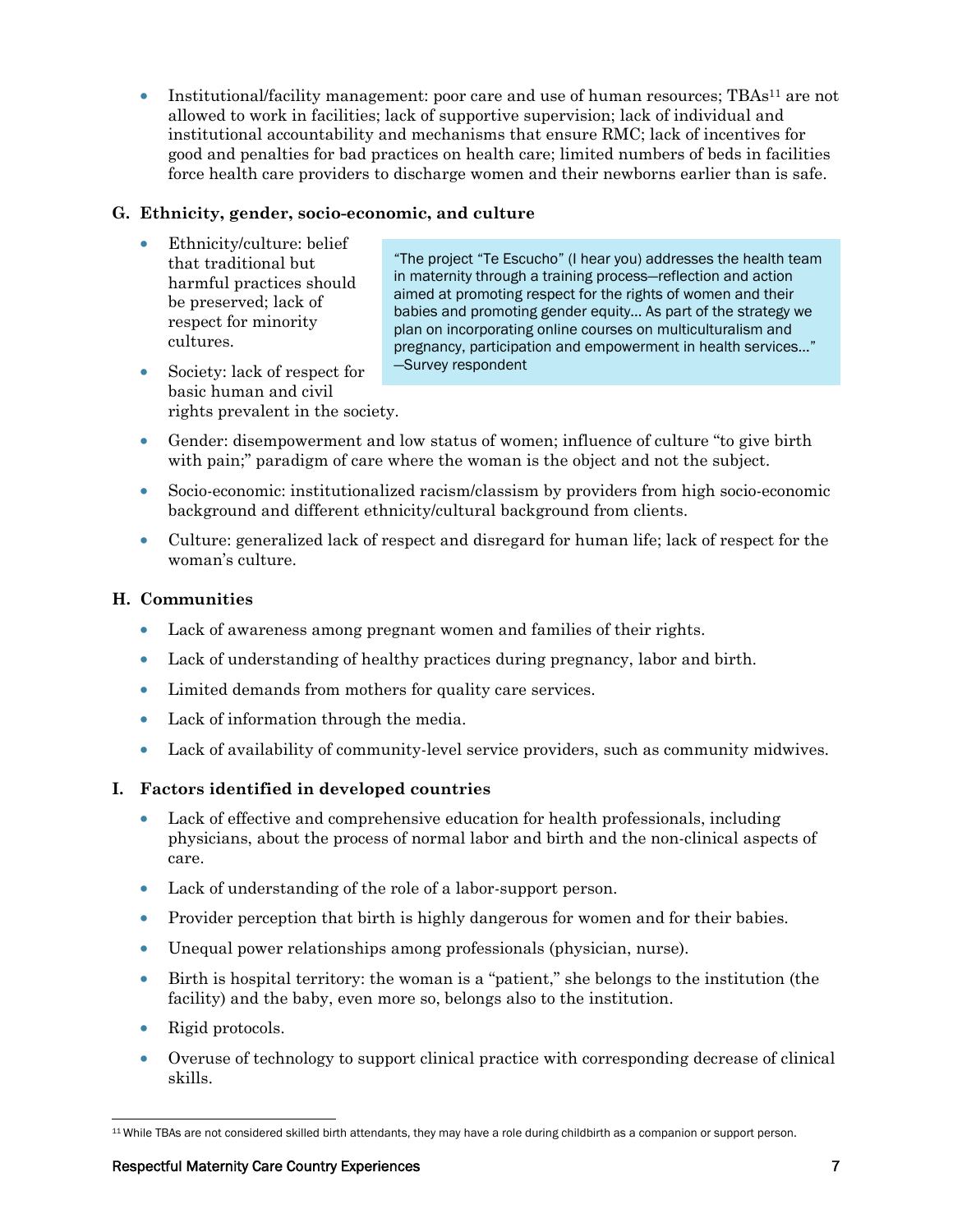• Institutional/facility management: poor care and use of human resources; TBAs<sup>11</sup> are not allowed to work in facilities; lack of supportive supervision; lack of individual and institutional accountability and mechanisms that ensure RMC; lack of incentives for good and penalties for bad practices on health care; limited numbers of beds in facilities force health care providers to discharge women and their newborns earlier than is safe.

#### **G. Ethnicity, gender, socio-economic, and culture**

- Ethnicity/culture: belief that traditional but harmful practices should be preserved; lack of respect for minority cultures.
- "The project "Te Escucho" (I hear you) addresses the health team in maternity through a training process—reflection and action aimed at promoting respect for the rights of women and their babies and promoting gender equity… As part of the strategy we plan on incorporating online courses on multiculturalism and pregnancy, participation and empowerment in health services…" —Survey respondent
- Society: lack of respect for basic human and civil rights prevalent in the society.
- Gender: disempowerment and low status of women; influence of culture "to give birth" with pain;" paradigm of care where the woman is the object and not the subject.
- Socio-economic: institutionalized racism/classism by providers from high socio-economic background and different ethnicity/cultural background from clients.
- Culture: generalized lack of respect and disregard for human life; lack of respect for the woman's culture.

#### **H. Communities**

- Lack of awareness among pregnant women and families of their rights.
- Lack of understanding of healthy practices during pregnancy, labor and birth.
- Limited demands from mothers for quality care services.
- Lack of information through the media.
- Lack of availability of community-level service providers, such as community midwives.

#### **I. Factors identified in developed countries**

- Lack of effective and comprehensive education for health professionals, including physicians, about the process of normal labor and birth and the non-clinical aspects of care.
- Lack of understanding of the role of a labor-support person.
- Provider perception that birth is highly dangerous for women and for their babies.
- Unequal power relationships among professionals (physician, nurse).
- Birth is hospital territory: the woman is a "patient," she belongs to the institution (the facility) and the baby, even more so, belongs also to the institution.
- Rigid protocols.
- Overuse of technology to support clinical practice with corresponding decrease of clinical skills.

<sup>-</sup>11 While TBAs are not considered skilled birth attendants, they may have a role during childbirth as a companion or support person.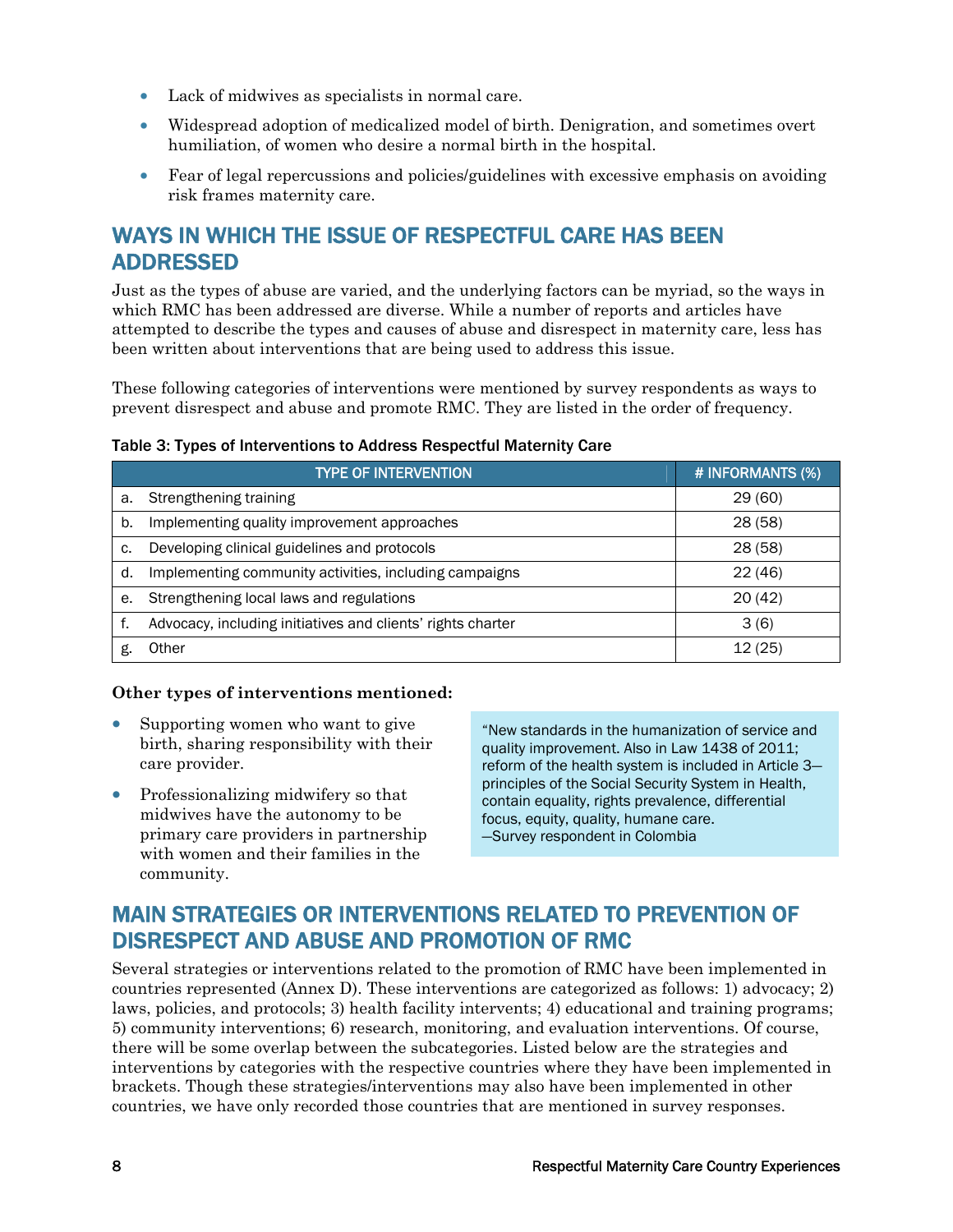- Lack of midwives as specialists in normal care.
- Widespread adoption of medicalized model of birth. Denigration, and sometimes overt humiliation, of women who desire a normal birth in the hospital.
- Fear of legal repercussions and policies/guidelines with excessive emphasis on avoiding risk frames maternity care.

### WAYS IN WHICH THE ISSUE OF RESPECTFUL CARE HAS BEEN ADDRESSED

Just as the types of abuse are varied, and the underlying factors can be myriad, so the ways in which RMC has been addressed are diverse. While a number of reports and articles have attempted to describe the types and causes of abuse and disrespect in maternity care, less has been written about interventions that are being used to address this issue.

These following categories of interventions were mentioned by survey respondents as ways to prevent disrespect and abuse and promote RMC. They are listed in the order of frequency.

|    | <b>TYPE OF INTERVENTION</b>                                 | # INFORMANTS (%) |
|----|-------------------------------------------------------------|------------------|
| a. | Strengthening training                                      | 29(60)           |
| b. | Implementing quality improvement approaches                 | 28 (58)          |
| c. | Developing clinical guidelines and protocols                | 28 (58)          |
| d. | Implementing community activities, including campaigns      | 22(46)           |
| е. | Strengthening local laws and regulations                    | 20(42)           |
|    | Advocacy, including initiatives and clients' rights charter | 3(6)             |
|    | Other                                                       | 12 (25)          |

#### Table 3: Types of Interventions to Address Respectful Maternity Care

#### **Other types of interventions mentioned:**

- Supporting women who want to give birth, sharing responsibility with their care provider.
- Professionalizing midwifery so that midwives have the autonomy to be primary care providers in partnership with women and their families in the community.

"New standards in the humanization of service and quality improvement. Also in Law 1438 of 2011; reform of the health system is included in Article 3 principles of the Social Security System in Health, contain equality, rights prevalence, differential focus, equity, quality, humane care. —Survey respondent in Colombia

## MAIN STRATEGIES OR INTERVENTIONS RELATED TO PREVENTION OF DISRESPECT AND ABUSE AND PROMOTION OF RMC

Several strategies or interventions related to the promotion of RMC have been implemented in countries represented (Annex D). These interventions are categorized as follows: 1) advocacy; 2) laws, policies, and protocols; 3) health facility intervents; 4) educational and training programs; 5) community interventions; 6) research, monitoring, and evaluation interventions. Of course, there will be some overlap between the subcategories. Listed below are the strategies and interventions by categories with the respective countries where they have been implemented in brackets. Though these strategies/interventions may also have been implemented in other countries, we have only recorded those countries that are mentioned in survey responses.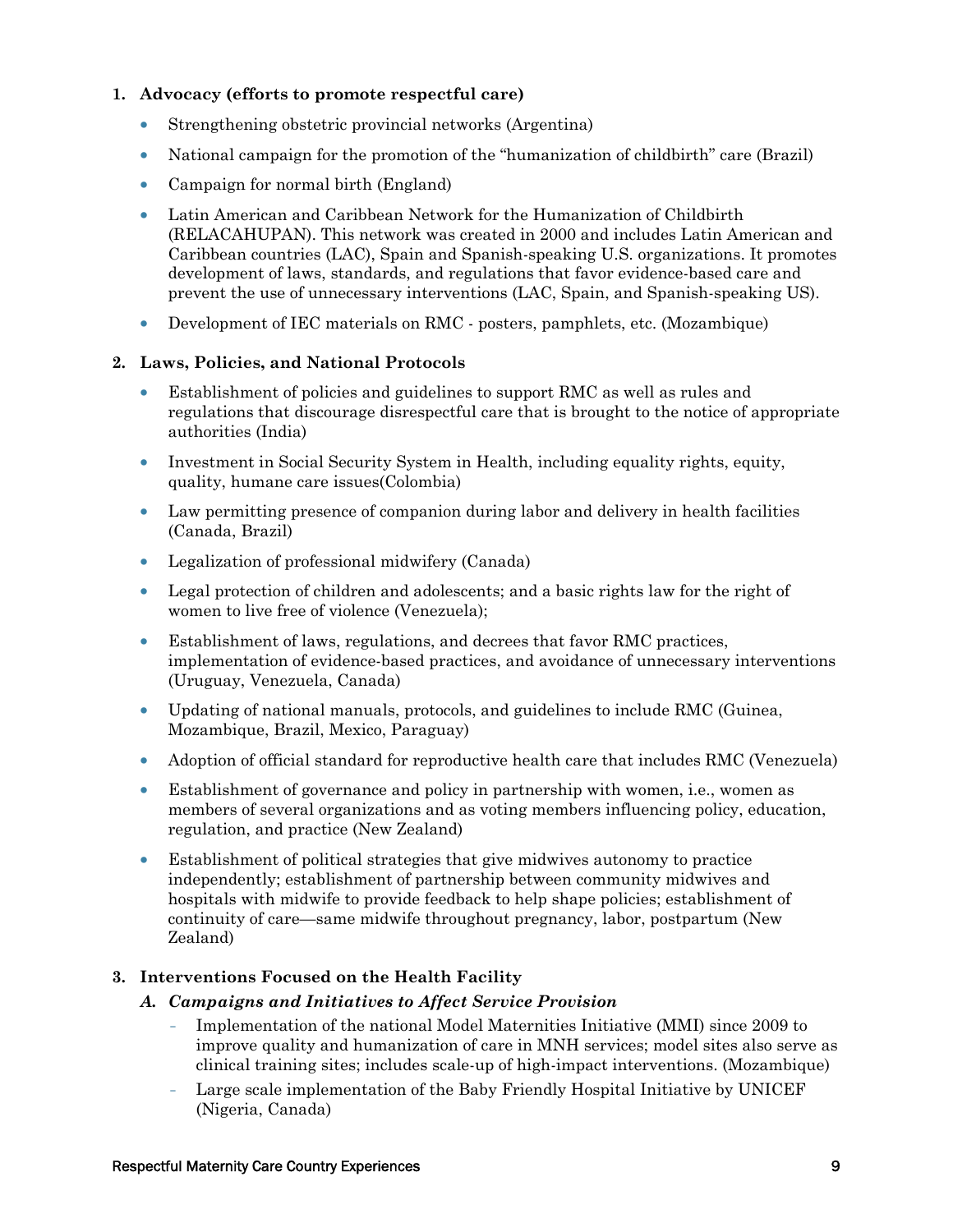#### **1. Advocacy (efforts to promote respectful care)**

- Strengthening obstetric provincial networks (Argentina)
- National campaign for the promotion of the "humanization of childbirth" care (Brazil)
- Campaign for normal birth (England)
- Latin American and Caribbean Network for the Humanization of Childbirth (RELACAHUPAN). This network was created in 2000 and includes Latin American and Caribbean countries (LAC), Spain and Spanish-speaking U.S. organizations. It promotes development of laws, standards, and regulations that favor evidence-based care and prevent the use of unnecessary interventions (LAC, Spain, and Spanish-speaking US).
- Development of IEC materials on RMC posters, pamphlets, etc. (Mozambique)

#### **2. Laws, Policies, and National Protocols**

- Establishment of policies and guidelines to support RMC as well as rules and regulations that discourage disrespectful care that is brought to the notice of appropriate authorities (India)
- Investment in Social Security System in Health, including equality rights, equity, quality, humane care issues(Colombia)
- Law permitting presence of companion during labor and delivery in health facilities (Canada, Brazil)
- Legalization of professional midwifery (Canada)
- Legal protection of children and adolescents; and a basic rights law for the right of women to live free of violence (Venezuela);
- Establishment of laws, regulations, and decrees that favor RMC practices, implementation of evidence-based practices, and avoidance of unnecessary interventions (Uruguay, Venezuela, Canada)
- Updating of national manuals, protocols, and guidelines to include RMC (Guinea, Mozambique, Brazil, Mexico, Paraguay)
- Adoption of official standard for reproductive health care that includes RMC (Venezuela)
- Establishment of governance and policy in partnership with women, i.e., women as members of several organizations and as voting members influencing policy, education, regulation, and practice (New Zealand)
- Establishment of political strategies that give midwives autonomy to practice independently; establishment of partnership between community midwives and hospitals with midwife to provide feedback to help shape policies; establishment of continuity of care—same midwife throughout pregnancy, labor, postpartum (New Zealand)

#### **3. Interventions Focused on the Health Facility**

- *A. Campaigns and Initiatives to Affect Service Provision* 
	- Implementation of the national Model Maternities Initiative (MMI) since 2009 to improve quality and humanization of care in MNH services; model sites also serve as clinical training sites; includes scale-up of high-impact interventions. (Mozambique)
	- Large scale implementation of the Baby Friendly Hospital Initiative by UNICEF (Nigeria, Canada)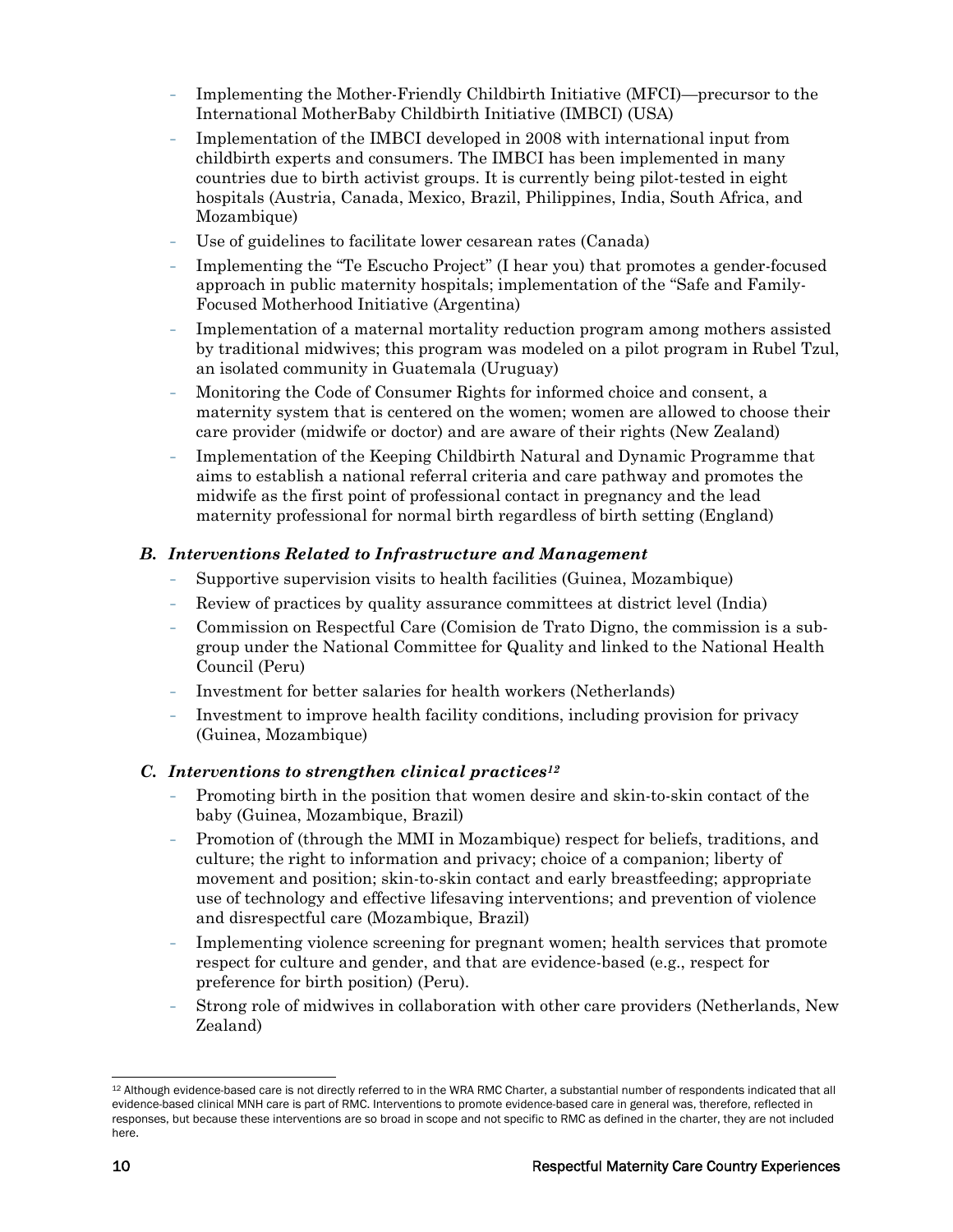- Implementing the Mother-Friendly Childbirth Initiative (MFCI)—precursor to the International MotherBaby Childbirth Initiative (IMBCI) (USA)
- Implementation of the IMBCI developed in 2008 with international input from childbirth experts and consumers. The IMBCI has been implemented in many countries due to birth activist groups. It is currently being pilot-tested in eight hospitals (Austria, Canada, Mexico, Brazil, Philippines, India, South Africa, and Mozambique)
- Use of guidelines to facilitate lower cesarean rates (Canada)
- Implementing the "Te Escucho Project" (I hear you) that promotes a gender-focused approach in public maternity hospitals; implementation of the "Safe and Family-Focused Motherhood Initiative (Argentina)
- Implementation of a maternal mortality reduction program among mothers assisted by traditional midwives; this program was modeled on a pilot program in Rubel Tzul, an isolated community in Guatemala (Uruguay)
- Monitoring the Code of Consumer Rights for informed choice and consent, a maternity system that is centered on the women; women are allowed to choose their care provider (midwife or doctor) and are aware of their rights (New Zealand)
- Implementation of the Keeping Childbirth Natural and Dynamic Programme that aims to establish a national referral criteria and care pathway and promotes the midwife as the first point of professional contact in pregnancy and the lead maternity professional for normal birth regardless of birth setting (England)

#### *B. Interventions Related to Infrastructure and Management*

- Supportive supervision visits to health facilities (Guinea, Mozambique)
- Review of practices by quality assurance committees at district level (India)
- Commission on Respectful Care (Comision de Trato Digno, the commission is a subgroup under the National Committee for Quality and linked to the National Health Council (Peru)
- Investment for better salaries for health workers (Netherlands)
- Investment to improve health facility conditions, including provision for privacy (Guinea, Mozambique)

#### *C. Interventions to strengthen clinical practices12*

- Promoting birth in the position that women desire and skin-to-skin contact of the baby (Guinea, Mozambique, Brazil)
- Promotion of (through the MMI in Mozambique) respect for beliefs, traditions, and culture; the right to information and privacy; choice of a companion; liberty of movement and position; skin-to-skin contact and early breastfeeding; appropriate use of technology and effective lifesaving interventions; and prevention of violence and disrespectful care (Mozambique, Brazil)
- Implementing violence screening for pregnant women; health services that promote respect for culture and gender, and that are evidence-based (e.g., respect for preference for birth position) (Peru).
- Strong role of midwives in collaboration with other care providers (Netherlands, New Zealand)

<sup>-</sup>12 Although evidence-based care is not directly referred to in the WRA RMC Charter, a substantial number of respondents indicated that all evidence-based clinical MNH care is part of RMC. Interventions to promote evidence-based care in general was, therefore, reflected in responses, but because these interventions are so broad in scope and not specific to RMC as defined in the charter, they are not included here.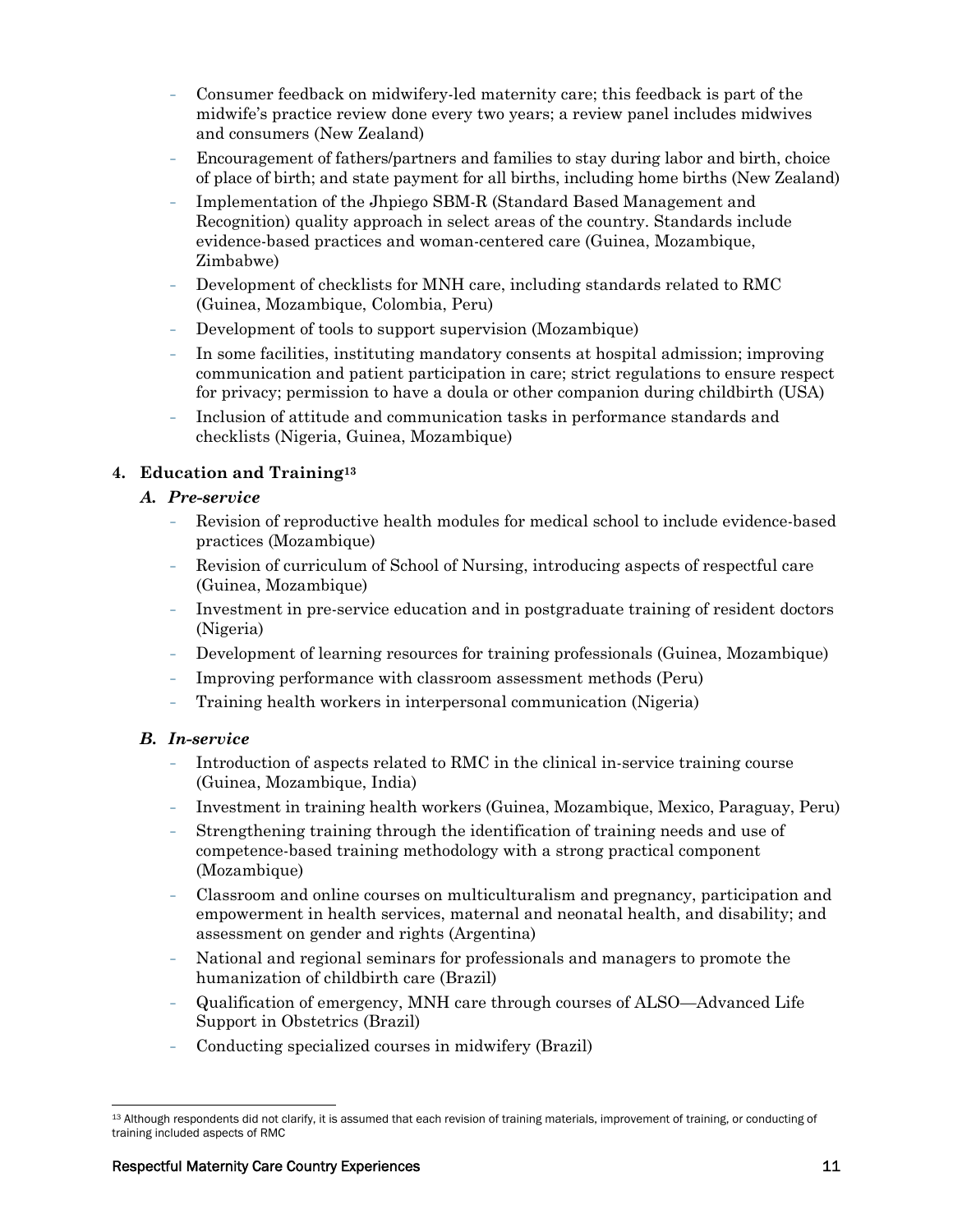- Consumer feedback on midwifery-led maternity care; this feedback is part of the midwife's practice review done every two years; a review panel includes midwives and consumers (New Zealand)
- Encouragement of fathers/partners and families to stay during labor and birth, choice of place of birth; and state payment for all births, including home births (New Zealand)
- Implementation of the Jhpiego SBM-R (Standard Based Management and Recognition) quality approach in select areas of the country. Standards include evidence-based practices and woman-centered care (Guinea, Mozambique, Zimbabwe)
- Development of checklists for MNH care, including standards related to RMC (Guinea, Mozambique, Colombia, Peru)
- Development of tools to support supervision (Mozambique)
- In some facilities, instituting mandatory consents at hospital admission; improving communication and patient participation in care; strict regulations to ensure respect for privacy; permission to have a doula or other companion during childbirth (USA)
- Inclusion of attitude and communication tasks in performance standards and checklists (Nigeria, Guinea, Mozambique)

#### **4. Education and Training13**

#### *A. Pre-service*

- Revision of reproductive health modules for medical school to include evidence-based practices (Mozambique)
- Revision of curriculum of School of Nursing, introducing aspects of respectful care (Guinea, Mozambique)
- Investment in pre-service education and in postgraduate training of resident doctors (Nigeria)
- Development of learning resources for training professionals (Guinea, Mozambique)
- Improving performance with classroom assessment methods (Peru)
- Training health workers in interpersonal communication (Nigeria)

#### *B. In-service*

- Introduction of aspects related to RMC in the clinical in-service training course (Guinea, Mozambique, India)
- Investment in training health workers (Guinea, Mozambique, Mexico, Paraguay, Peru)
- Strengthening training through the identification of training needs and use of competence-based training methodology with a strong practical component (Mozambique)
- Classroom and online courses on multiculturalism and pregnancy, participation and empowerment in health services, maternal and neonatal health, and disability; and assessment on gender and rights (Argentina)
- National and regional seminars for professionals and managers to promote the humanization of childbirth care (Brazil)
- Qualification of emergency, MNH care through courses of ALSO—Advanced Life Support in Obstetrics (Brazil)
- Conducting specialized courses in midwifery (Brazil)

 $\overline{a}$ <sup>13</sup> Although respondents did not clarify, it is assumed that each revision of training materials, improvement of training, or conducting of training included aspects of RMC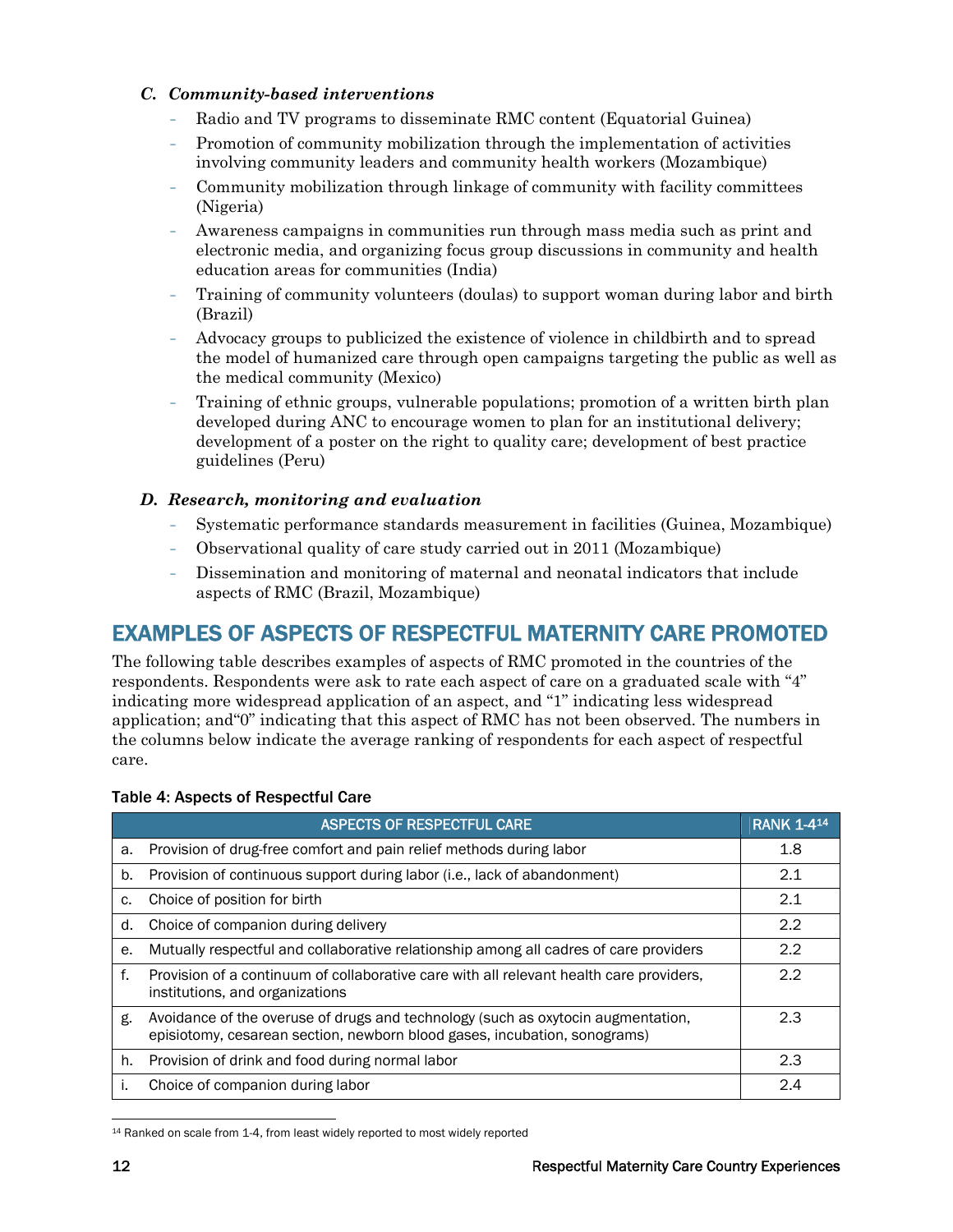#### *C. Community-based interventions*

- Radio and TV programs to disseminate RMC content (Equatorial Guinea)
- Promotion of community mobilization through the implementation of activities involving community leaders and community health workers (Mozambique)
- Community mobilization through linkage of community with facility committees (Nigeria)
- Awareness campaigns in communities run through mass media such as print and electronic media, and organizing focus group discussions in community and health education areas for communities (India)
- Training of community volunteers (doulas) to support woman during labor and birth (Brazil)
- Advocacy groups to publicized the existence of violence in childbirth and to spread the model of humanized care through open campaigns targeting the public as well as the medical community (Mexico)
- Training of ethnic groups, vulnerable populations; promotion of a written birth plan developed during ANC to encourage women to plan for an institutional delivery; development of a poster on the right to quality care; development of best practice guidelines (Peru)

#### *D. Research, monitoring and evaluation*

- Systematic performance standards measurement in facilities (Guinea, Mozambique)
- Observational quality of care study carried out in 2011 (Mozambique)
- Dissemination and monitoring of maternal and neonatal indicators that include aspects of RMC (Brazil, Mozambique)

### EXAMPLES OF ASPECTS OF RESPECTFUL MATERNITY CARE PROMOTED

The following table describes examples of aspects of RMC promoted in the countries of the respondents. Respondents were ask to rate each aspect of care on a graduated scale with "4" indicating more widespread application of an aspect, and "1" indicating less widespread application; and"0" indicating that this aspect of RMC has not been observed. The numbers in the columns below indicate the average ranking of respondents for each aspect of respectful care.

|    | <b>ASPECTS OF RESPECTFUL CARE</b>                                                                                                                             | <b>RANK 1-414</b> |
|----|---------------------------------------------------------------------------------------------------------------------------------------------------------------|-------------------|
| а. | Provision of drug-free comfort and pain relief methods during labor                                                                                           | 1.8               |
| b. | Provision of continuous support during labor (i.e., lack of abandonment)                                                                                      | 2.1               |
| c. | Choice of position for birth                                                                                                                                  | 2.1               |
| d. | Choice of companion during delivery                                                                                                                           | 2.2               |
| е. | Mutually respectful and collaborative relationship among all cadres of care providers                                                                         | 2.2               |
| f. | Provision of a continuum of collaborative care with all relevant health care providers,<br>institutions, and organizations                                    | 2.2               |
| g. | Avoidance of the overuse of drugs and technology (such as oxytocin augmentation,<br>episiotomy, cesarean section, newborn blood gases, incubation, sonograms) | 2.3               |
| h. | Provision of drink and food during normal labor                                                                                                               | 2.3               |
| Τ. | Choice of companion during labor                                                                                                                              | 2.4               |

#### Table 4: Aspects of Respectful Care

 $\overline{a}$ 14 Ranked on scale from 1-4, from least widely reported to most widely reported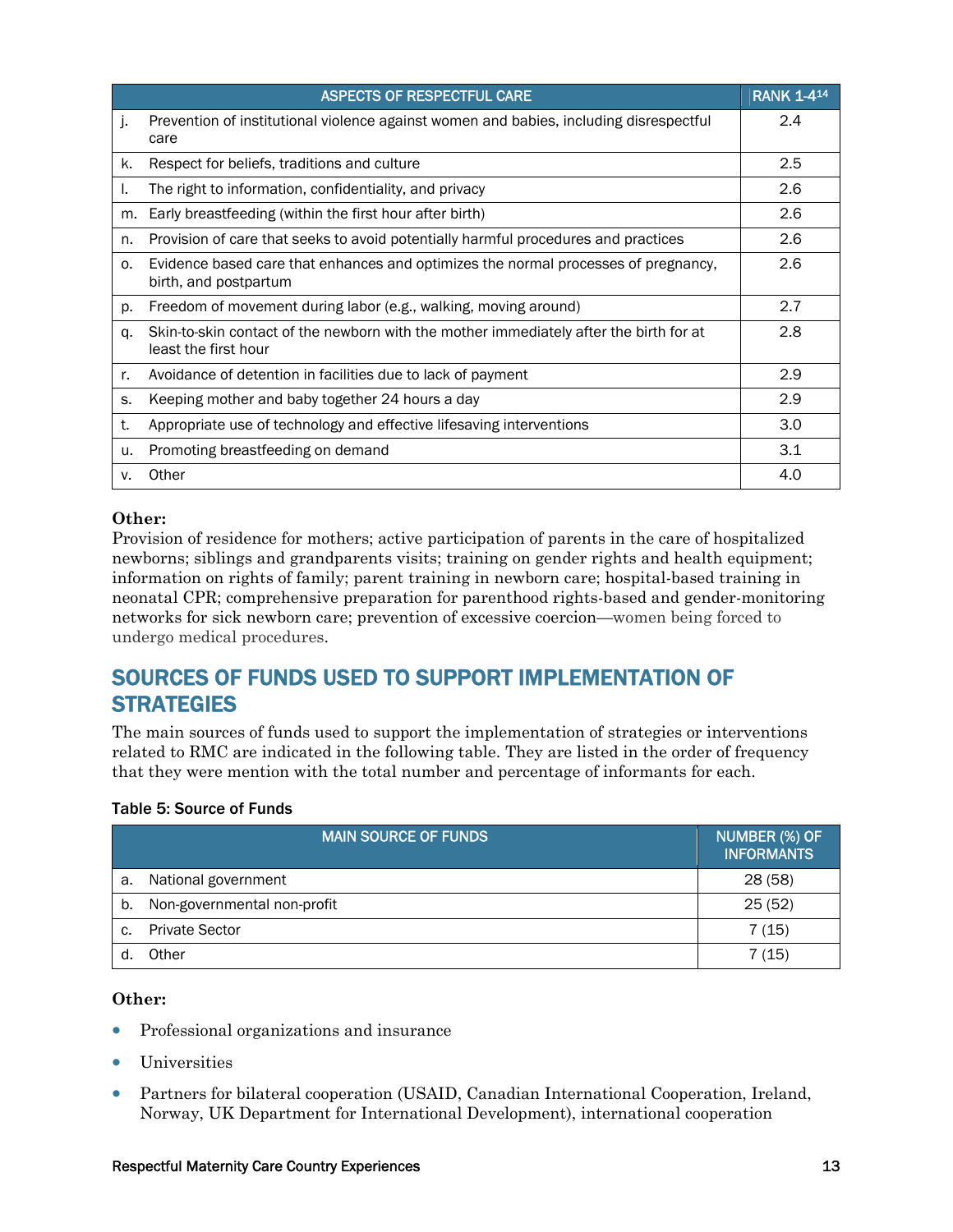|    | <b>ASPECTS OF RESPECTFUL CARE</b>                                                                              | <b>RANK 1-414</b> |
|----|----------------------------------------------------------------------------------------------------------------|-------------------|
| j. | Prevention of institutional violence against women and babies, including disrespectful<br>care                 | 2.4               |
| k. | Respect for beliefs, traditions and culture                                                                    | 2.5               |
| ı. | The right to information, confidentiality, and privacy                                                         | 2.6               |
| m. | Early breastfeeding (within the first hour after birth)                                                        | 2.6               |
| n. | Provision of care that seeks to avoid potentially harmful procedures and practices                             | 2.6               |
| 0. | Evidence based care that enhances and optimizes the normal processes of pregnancy,<br>birth, and postpartum    | 2.6               |
| p. | Freedom of movement during labor (e.g., walking, moving around)                                                | 2.7               |
| q. | Skin-to-skin contact of the newborn with the mother immediately after the birth for at<br>least the first hour | 2.8               |
| r. | Avoidance of detention in facilities due to lack of payment                                                    | 2.9               |
| S. | Keeping mother and baby together 24 hours a day                                                                | 2.9               |
| t. | Appropriate use of technology and effective lifesaving interventions                                           | 3.0               |
| u. | Promoting breastfeeding on demand                                                                              | 3.1               |
| v. | Other                                                                                                          | 4.0               |

#### **Other:**

Provision of residence for mothers; active participation of parents in the care of hospitalized newborns; siblings and grandparents visits; training on gender rights and health equipment; information on rights of family; parent training in newborn care; hospital-based training in neonatal CPR; comprehensive preparation for parenthood rights-based and gender-monitoring networks for sick newborn care; prevention of excessive coercion—women being forced to undergo medical procedures.

### SOURCES OF FUNDS USED TO SUPPORT IMPLEMENTATION OF **STRATEGIES**

The main sources of funds used to support the implementation of strategies or interventions related to RMC are indicated in the following table. They are listed in the order of frequency that they were mention with the total number and percentage of informants for each.

#### Table 5: Source of Funds

|    | <b>MAIN SOURCE OF FUNDS</b> | NUMBER (%) OF<br><b>INFORMANTS</b> |
|----|-----------------------------|------------------------------------|
| a. | National government         | 28(58)                             |
| b. | Non-governmental non-profit | 25(52)                             |
| C. | <b>Private Sector</b>       | 7 (15)                             |
|    | Other                       | 7 (15)                             |

#### **Other:**

- Professional organizations and insurance
- Universities
- Partners for bilateral cooperation (USAID, Canadian International Cooperation, Ireland, Norway, UK Department for International Development), international cooperation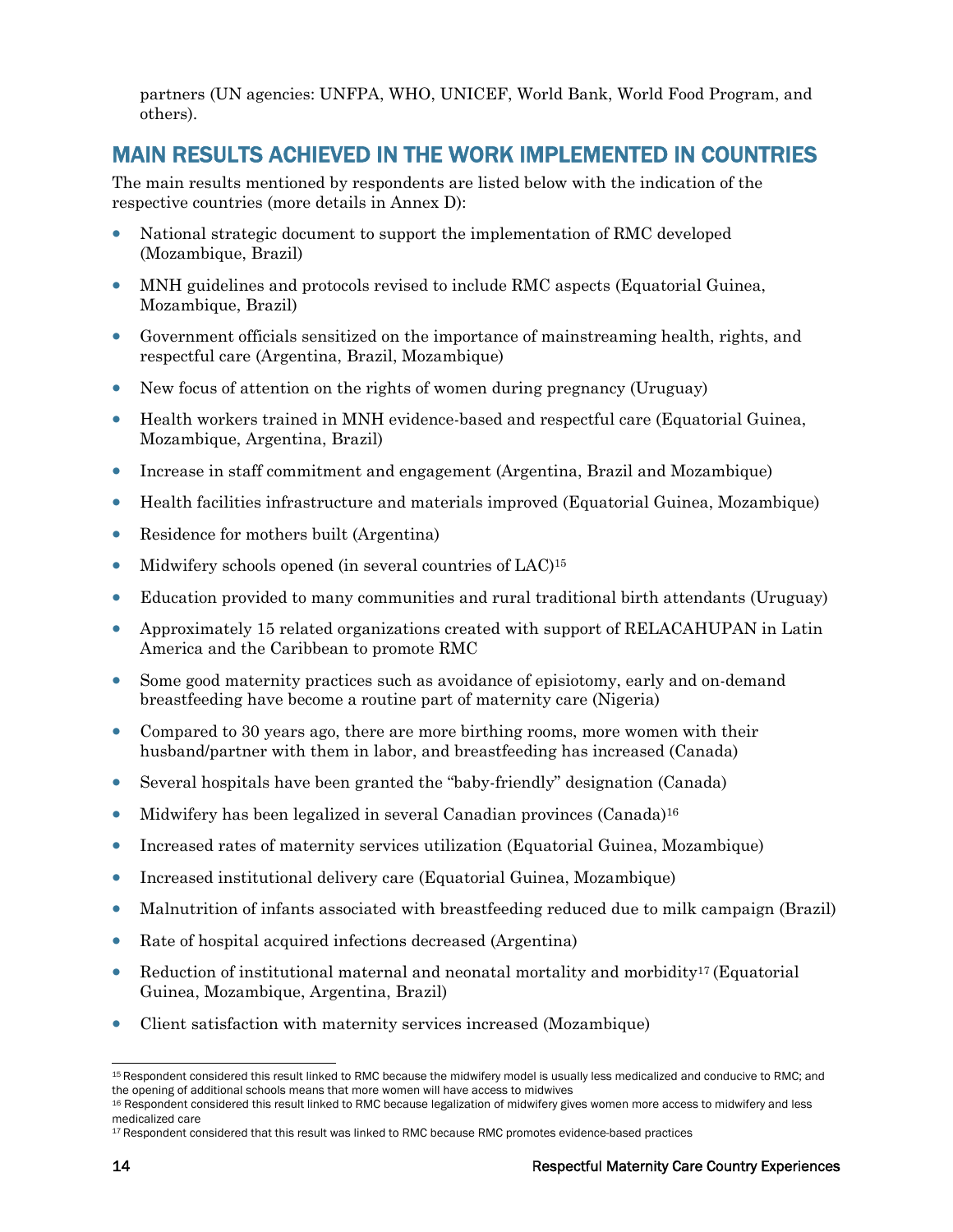partners (UN agencies: UNFPA, WHO, UNICEF, World Bank, World Food Program, and others).

### MAIN RESULTS ACHIEVED IN THE WORK IMPLEMENTED IN COUNTRIES

The main results mentioned by respondents are listed below with the indication of the respective countries (more details in Annex D):

- National strategic document to support the implementation of RMC developed (Mozambique, Brazil)
- MNH guidelines and protocols revised to include RMC aspects (Equatorial Guinea, Mozambique, Brazil)
- Government officials sensitized on the importance of mainstreaming health, rights, and respectful care (Argentina, Brazil, Mozambique)
- New focus of attention on the rights of women during pregnancy (Uruguay)
- Health workers trained in MNH evidence-based and respectful care (Equatorial Guinea, Mozambique, Argentina, Brazil)
- Increase in staff commitment and engagement (Argentina, Brazil and Mozambique)
- Health facilities infrastructure and materials improved (Equatorial Guinea, Mozambique)
- Residence for mothers built (Argentina)
- Midwifery schools opened (in several countries of LAC)<sup>15</sup>
- Education provided to many communities and rural traditional birth attendants (Uruguay)
- Approximately 15 related organizations created with support of RELACAHUPAN in Latin America and the Caribbean to promote RMC
- Some good maternity practices such as avoidance of episiotomy, early and on-demand breastfeeding have become a routine part of maternity care (Nigeria)
- Compared to 30 years ago, there are more birthing rooms, more women with their husband/partner with them in labor, and breastfeeding has increased (Canada)
- Several hospitals have been granted the "baby-friendly" designation (Canada)
- Midwifery has been legalized in several Canadian provinces (Canada)<sup>16</sup>
- Increased rates of maternity services utilization (Equatorial Guinea, Mozambique)
- Increased institutional delivery care (Equatorial Guinea, Mozambique)
- Malnutrition of infants associated with breastfeeding reduced due to milk campaign (Brazil)
- Rate of hospital acquired infections decreased (Argentina)
- Reduction of institutional maternal and neonatal mortality and morbidity<sup>17</sup> (Equatorial Guinea, Mozambique, Argentina, Brazil)
- Client satisfaction with maternity services increased (Mozambique)

<sup>-</sup><sup>15</sup> Respondent considered this result linked to RMC because the midwifery model is usually less medicalized and conducive to RMC; and the opening of additional schools means that more women will have access to midwives<br><sup>16</sup> Respondent considered this result linked to RMC because legalization of midwifery gives women more access to midwifery and less

medicalized care

<sup>&</sup>lt;sup>17</sup> Respondent considered that this result was linked to RMC because RMC promotes evidence-based practices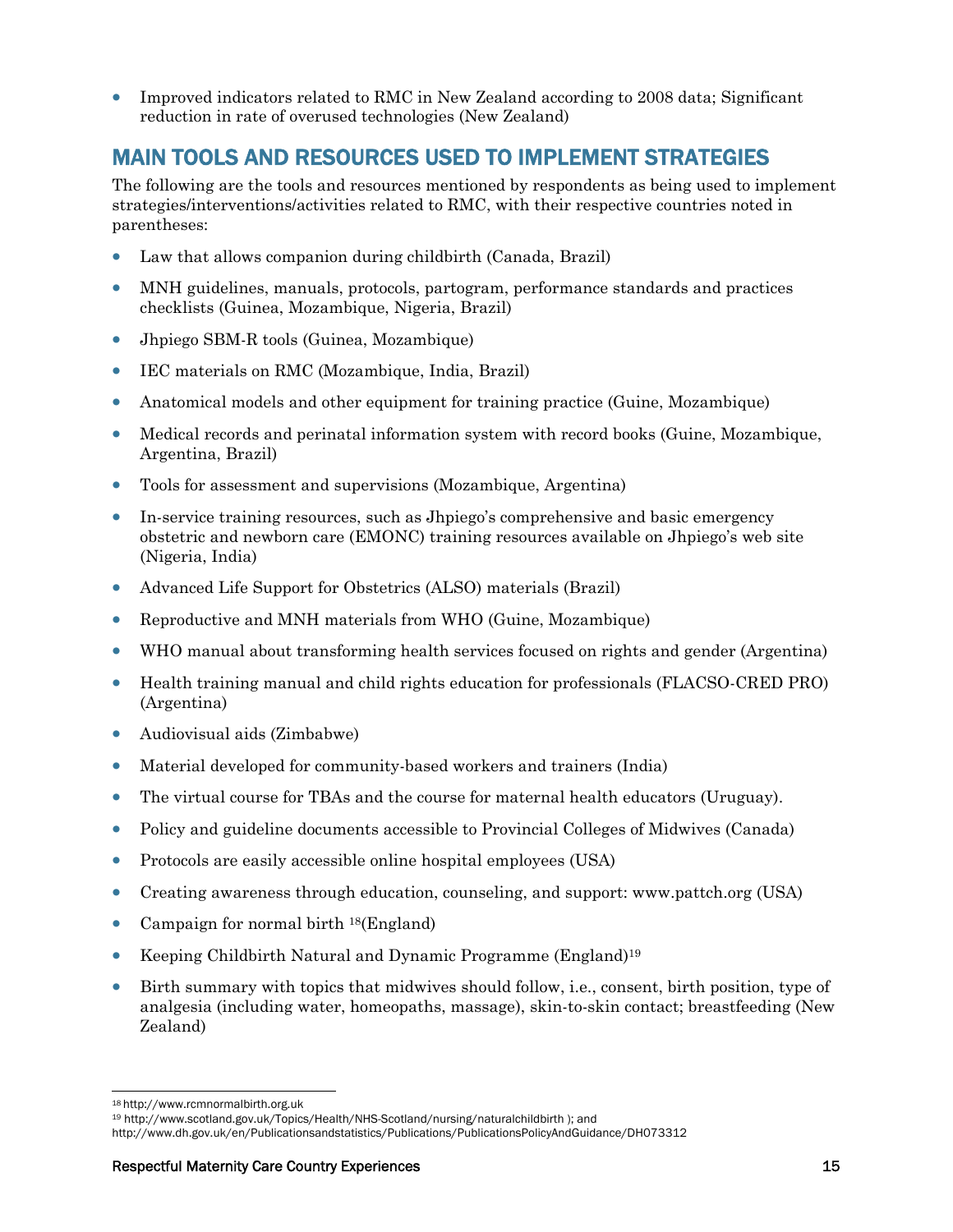• Improved indicators related to RMC in New Zealand according to 2008 data; Significant reduction in rate of overused technologies (New Zealand)

### MAIN TOOLS AND RESOURCES USED TO IMPLEMENT STRATEGIES

The following are the tools and resources mentioned by respondents as being used to implement strategies/interventions/activities related to RMC, with their respective countries noted in parentheses:

- Law that allows companion during childbirth (Canada, Brazil)
- MNH guidelines, manuals, protocols, partogram, performance standards and practices checklists (Guinea, Mozambique, Nigeria, Brazil)
- Jhpiego SBM-R tools (Guinea, Mozambique)
- IEC materials on RMC (Mozambique, India, Brazil)
- Anatomical models and other equipment for training practice (Guine, Mozambique)
- Medical records and perinatal information system with record books (Guine, Mozambique, Argentina, Brazil)
- Tools for assessment and supervisions (Mozambique, Argentina)
- In-service training resources, such as Jhpiego's comprehensive and basic emergency obstetric and newborn care (EMONC) training resources available on Jhpiego's web site (Nigeria, India)
- Advanced Life Support for Obstetrics (ALSO) materials (Brazil)
- Reproductive and MNH materials from WHO (Guine, Mozambique)
- WHO manual about transforming health services focused on rights and gender (Argentina)
- Health training manual and child rights education for professionals (FLACSO-CRED PRO) (Argentina)
- Audiovisual aids (Zimbabwe)
- Material developed for community-based workers and trainers (India)
- The virtual course for TBAs and the course for maternal health educators (Uruguay).
- Policy and guideline documents accessible to Provincial Colleges of Midwives (Canada)
- Protocols are easily accessible online hospital employees (USA)
- Creating awareness through education, counseling, and support: www.pattch.org (USA)
- Campaign for normal birth <sup>18</sup>(England)
- Keeping Childbirth Natural and Dynamic Programme (England)<sup>19</sup>
- Birth summary with topics that midwives should follow, i.e., consent, birth position, type of analgesia (including water, homeopaths, massage), skin-to-skin contact; breastfeeding (New Zealand)

<sup>-</sup>

<sup>&</sup>lt;sup>18</sup> http://www.rcmnormalbirth.org.uk<br><sup>19</sup> http://www.scotland.gov.uk/Topics/Health/NHS-Scotland/nursing/naturalchildbirth ); and

http://www.dh.gov.uk/en/Publicationsandstatistics/Publications/PublicationsPolicyAndGuidance/DH073312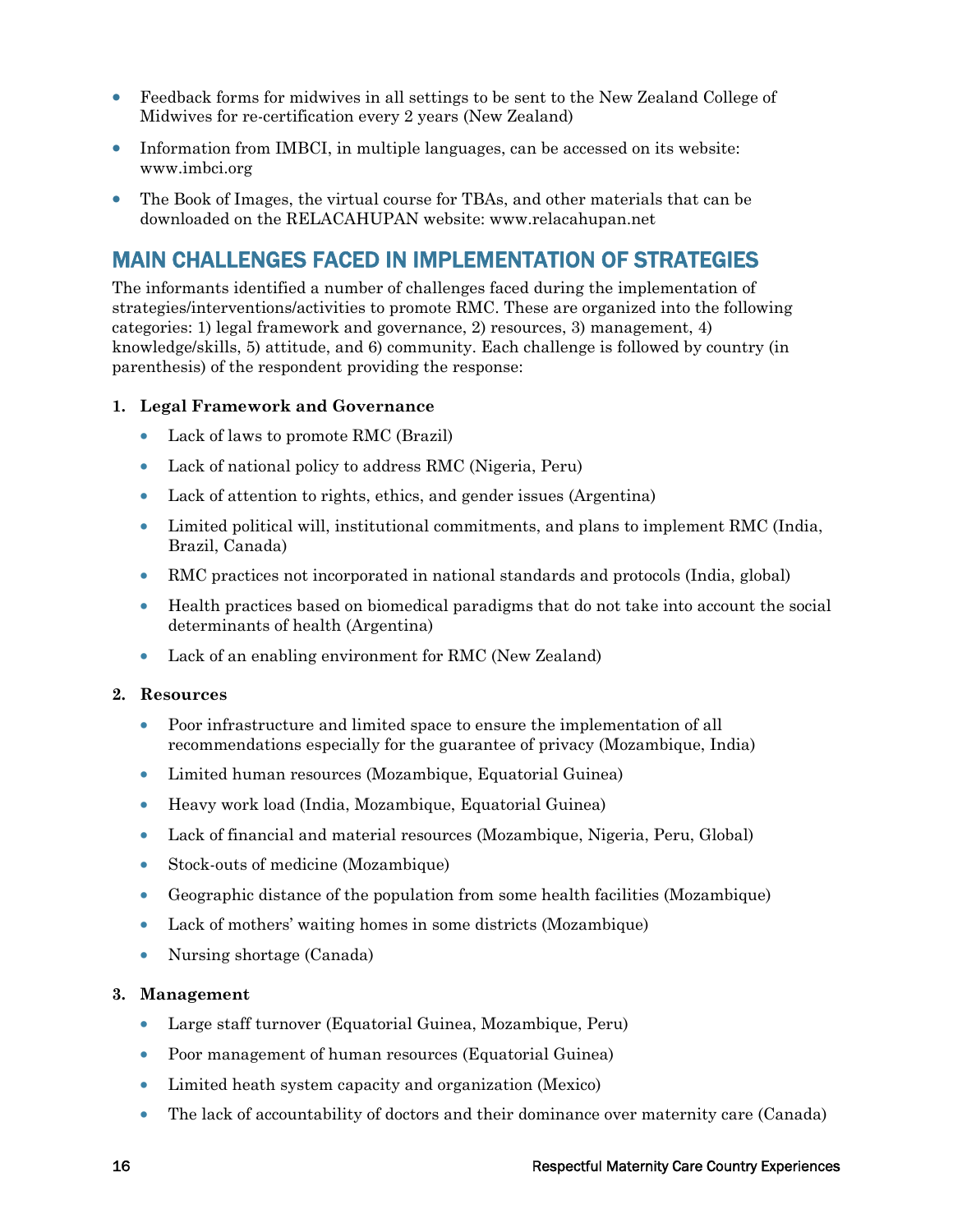- Feedback forms for midwives in all settings to be sent to the New Zealand College of Midwives for re-certification every 2 years (New Zealand)
- Information from IMBCI, in multiple languages, can be accessed on its website: www.imbci.org
- The Book of Images, the virtual course for TBAs, and other materials that can be downloaded on the RELACAHUPAN website: www.relacahupan.net

### MAIN CHALLENGES FACED IN IMPLEMENTATION OF STRATEGIES

The informants identified a number of challenges faced during the implementation of strategies/interventions/activities to promote RMC. These are organized into the following categories: 1) legal framework and governance, 2) resources, 3) management, 4) knowledge/skills, 5) attitude, and 6) community. Each challenge is followed by country (in parenthesis) of the respondent providing the response:

#### **1. Legal Framework and Governance**

- Lack of laws to promote RMC (Brazil)
- Lack of national policy to address RMC (Nigeria, Peru)
- Lack of attention to rights, ethics, and gender issues (Argentina)
- Limited political will, institutional commitments, and plans to implement RMC (India, Brazil, Canada)
- RMC practices not incorporated in national standards and protocols (India, global)
- Health practices based on biomedical paradigms that do not take into account the social determinants of health (Argentina)
- Lack of an enabling environment for RMC (New Zealand)

#### **2. Resources**

- Poor infrastructure and limited space to ensure the implementation of all recommendations especially for the guarantee of privacy (Mozambique, India)
- Limited human resources (Mozambique, Equatorial Guinea)
- Heavy work load (India, Mozambique, Equatorial Guinea)
- Lack of financial and material resources (Mozambique, Nigeria, Peru, Global)
- Stock-outs of medicine (Mozambique)
- Geographic distance of the population from some health facilities (Mozambique)
- Lack of mothers' waiting homes in some districts (Mozambique)
- Nursing shortage (Canada)

#### **3. Management**

- Large staff turnover (Equatorial Guinea, Mozambique, Peru)
- Poor management of human resources (Equatorial Guinea)
- Limited heath system capacity and organization (Mexico)
- The lack of accountability of doctors and their dominance over maternity care (Canada)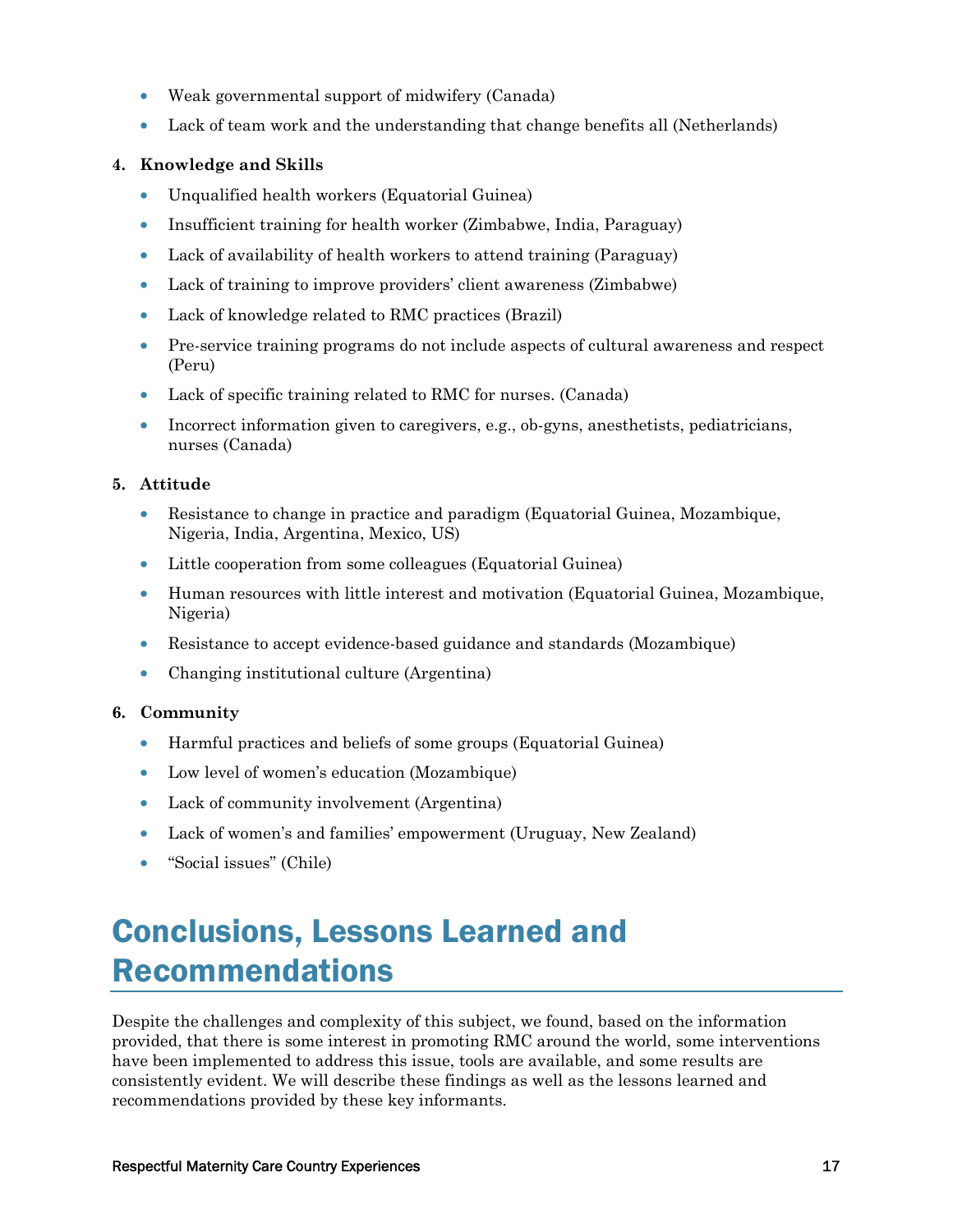- Weak governmental support of midwifery (Canada)
- Lack of team work and the understanding that change benefits all (Netherlands)

#### **4. Knowledge and Skills**

- Unqualified health workers (Equatorial Guinea)
- Insufficient training for health worker (Zimbabwe, India, Paraguay)
- Lack of availability of health workers to attend training (Paraguay)
- Lack of training to improve providers' client awareness (Zimbabwe)
- Lack of knowledge related to RMC practices (Brazil)
- Pre-service training programs do not include aspects of cultural awareness and respect (Peru)
- Lack of specific training related to RMC for nurses. (Canada)
- Incorrect information given to caregivers, e.g., ob-gyns, anesthetists, pediatricians, nurses (Canada)

#### **5. Attitude**

- Resistance to change in practice and paradigm (Equatorial Guinea, Mozambique, Nigeria, India, Argentina, Mexico, US)
- Little cooperation from some colleagues (Equatorial Guinea)
- Human resources with little interest and motivation (Equatorial Guinea, Mozambique, Nigeria)
- Resistance to accept evidence-based guidance and standards (Mozambique)
- Changing institutional culture (Argentina)

#### **6. Community**

- Harmful practices and beliefs of some groups (Equatorial Guinea)
- Low level of women's education (Mozambique)
- Lack of community involvement (Argentina)
- Lack of women's and families' empowerment (Uruguay, New Zealand)
- "Social issues" (Chile)

## Conclusions, Lessons Learned and Recommendations

Despite the challenges and complexity of this subject, we found, based on the information provided, that there is some interest in promoting RMC around the world, some interventions have been implemented to address this issue, tools are available, and some results are consistently evident. We will describe these findings as well as the lessons learned and recommendations provided by these key informants.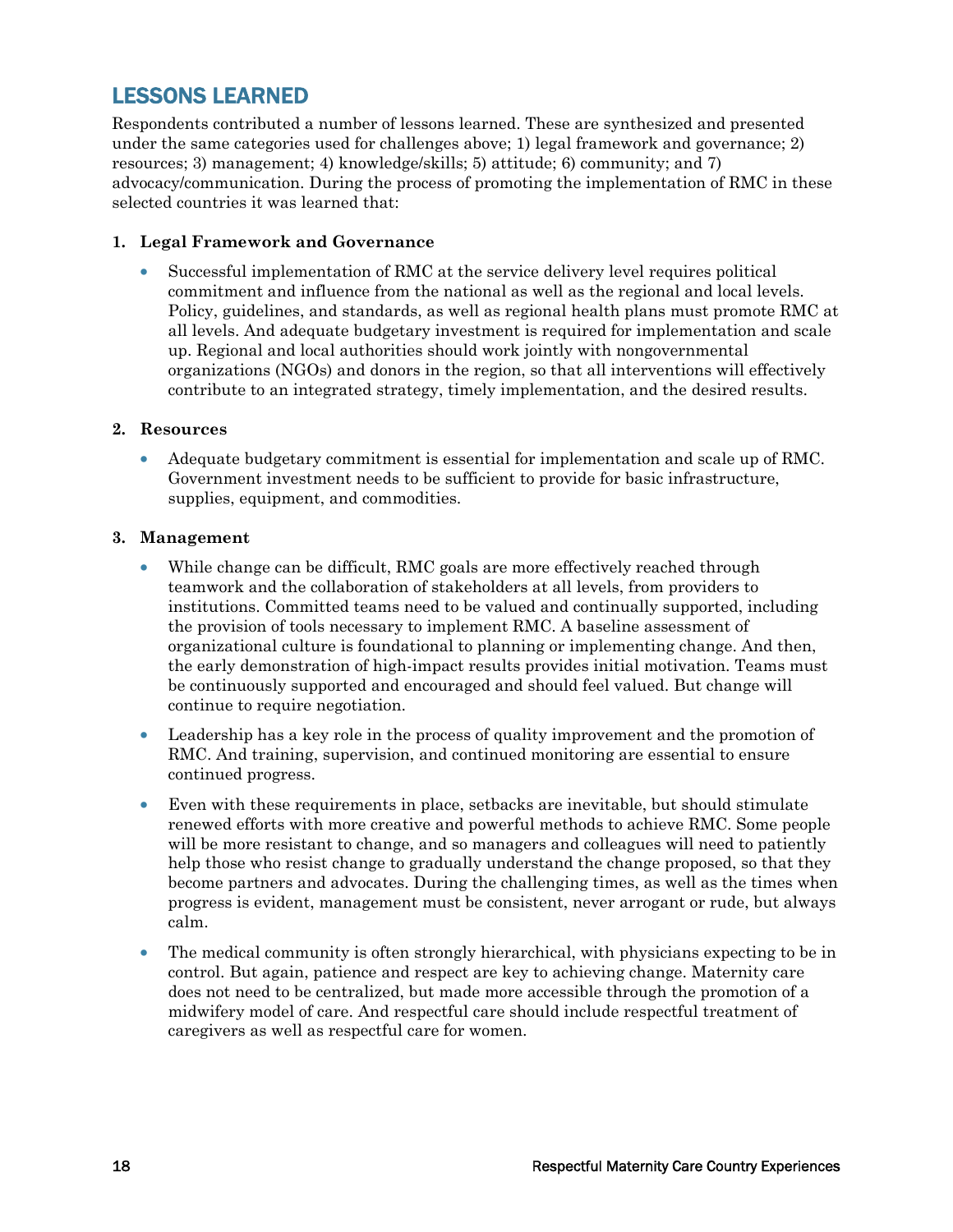### LESSONS LEARNED

Respondents contributed a number of lessons learned. These are synthesized and presented under the same categories used for challenges above; 1) legal framework and governance; 2) resources; 3) management; 4) knowledge/skills; 5) attitude; 6) community; and 7) advocacy/communication. During the process of promoting the implementation of RMC in these selected countries it was learned that:

#### **1. Legal Framework and Governance**

• Successful implementation of RMC at the service delivery level requires political commitment and influence from the national as well as the regional and local levels. Policy, guidelines, and standards, as well as regional health plans must promote RMC at all levels. And adequate budgetary investment is required for implementation and scale up. Regional and local authorities should work jointly with nongovernmental organizations (NGOs) and donors in the region, so that all interventions will effectively contribute to an integrated strategy, timely implementation, and the desired results.

#### **2. Resources**

• Adequate budgetary commitment is essential for implementation and scale up of RMC. Government investment needs to be sufficient to provide for basic infrastructure, supplies, equipment, and commodities.

#### **3. Management**

- While change can be difficult, RMC goals are more effectively reached through teamwork and the collaboration of stakeholders at all levels, from providers to institutions. Committed teams need to be valued and continually supported, including the provision of tools necessary to implement RMC. A baseline assessment of organizational culture is foundational to planning or implementing change. And then, the early demonstration of high-impact results provides initial motivation. Teams must be continuously supported and encouraged and should feel valued. But change will continue to require negotiation.
- Leadership has a key role in the process of quality improvement and the promotion of RMC. And training, supervision, and continued monitoring are essential to ensure continued progress.
- Even with these requirements in place, setbacks are inevitable, but should stimulate renewed efforts with more creative and powerful methods to achieve RMC. Some people will be more resistant to change, and so managers and colleagues will need to patiently help those who resist change to gradually understand the change proposed, so that they become partners and advocates. During the challenging times, as well as the times when progress is evident, management must be consistent, never arrogant or rude, but always calm.
- The medical community is often strongly hierarchical, with physicians expecting to be in control. But again, patience and respect are key to achieving change. Maternity care does not need to be centralized, but made more accessible through the promotion of a midwifery model of care. And respectful care should include respectful treatment of caregivers as well as respectful care for women.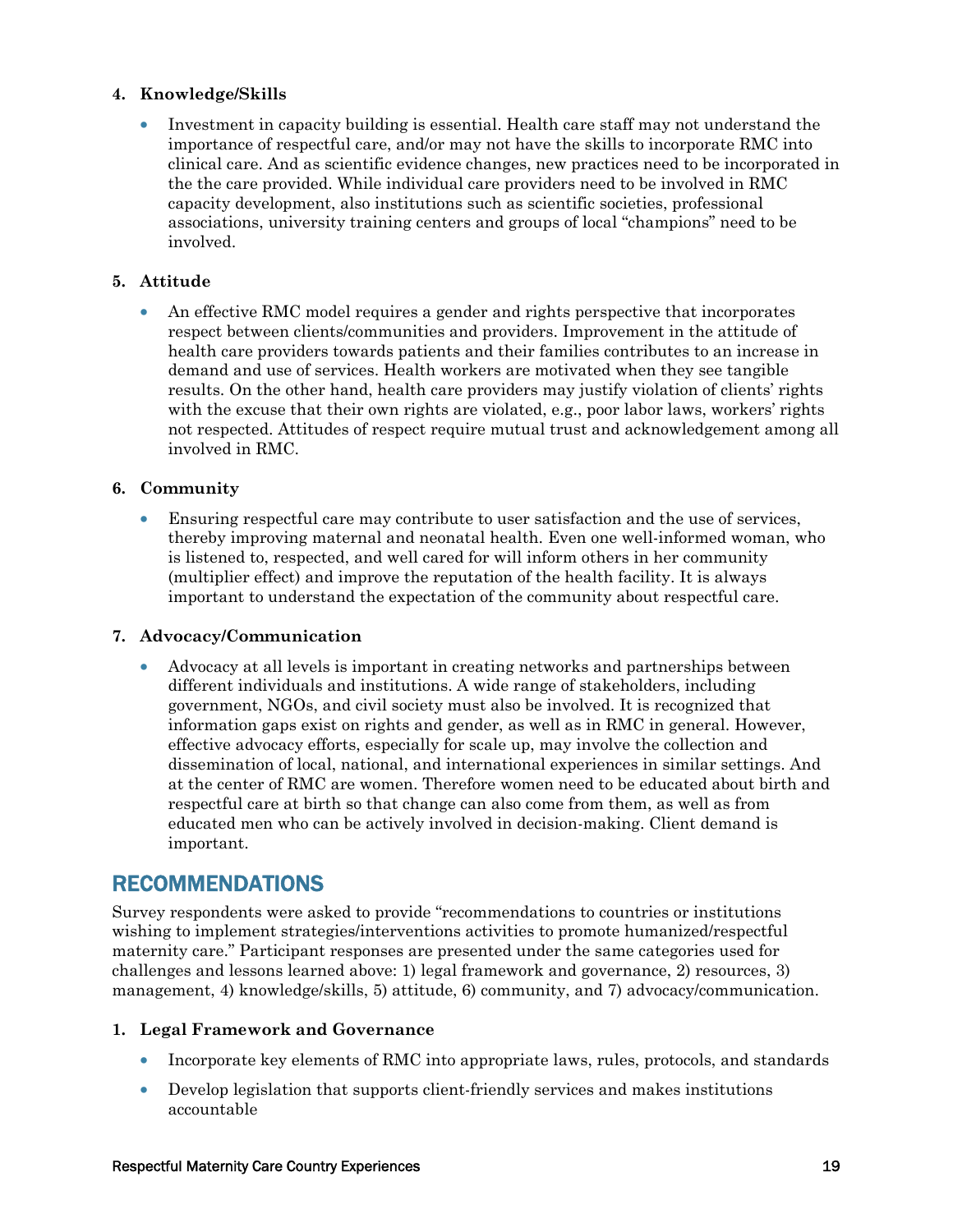#### **4. Knowledge/Skills**

• Investment in capacity building is essential. Health care staff may not understand the importance of respectful care, and/or may not have the skills to incorporate RMC into clinical care. And as scientific evidence changes, new practices need to be incorporated in the the care provided. While individual care providers need to be involved in RMC capacity development, also institutions such as scientific societies, professional associations, university training centers and groups of local "champions" need to be involved.

#### **5. Attitude**

• An effective RMC model requires a gender and rights perspective that incorporates respect between clients/communities and providers. Improvement in the attitude of health care providers towards patients and their families contributes to an increase in demand and use of services. Health workers are motivated when they see tangible results. On the other hand, health care providers may justify violation of clients' rights with the excuse that their own rights are violated, e.g., poor labor laws, workers' rights not respected. Attitudes of respect require mutual trust and acknowledgement among all involved in RMC.

#### **6. Community**

• Ensuring respectful care may contribute to user satisfaction and the use of services, thereby improving maternal and neonatal health. Even one well-informed woman, who is listened to, respected, and well cared for will inform others in her community (multiplier effect) and improve the reputation of the health facility. It is always important to understand the expectation of the community about respectful care.

#### **7. Advocacy/Communication**

• Advocacy at all levels is important in creating networks and partnerships between different individuals and institutions. A wide range of stakeholders, including government, NGOs, and civil society must also be involved. It is recognized that information gaps exist on rights and gender, as well as in RMC in general. However, effective advocacy efforts, especially for scale up, may involve the collection and dissemination of local, national, and international experiences in similar settings. And at the center of RMC are women. Therefore women need to be educated about birth and respectful care at birth so that change can also come from them, as well as from educated men who can be actively involved in decision-making. Client demand is important.

### RECOMMENDATIONS

Survey respondents were asked to provide "recommendations to countries or institutions wishing to implement strategies/interventions activities to promote humanized/respectful maternity care." Participant responses are presented under the same categories used for challenges and lessons learned above: 1) legal framework and governance, 2) resources, 3) management, 4) knowledge/skills, 5) attitude, 6) community, and 7) advocacy/communication.

#### **1. Legal Framework and Governance**

- Incorporate key elements of RMC into appropriate laws, rules, protocols, and standards
- Develop legislation that supports client-friendly services and makes institutions accountable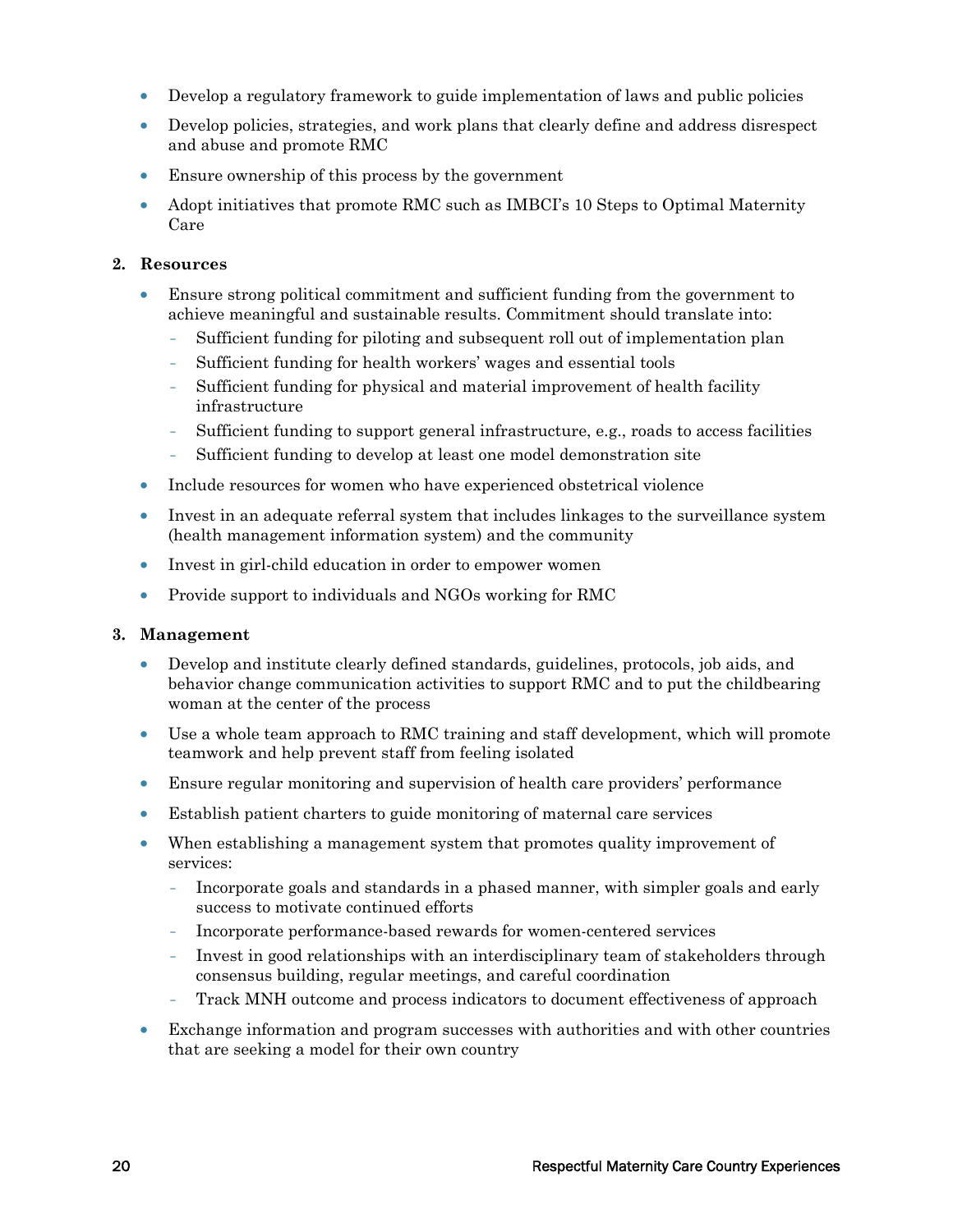- Develop a regulatory framework to guide implementation of laws and public policies
- Develop policies, strategies, and work plans that clearly define and address disrespect and abuse and promote RMC
- Ensure ownership of this process by the government
- Adopt initiatives that promote RMC such as IMBCI's 10 Steps to Optimal Maternity Care

#### **2. Resources**

- Ensure strong political commitment and sufficient funding from the government to achieve meaningful and sustainable results. Commitment should translate into:
	- Sufficient funding for piloting and subsequent roll out of implementation plan
	- Sufficient funding for health workers' wages and essential tools
	- Sufficient funding for physical and material improvement of health facility infrastructure
	- Sufficient funding to support general infrastructure, e.g., roads to access facilities
	- Sufficient funding to develop at least one model demonstration site
- Include resources for women who have experienced obstetrical violence
- Invest in an adequate referral system that includes linkages to the surveillance system (health management information system) and the community
- Invest in girl-child education in order to empower women
- Provide support to individuals and NGOs working for RMC

#### **3. Management**

- Develop and institute clearly defined standards, guidelines, protocols, job aids, and behavior change communication activities to support RMC and to put the childbearing woman at the center of the process
- Use a whole team approach to RMC training and staff development, which will promote teamwork and help prevent staff from feeling isolated
- Ensure regular monitoring and supervision of health care providers' performance
- Establish patient charters to guide monitoring of maternal care services
- When establishing a management system that promotes quality improvement of services:
	- Incorporate goals and standards in a phased manner, with simpler goals and early success to motivate continued efforts
	- Incorporate performance-based rewards for women-centered services
	- Invest in good relationships with an interdisciplinary team of stakeholders through consensus building, regular meetings, and careful coordination
	- Track MNH outcome and process indicators to document effectiveness of approach
- Exchange information and program successes with authorities and with other countries that are seeking a model for their own country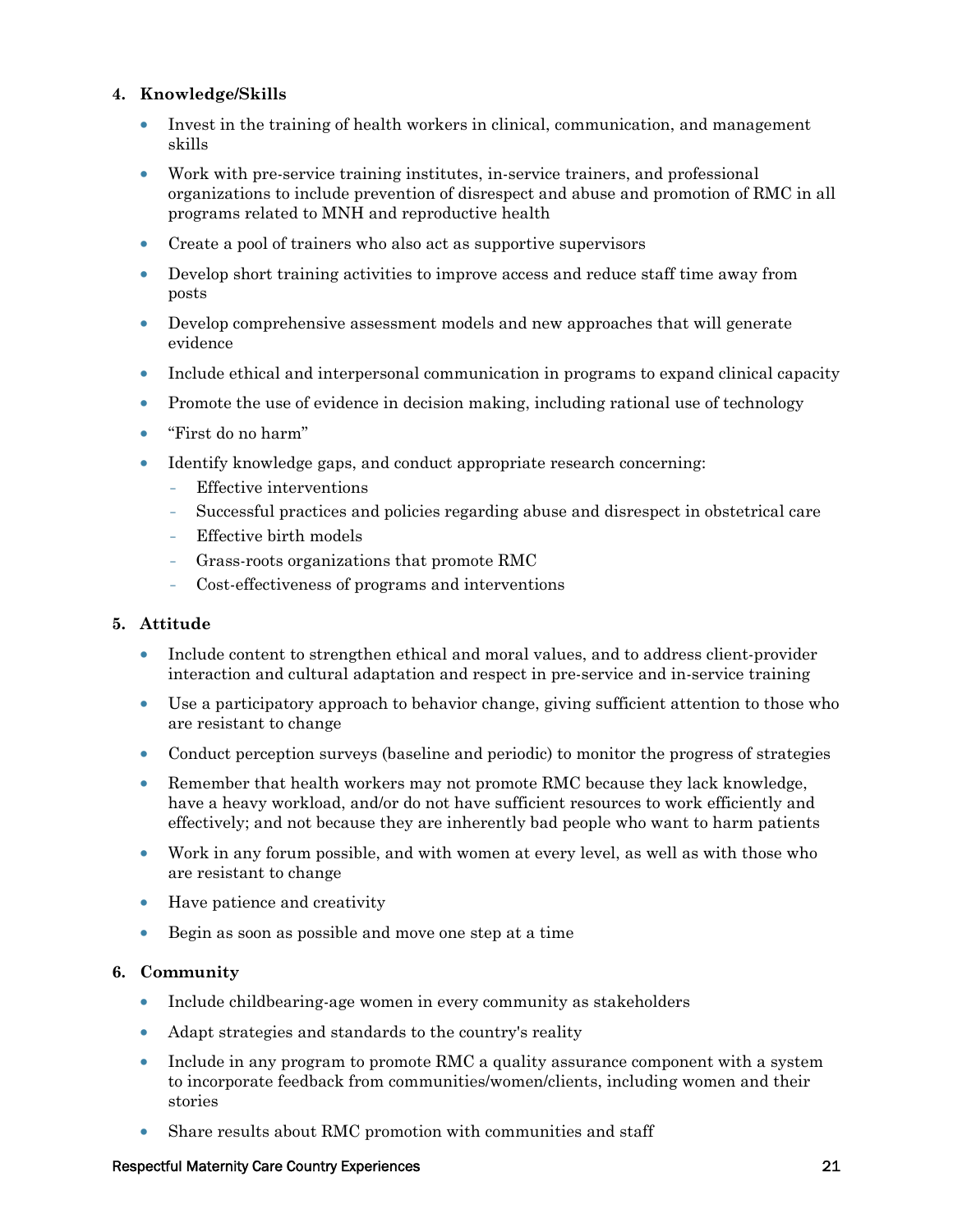#### **4. Knowledge/Skills**

- Invest in the training of health workers in clinical, communication, and management skills
- Work with pre-service training institutes, in-service trainers, and professional organizations to include prevention of disrespect and abuse and promotion of RMC in all programs related to MNH and reproductive health
- Create a pool of trainers who also act as supportive supervisors
- Develop short training activities to improve access and reduce staff time away from posts
- Develop comprehensive assessment models and new approaches that will generate evidence
- Include ethical and interpersonal communication in programs to expand clinical capacity
- Promote the use of evidence in decision making, including rational use of technology
- "First do no harm"
- Identify knowledge gaps, and conduct appropriate research concerning:
	- Effective interventions
	- Successful practices and policies regarding abuse and disrespect in obstetrical care
	- Effective birth models
	- Grass-roots organizations that promote RMC
	- Cost-effectiveness of programs and interventions

#### **5. Attitude**

- Include content to strengthen ethical and moral values, and to address client-provider interaction and cultural adaptation and respect in pre-service and in-service training
- Use a participatory approach to behavior change, giving sufficient attention to those who are resistant to change
- Conduct perception surveys (baseline and periodic) to monitor the progress of strategies
- Remember that health workers may not promote RMC because they lack knowledge, have a heavy workload, and/or do not have sufficient resources to work efficiently and effectively; and not because they are inherently bad people who want to harm patients
- Work in any forum possible, and with women at every level, as well as with those who are resistant to change
- Have patience and creativity
- Begin as soon as possible and move one step at a time

#### **6. Community**

- Include childbearing-age women in every community as stakeholders
- Adapt strategies and standards to the country's reality
- Include in any program to promote RMC a quality assurance component with a system to incorporate feedback from communities/women/clients, including women and their stories
- Share results about RMC promotion with communities and staff

#### Respectful Maternity Care Country Experiences 21 21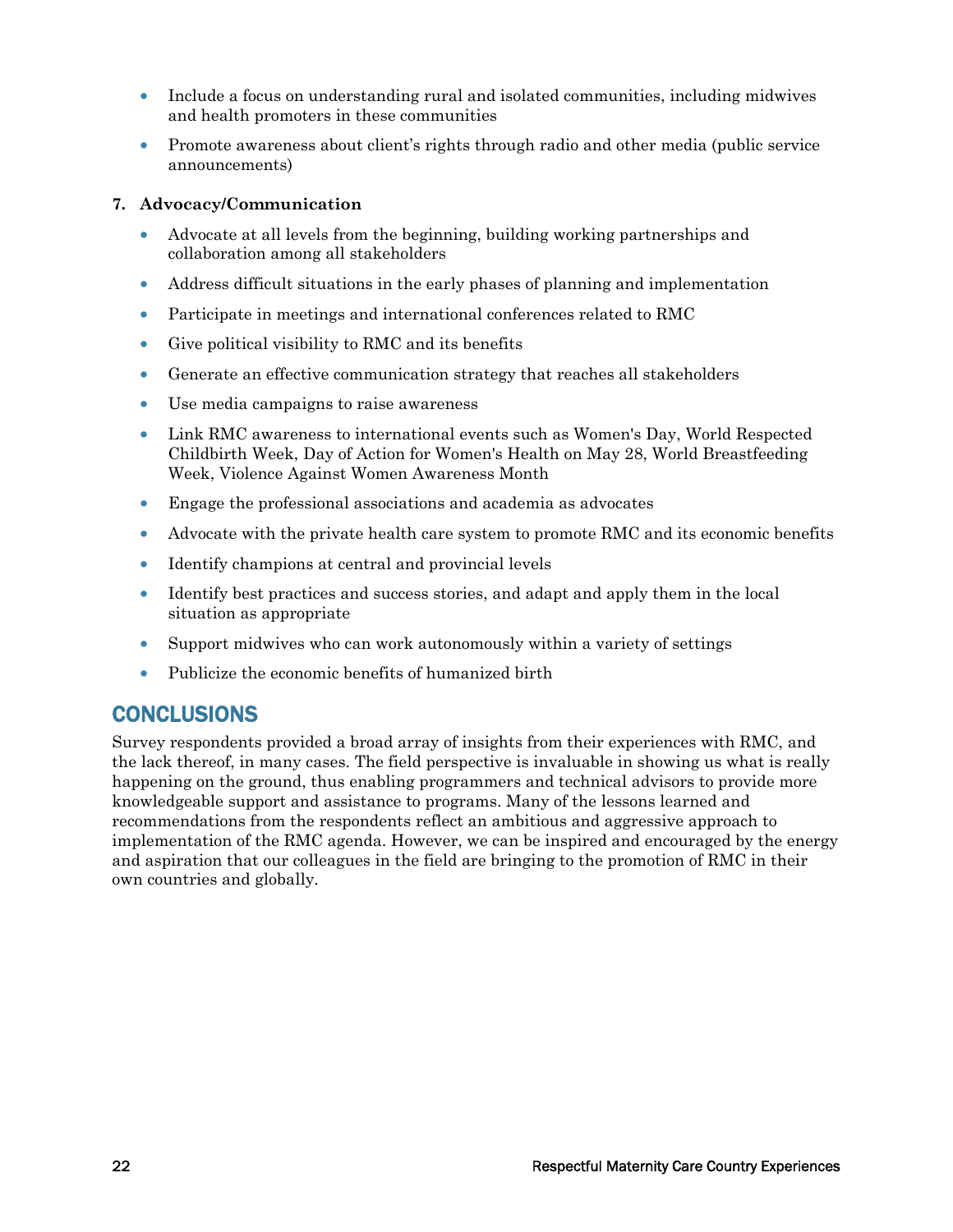- Include a focus on understanding rural and isolated communities, including midwives and health promoters in these communities
- Promote awareness about client's rights through radio and other media (public service announcements)

#### **7. Advocacy/Communication**

- Advocate at all levels from the beginning, building working partnerships and collaboration among all stakeholders
- Address difficult situations in the early phases of planning and implementation
- Participate in meetings and international conferences related to RMC
- Give political visibility to RMC and its benefits
- Generate an effective communication strategy that reaches all stakeholders
- Use media campaigns to raise awareness
- Link RMC awareness to international events such as Women's Day, World Respected Childbirth Week, Day of Action for Women's Health on May 28, World Breastfeeding Week, Violence Against Women Awareness Month
- Engage the professional associations and academia as advocates
- Advocate with the private health care system to promote RMC and its economic benefits
- Identify champions at central and provincial levels
- Identify best practices and success stories, and adapt and apply them in the local situation as appropriate
- Support midwives who can work autonomously within a variety of settings
- Publicize the economic benefits of humanized birth

### **CONCLUSIONS**

Survey respondents provided a broad array of insights from their experiences with RMC, and the lack thereof, in many cases. The field perspective is invaluable in showing us what is really happening on the ground, thus enabling programmers and technical advisors to provide more knowledgeable support and assistance to programs. Many of the lessons learned and recommendations from the respondents reflect an ambitious and aggressive approach to implementation of the RMC agenda. However, we can be inspired and encouraged by the energy and aspiration that our colleagues in the field are bringing to the promotion of RMC in their own countries and globally.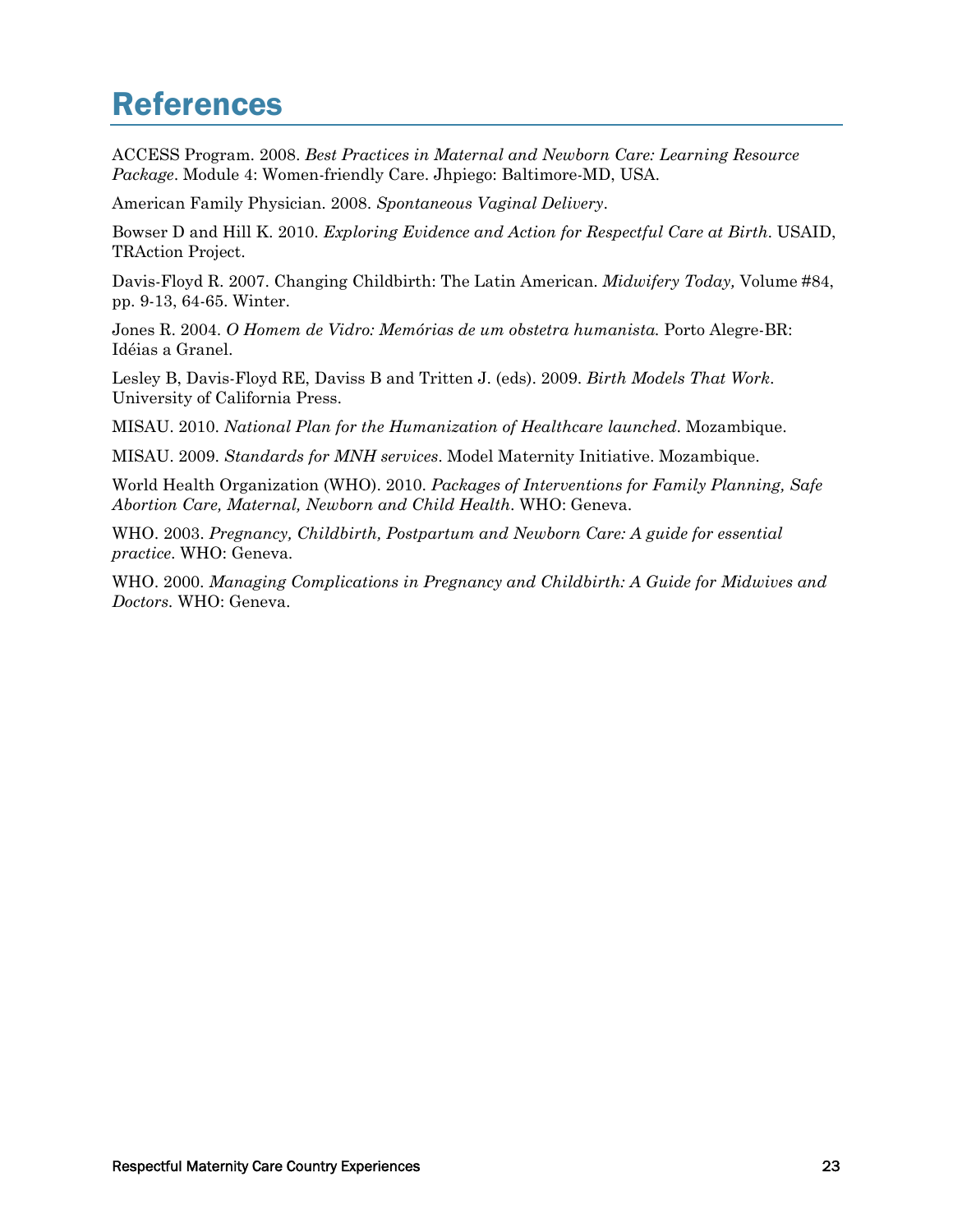## References

ACCESS Program. 2008. *Best Practices in Maternal and Newborn Care: Learning Resource Package*. Module 4: Women-friendly Care. Jhpiego: Baltimore-MD, USA.

American Family Physician. 2008. *Spontaneous Vaginal Delivery*.

Bowser D and Hill K. 2010. *Exploring Evidence and Action for Respectful Care at Birth*. USAID, TRAction Project.

Davis-Floyd R. 2007. Changing Childbirth: The Latin American. *Midwifery Today,* Volume #84, pp. 9-13, 64-65. Winter.

Jones R. 2004. *O Homem de Vidro: Memórias de um obstetra humanista.* Porto Alegre-BR: Idéias a Granel.

Lesley B, Davis-Floyd RE, Daviss B and Tritten J. (eds). 2009. *Birth Models That Work*. University of California Press.

MISAU. 2010. *National Plan for the Humanization of Healthcare launched*. Mozambique.

MISAU. 2009. *Standards for MNH services*. Model Maternity Initiative. Mozambique.

World Health Organization (WHO). 2010. *Packages of Interventions for Family Planning, Safe Abortion Care, Maternal, Newborn and Child Health*. WHO: Geneva.

WHO. 2003. *Pregnancy, Childbirth, Postpartum and Newborn Care: A guide for essential practice*. WHO: Geneva.

WHO. 2000. *Managing Complications in Pregnancy and Childbirth: A Guide for Midwives and Doctors.* WHO: Geneva.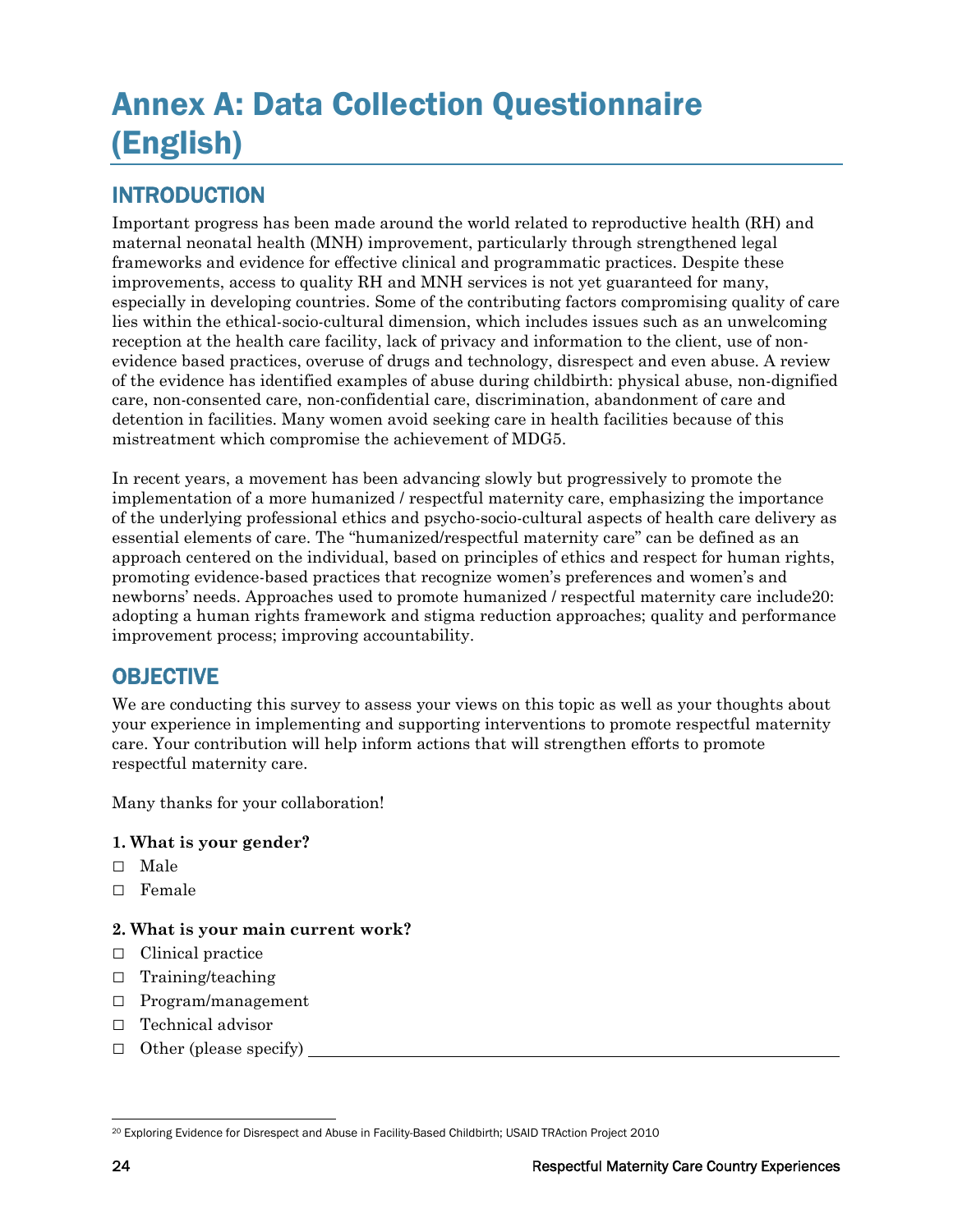## Annex A: Data Collection Questionnaire (English)

## INTRODUCTION

Important progress has been made around the world related to reproductive health (RH) and maternal neonatal health (MNH) improvement, particularly through strengthened legal frameworks and evidence for effective clinical and programmatic practices. Despite these improvements, access to quality RH and MNH services is not yet guaranteed for many, especially in developing countries. Some of the contributing factors compromising quality of care lies within the ethical-socio-cultural dimension, which includes issues such as an unwelcoming reception at the health care facility, lack of privacy and information to the client, use of nonevidence based practices, overuse of drugs and technology, disrespect and even abuse. A review of the evidence has identified examples of abuse during childbirth: physical abuse, non-dignified care, non-consented care, non-confidential care, discrimination, abandonment of care and detention in facilities. Many women avoid seeking care in health facilities because of this mistreatment which compromise the achievement of MDG5.

In recent years, a movement has been advancing slowly but progressively to promote the implementation of a more humanized / respectful maternity care, emphasizing the importance of the underlying professional ethics and psycho-socio-cultural aspects of health care delivery as essential elements of care. The "humanized/respectful maternity care" can be defined as an approach centered on the individual, based on principles of ethics and respect for human rights, promoting evidence-based practices that recognize women's preferences and women's and newborns' needs. Approaches used to promote humanized / respectful maternity care include20: adopting a human rights framework and stigma reduction approaches; quality and performance improvement process; improving accountability.

## **OBJECTIVE**

We are conducting this survey to assess your views on this topic as well as your thoughts about your experience in implementing and supporting interventions to promote respectful maternity care. Your contribution will help inform actions that will strengthen efforts to promote respectful maternity care.

Many thanks for your collaboration!

#### **1. What is your gender?**

- □ Male
- □ Female

#### **2. What is your main current work?**

- □ Clinical practice
- □ Training/teaching
- □ Program/management
- □ Technical advisor
- $\Box$  Other (please specify)

 $\overline{a}$ 20 Exploring Evidence for Disrespect and Abuse in Facility-Based Childbirth; USAID TRAction Project 2010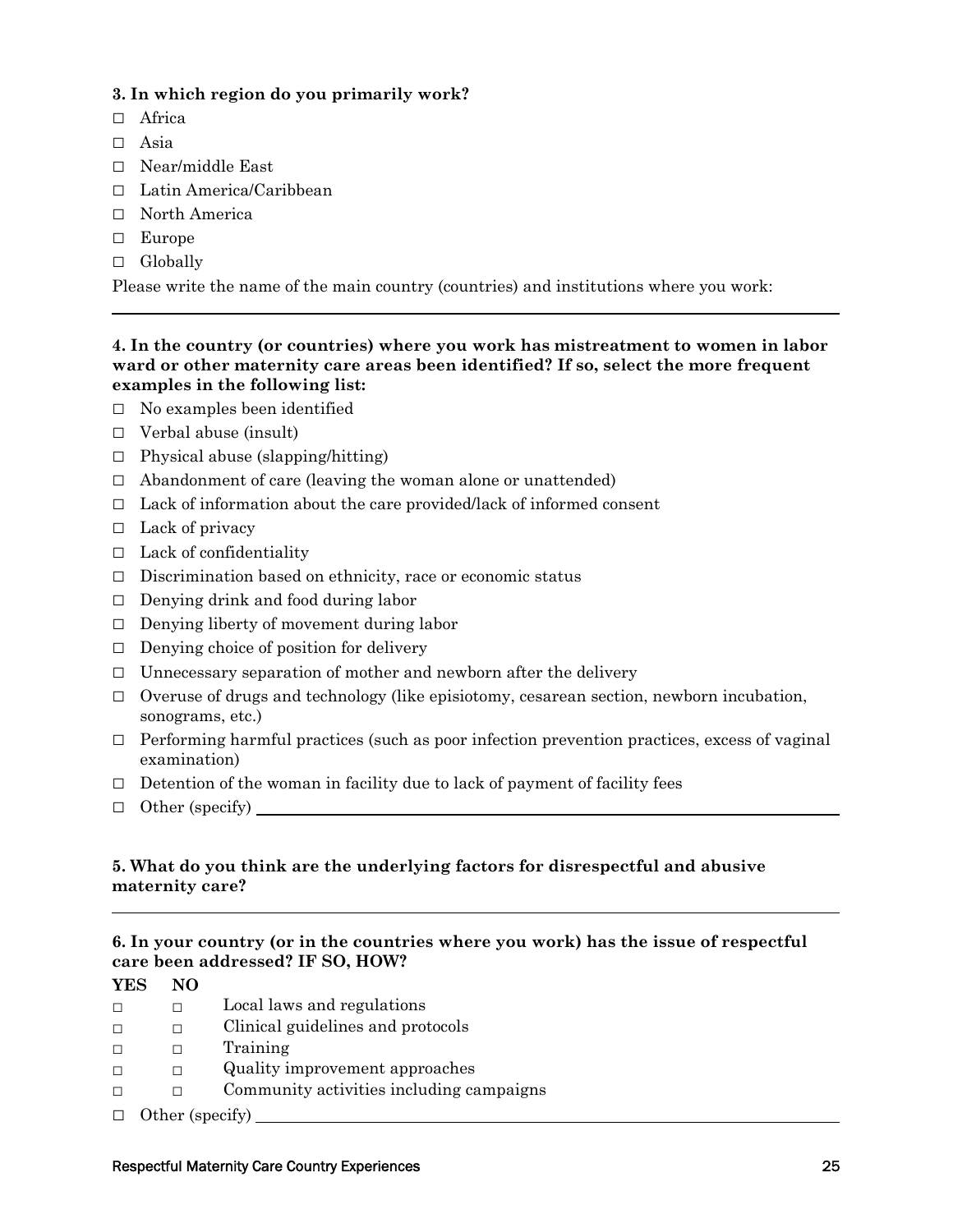#### **3. In which region do you primarily work?**

- □ Africa
- □ Asia
- □ Near/middle East
- □ Latin America/Caribbean
- □ North America
- □ Europe
- □ Globally

Please write the name of the main country (countries) and institutions where you work:

#### **4. In the country (or countries) where you work has mistreatment to women in labor ward or other maternity care areas been identified? If so, select the more frequent examples in the following list:**

- □ No examples been identified
- $\Box$  Verbal abuse (insult)
- $\Box$  Physical abuse (slapping/hitting)
- $\Box$  Abandonment of care (leaving the woman alone or unattended)
- $\Box$  Lack of information about the care provided/lack of informed consent
- $\Box$  Lack of privacy
- $\Box$  Lack of confidentiality
- $\Box$  Discrimination based on ethnicity, race or economic status
- $\Box$  Denying drink and food during labor
- $\Box$  Denying liberty of movement during labor
- $\Box$  Denying choice of position for delivery
- $\Box$  Unnecessary separation of mother and newborn after the delivery
- $\Box$  Overuse of drugs and technology (like episiotomy, cesarean section, newborn incubation, sonograms, etc.)
- $\Box$  Performing harmful practices (such as poor infection prevention practices, excess of vaginal examination)
- $\Box$  Detention of the woman in facility due to lack of payment of facility fees
- $\Box$  Other (specify)  $\Box$

#### **5. What do you think are the underlying factors for disrespectful and abusive maternity care?**

#### **6. In your country (or in the countries where you work) has the issue of respectful care been addressed? IF SO, HOW?**

| <b>YES</b> | NO |
|------------|----|
|            |    |

- $\Box$   $\Box$  Local laws and regulations
- □ □ Clinical guidelines and protocols
- □ □ Training
- □ □ Quality improvement approaches
- □ □ Community activities including campaigns
- □ Other (specify)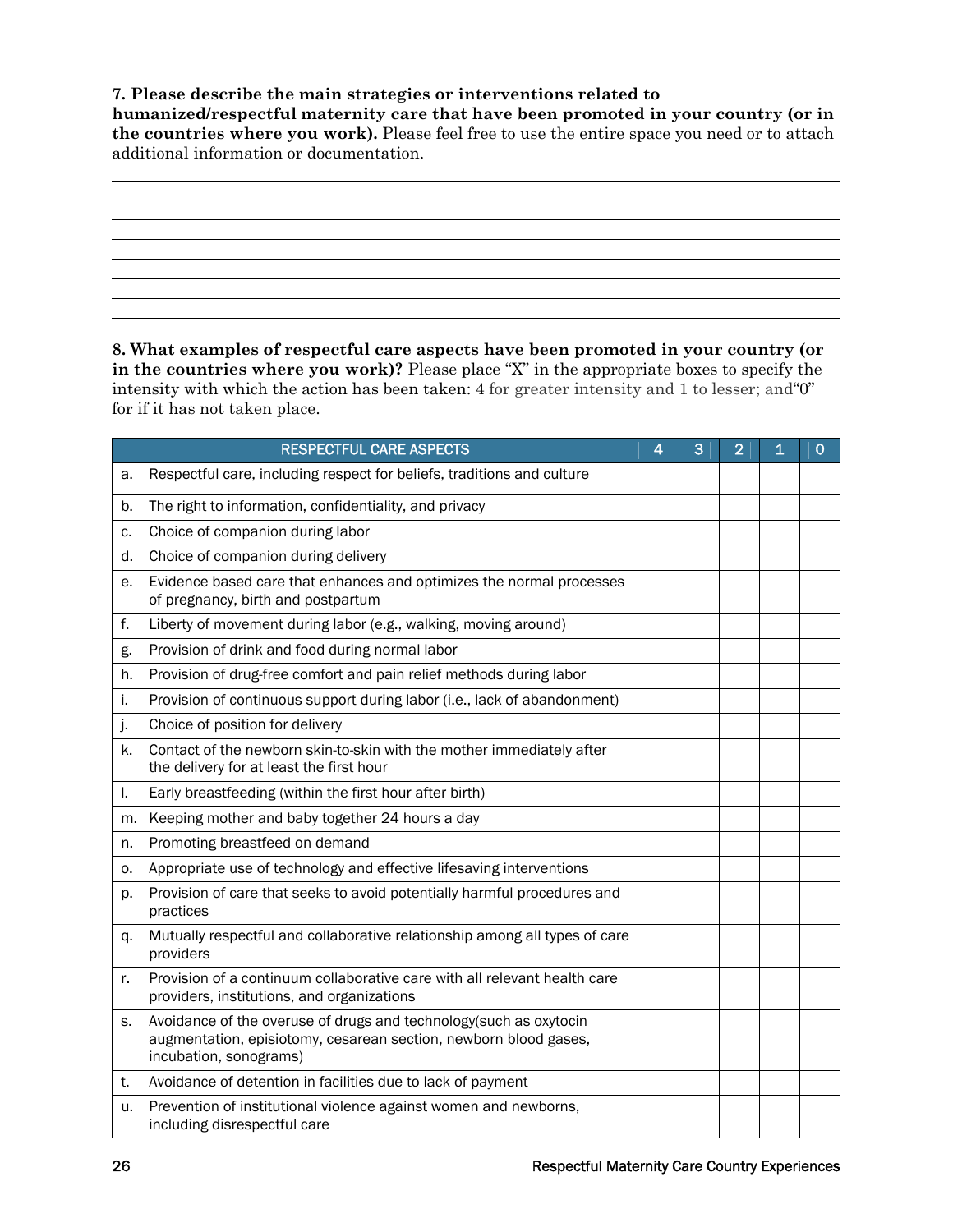#### **7. Please describe the main strategies or interventions related to**

**humanized/respectful maternity care that have been promoted in your country (or in the countries where you work).** Please feel free to use the entire space you need or to attach additional information or documentation.

**8. What examples of respectful care aspects have been promoted in your country (or in the countries where you work)?** Please place "X" in the appropriate boxes to specify the intensity with which the action has been taken: 4 for greater intensity and 1 to lesser; and"0" for if it has not taken place.

|    | <b>RESPECTFUL CARE ASPECTS</b>                                                                                                                                  | 4 | 3 | $\overline{2}$ | 1 | 0 |
|----|-----------------------------------------------------------------------------------------------------------------------------------------------------------------|---|---|----------------|---|---|
| а. | Respectful care, including respect for beliefs, traditions and culture                                                                                          |   |   |                |   |   |
| b. | The right to information, confidentiality, and privacy                                                                                                          |   |   |                |   |   |
| c. | Choice of companion during labor                                                                                                                                |   |   |                |   |   |
| d. | Choice of companion during delivery                                                                                                                             |   |   |                |   |   |
| е. | Evidence based care that enhances and optimizes the normal processes<br>of pregnancy, birth and postpartum                                                      |   |   |                |   |   |
| f. | Liberty of movement during labor (e.g., walking, moving around)                                                                                                 |   |   |                |   |   |
| g. | Provision of drink and food during normal labor                                                                                                                 |   |   |                |   |   |
| h. | Provision of drug-free comfort and pain relief methods during labor                                                                                             |   |   |                |   |   |
| i. | Provision of continuous support during labor (i.e., lack of abandonment)                                                                                        |   |   |                |   |   |
| j. | Choice of position for delivery                                                                                                                                 |   |   |                |   |   |
| k. | Contact of the newborn skin-to-skin with the mother immediately after<br>the delivery for at least the first hour                                               |   |   |                |   |   |
| I. | Early breastfeeding (within the first hour after birth)                                                                                                         |   |   |                |   |   |
| m. | Keeping mother and baby together 24 hours a day                                                                                                                 |   |   |                |   |   |
| n. | Promoting breastfeed on demand                                                                                                                                  |   |   |                |   |   |
| 0. | Appropriate use of technology and effective lifesaving interventions                                                                                            |   |   |                |   |   |
| p. | Provision of care that seeks to avoid potentially harmful procedures and<br>practices                                                                           |   |   |                |   |   |
| q. | Mutually respectful and collaborative relationship among all types of care<br>providers                                                                         |   |   |                |   |   |
| r. | Provision of a continuum collaborative care with all relevant health care<br>providers, institutions, and organizations                                         |   |   |                |   |   |
| s. | Avoidance of the overuse of drugs and technology(such as oxytocin<br>augmentation, episiotomy, cesarean section, newborn blood gases,<br>incubation, sonograms) |   |   |                |   |   |
| t. | Avoidance of detention in facilities due to lack of payment                                                                                                     |   |   |                |   |   |
| u. | Prevention of institutional violence against women and newborns,<br>including disrespectful care                                                                |   |   |                |   |   |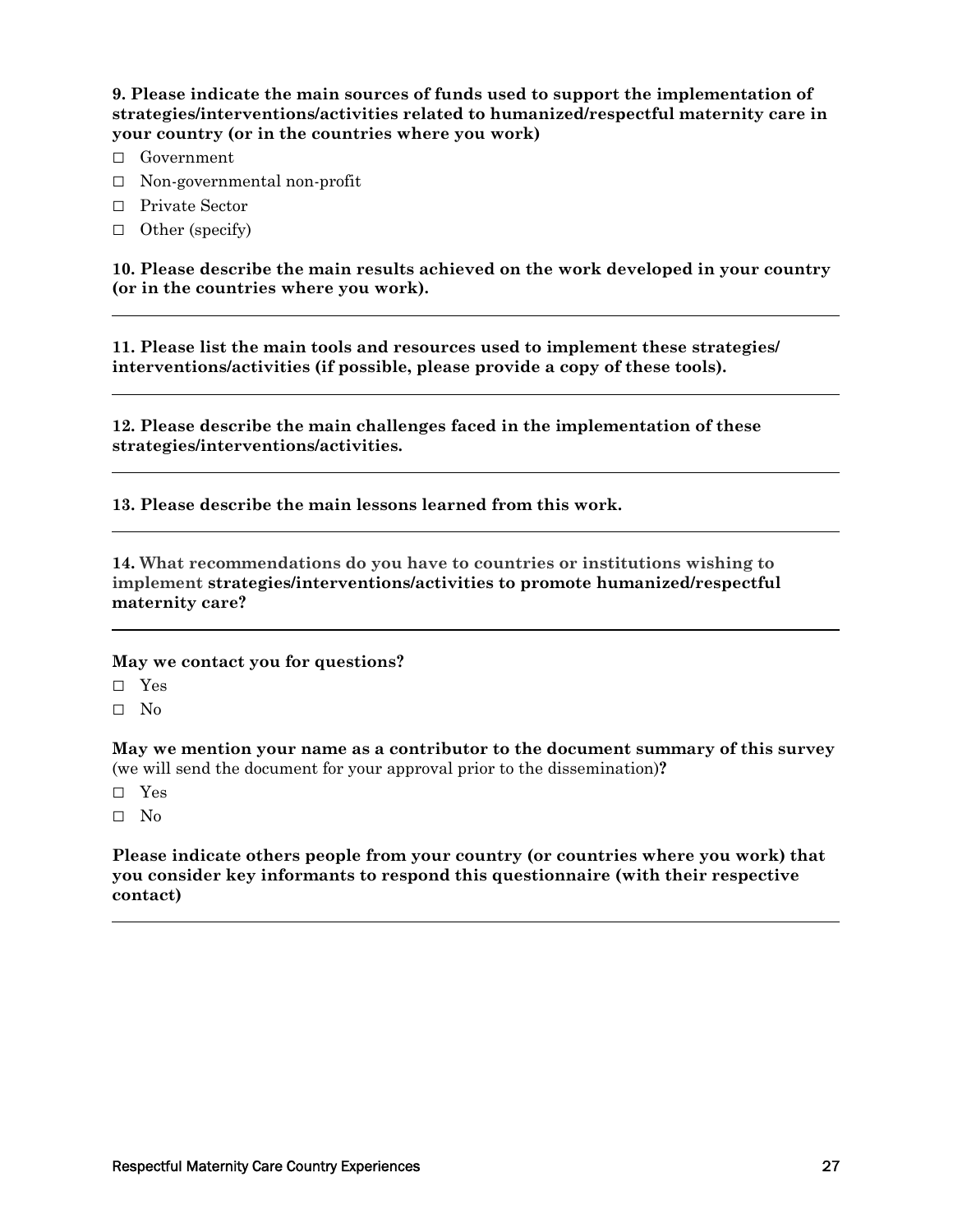**9. Please indicate the main sources of funds used to support the implementation of strategies/interventions/activities related to humanized/respectful maternity care in your country (or in the countries where you work)** 

- □ Government
- □ Non-governmental non-profit
- □ Private Sector
- □ Other (specify)

**10. Please describe the main results achieved on the work developed in your country (or in the countries where you work).** 

**11. Please list the main tools and resources used to implement these strategies/ interventions/activities (if possible, please provide a copy of these tools).** 

**12. Please describe the main challenges faced in the implementation of these strategies/interventions/activities.** 

**13. Please describe the main lessons learned from this work.** 

**14. What recommendations do you have to countries or institutions wishing to implement strategies/interventions/activities to promote humanized/respectful maternity care?**

#### **May we contact you for questions?**

□ Yes

□ No

**May we mention your name as a contributor to the document summary of this survey** (we will send the document for your approval prior to the dissemination)**?** 

- □ Yes
- □ No

**Please indicate others people from your country (or countries where you work) that you consider key informants to respond this questionnaire (with their respective contact)**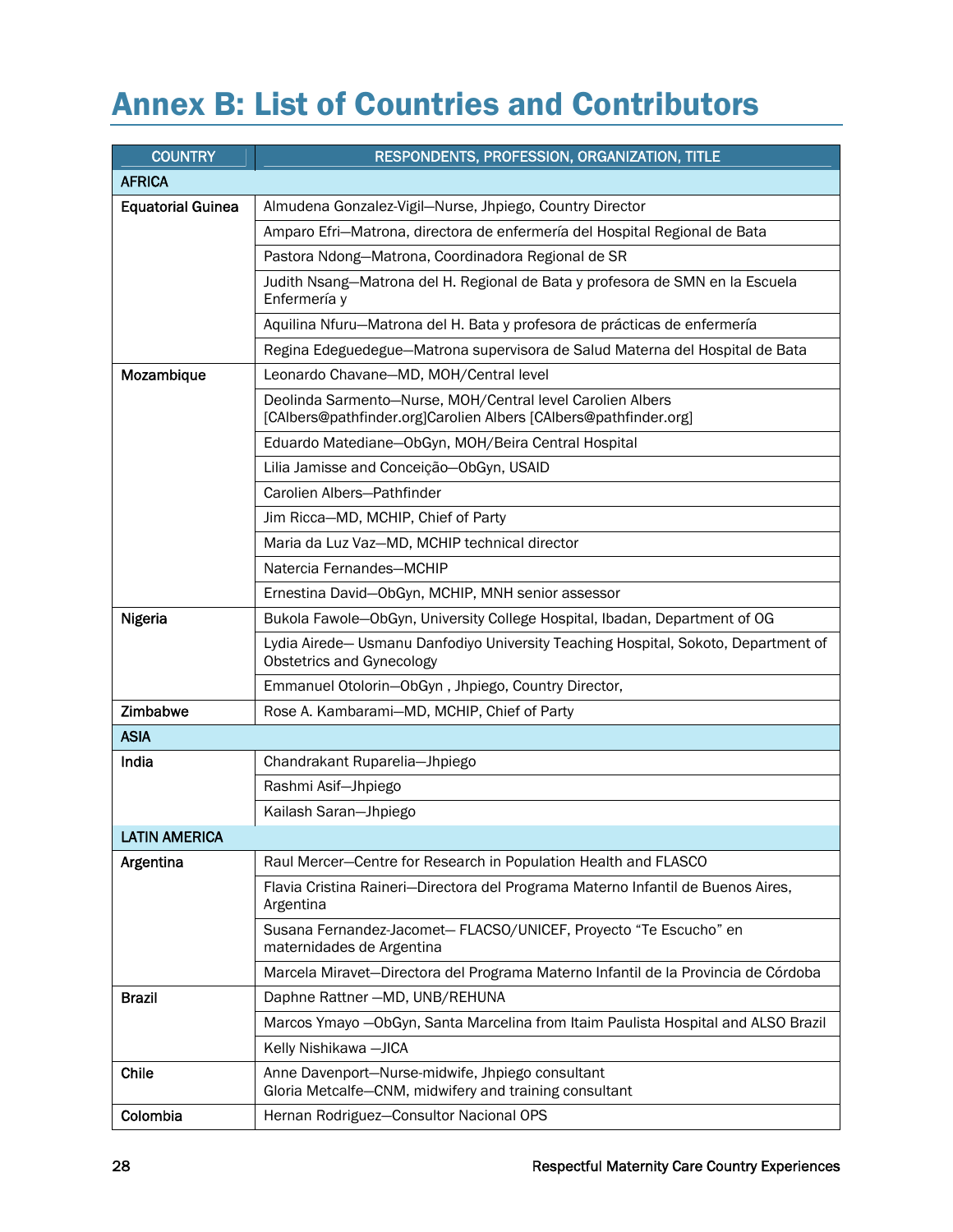## Annex B: List of Countries and Contributors

| <b>COUNTRY</b>           | RESPONDENTS, PROFESSION, ORGANIZATION, TITLE                                                                                   |
|--------------------------|--------------------------------------------------------------------------------------------------------------------------------|
| <b>AFRICA</b>            |                                                                                                                                |
| <b>Equatorial Guinea</b> | Almudena Gonzalez-Vigil-Nurse, Jhpiego, Country Director                                                                       |
|                          | Amparo Efri-Matrona, directora de enfermería del Hospital Regional de Bata                                                     |
|                          | Pastora Ndong-Matrona, Coordinadora Regional de SR                                                                             |
|                          | Judith Nsang-Matrona del H. Regional de Bata y profesora de SMN en la Escuela<br>Enfermería y                                  |
|                          | Aquilina Nfuru-Matrona del H. Bata y profesora de prácticas de enfermería                                                      |
|                          | Regina Edeguedegue-Matrona supervisora de Salud Materna del Hospital de Bata                                                   |
| Mozambique               | Leonardo Chavane-MD, MOH/Central level                                                                                         |
|                          | Deolinda Sarmento-Nurse, MOH/Central level Carolien Albers<br>[CAlbers@pathfinder.org]Carolien Albers [CAlbers@pathfinder.org] |
|                          | Eduardo Matediane-ObGyn, MOH/Beira Central Hospital                                                                            |
|                          | Lilia Jamisse and Conceição-ObGyn, USAID                                                                                       |
|                          | Carolien Albers-Pathfinder                                                                                                     |
|                          | Jim Ricca-MD, MCHIP, Chief of Party                                                                                            |
|                          | Maria da Luz Vaz-MD, MCHIP technical director                                                                                  |
|                          | Natercia Fernandes-MCHIP                                                                                                       |
|                          | Ernestina David-ObGyn, MCHIP, MNH senior assessor                                                                              |
| <b>Nigeria</b>           | Bukola Fawole-ObGyn, University College Hospital, Ibadan, Department of OG                                                     |
|                          | Lydia Airede- Usmanu Danfodiyo University Teaching Hospital, Sokoto, Department of<br>Obstetrics and Gynecology                |
|                          | Emmanuel Otolorin-ObGyn, Jhpiego, Country Director,                                                                            |
| Zimbabwe                 | Rose A. Kambarami-MD, MCHIP, Chief of Party                                                                                    |
| <b>ASIA</b>              |                                                                                                                                |
| India                    | Chandrakant Ruparelia-Jhpiego                                                                                                  |
|                          | Rashmi Asif-Jhpiego                                                                                                            |
|                          | Kailash Saran-Jhpiego                                                                                                          |
| <b>LATIN AMERICA</b>     |                                                                                                                                |
| Argentina                | Raul Mercer-Centre for Research in Population Health and FLASCO                                                                |
|                          | Flavia Cristina Raineri-Directora del Programa Materno Infantil de Buenos Aires,<br>Argentina                                  |
|                          | Susana Fernandez-Jacomet- FLACSO/UNICEF, Proyecto "Te Escucho" en<br>maternidades de Argentina                                 |
|                          | Marcela Miravet-Directora del Programa Materno Infantil de la Provincia de Córdoba                                             |
| <b>Brazil</b>            | Daphne Rattner - MD, UNB/REHUNA                                                                                                |
|                          | Marcos Ymayo - ObGyn, Santa Marcelina from Itaim Paulista Hospital and ALSO Brazil                                             |
|                          | Kelly Nishikawa - JICA                                                                                                         |
| Chile                    | Anne Davenport-Nurse-midwife, Jhpiego consultant<br>Gloria Metcalfe-CNM, midwifery and training consultant                     |
| Colombia                 | Hernan Rodriguez-Consultor Nacional OPS                                                                                        |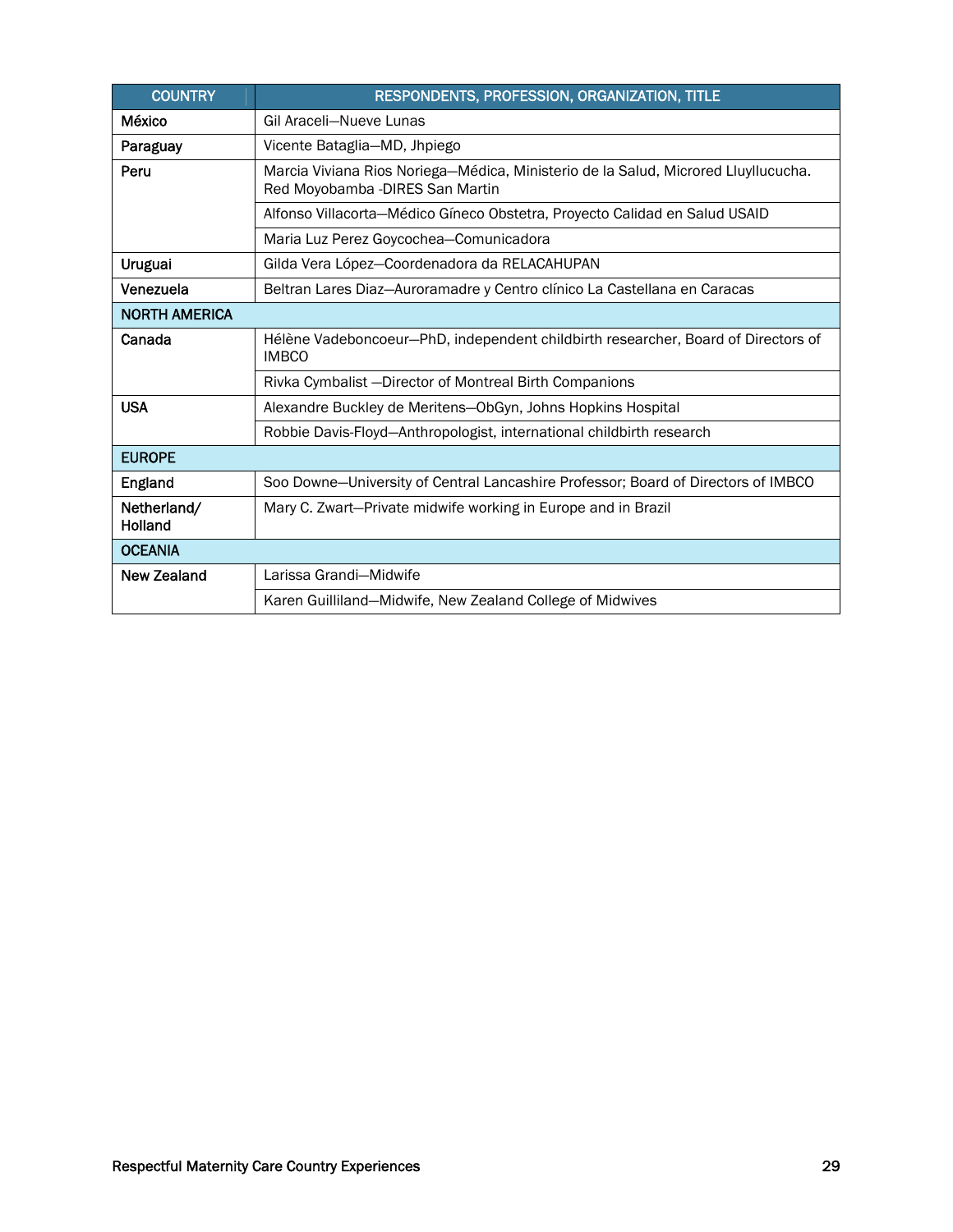| <b>COUNTRY</b>                                                                                                                 | RESPONDENTS, PROFESSION, ORGANIZATION, TITLE                                                      |  |  |  |
|--------------------------------------------------------------------------------------------------------------------------------|---------------------------------------------------------------------------------------------------|--|--|--|
| México                                                                                                                         | Gil Araceli-Nueve Lunas                                                                           |  |  |  |
| Paraguay                                                                                                                       | Vicente Bataglia-MD, Jhpiego                                                                      |  |  |  |
| Peru<br>Marcia Viviana Rios Noriega-Médica, Ministerio de la Salud, Microred Lluyllucucha.<br>Red Moyobamba - DIRES San Martin |                                                                                                   |  |  |  |
|                                                                                                                                | Alfonso Villacorta-Médico Gíneco Obstetra, Proyecto Calidad en Salud USAID                        |  |  |  |
|                                                                                                                                | Maria Luz Perez Goycochea-Comunicadora                                                            |  |  |  |
| <b>Uruguai</b>                                                                                                                 | Gilda Vera López-Coordenadora da RELACAHUPAN                                                      |  |  |  |
| Venezuela                                                                                                                      | Beltran Lares Diaz-Auroramadre y Centro clínico La Castellana en Caracas                          |  |  |  |
| <b>NORTH AMERICA</b>                                                                                                           |                                                                                                   |  |  |  |
| Canada                                                                                                                         | Hélène Vadeboncoeur-PhD, independent childbirth researcher, Board of Directors of<br><b>IMBCO</b> |  |  |  |
|                                                                                                                                | Rivka Cymbalist - Director of Montreal Birth Companions                                           |  |  |  |
| <b>USA</b>                                                                                                                     | Alexandre Buckley de Meritens-ObGyn, Johns Hopkins Hospital                                       |  |  |  |
|                                                                                                                                | Robbie Davis-Floyd-Anthropologist, international childbirth research                              |  |  |  |
| <b>EUROPE</b>                                                                                                                  |                                                                                                   |  |  |  |
| England                                                                                                                        | Soo Downe-University of Central Lancashire Professor; Board of Directors of IMBCO                 |  |  |  |
| Netherland/<br>Holland                                                                                                         | Mary C. Zwart-Private midwife working in Europe and in Brazil                                     |  |  |  |
| <b>OCEANIA</b>                                                                                                                 |                                                                                                   |  |  |  |
| <b>New Zealand</b>                                                                                                             | Larissa Grandi-Midwife                                                                            |  |  |  |
|                                                                                                                                | Karen Guilliland-Midwife, New Zealand College of Midwives                                         |  |  |  |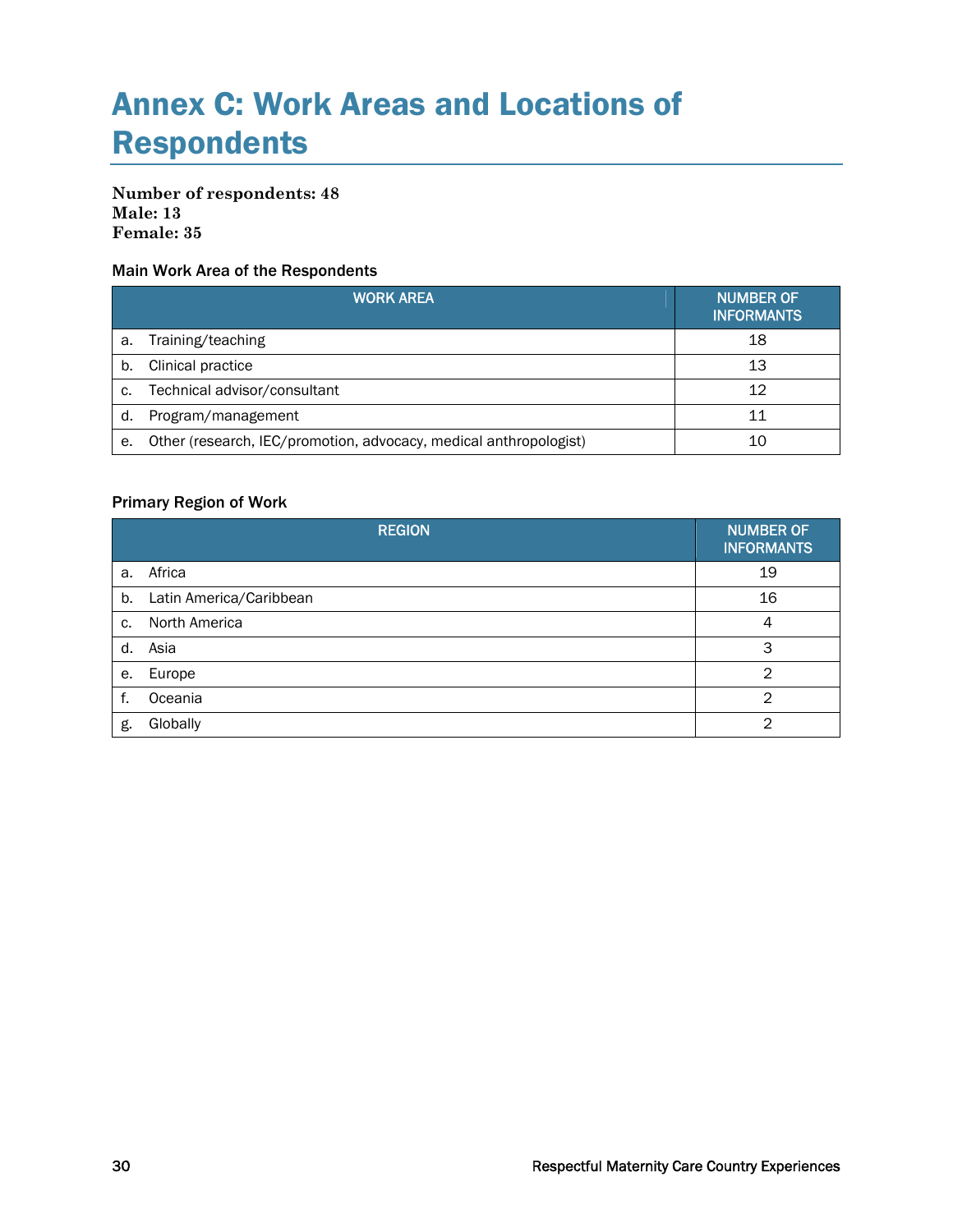## Annex C: Work Areas and Locations of Respondents

#### **Number of respondents: 48 Male: 13 Female: 35**

#### Main Work Area of the Respondents

|    | <b>WORK AREA</b>                                                  | <b>NUMBER OF</b><br><b>INFORMANTS</b> |
|----|-------------------------------------------------------------------|---------------------------------------|
| a. | Training/teaching                                                 | 18                                    |
| b. | Clinical practice                                                 | 13                                    |
| C. | Technical advisor/consultant                                      | 12                                    |
| d. | Program/management                                                | 11                                    |
| е. | Other (research, IEC/promotion, advocacy, medical anthropologist) | 10                                    |

#### Primary Region of Work

|    | <b>REGION</b>           | <b>NUMBER OF</b><br><b>INFORMANTS</b> |
|----|-------------------------|---------------------------------------|
| a. | Africa                  | 19                                    |
| b. | Latin America/Caribbean | 16                                    |
| c. | North America           | 4                                     |
| d. | Asia                    | 3                                     |
| е. | Europe                  | $\overline{2}$                        |
| f. | Oceania                 | $\mathfrak{D}$                        |
| g. | Globally                | っ                                     |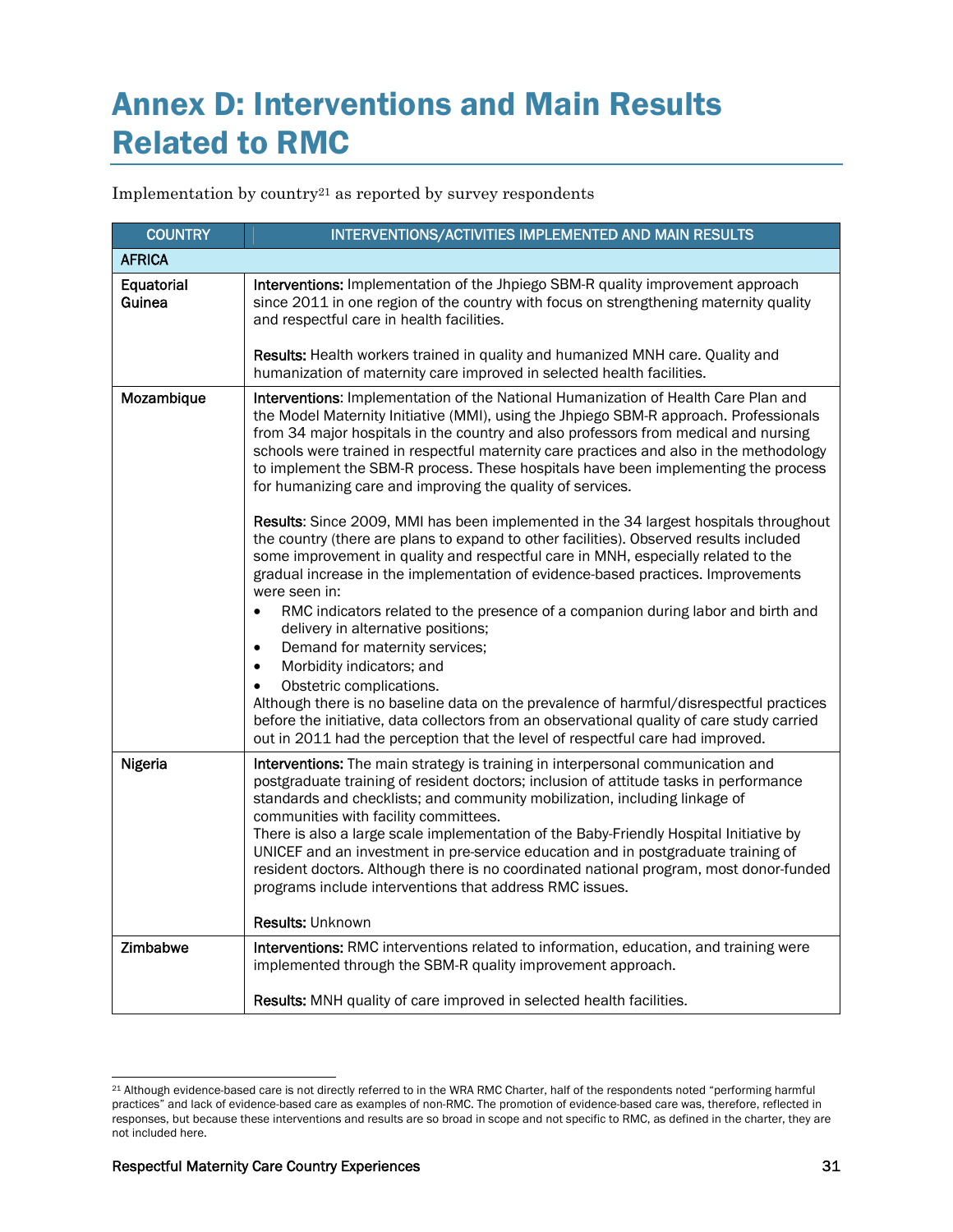## Annex D: Interventions and Main Results Related to RMC

Implementation by country21 as reported by survey respondents

| <b>COUNTRY</b>       | INTERVENTIONS/ACTIVITIES IMPLEMENTED AND MAIN RESULTS                                                                                                                                                                                                                                                                                                                                                                                                                                                                                                                                                                                                                                                                                                                                                                                                                                                                                                                                                                                                                                                                                                                                                                                                                                                                                 |
|----------------------|---------------------------------------------------------------------------------------------------------------------------------------------------------------------------------------------------------------------------------------------------------------------------------------------------------------------------------------------------------------------------------------------------------------------------------------------------------------------------------------------------------------------------------------------------------------------------------------------------------------------------------------------------------------------------------------------------------------------------------------------------------------------------------------------------------------------------------------------------------------------------------------------------------------------------------------------------------------------------------------------------------------------------------------------------------------------------------------------------------------------------------------------------------------------------------------------------------------------------------------------------------------------------------------------------------------------------------------|
| <b>AFRICA</b>        |                                                                                                                                                                                                                                                                                                                                                                                                                                                                                                                                                                                                                                                                                                                                                                                                                                                                                                                                                                                                                                                                                                                                                                                                                                                                                                                                       |
| Equatorial<br>Guinea | Interventions: Implementation of the Jhpiego SBM-R quality improvement approach<br>since 2011 in one region of the country with focus on strengthening maternity quality<br>and respectful care in health facilities.                                                                                                                                                                                                                                                                                                                                                                                                                                                                                                                                                                                                                                                                                                                                                                                                                                                                                                                                                                                                                                                                                                                 |
|                      | Results: Health workers trained in quality and humanized MNH care. Quality and<br>humanization of maternity care improved in selected health facilities.                                                                                                                                                                                                                                                                                                                                                                                                                                                                                                                                                                                                                                                                                                                                                                                                                                                                                                                                                                                                                                                                                                                                                                              |
| Mozambique           | Interventions: Implementation of the National Humanization of Health Care Plan and<br>the Model Maternity Initiative (MMI), using the Jhpiego SBM-R approach. Professionals<br>from 34 major hospitals in the country and also professors from medical and nursing<br>schools were trained in respectful maternity care practices and also in the methodology<br>to implement the SBM-R process. These hospitals have been implementing the process<br>for humanizing care and improving the quality of services.<br>Results: Since 2009, MMI has been implemented in the 34 largest hospitals throughout<br>the country (there are plans to expand to other facilities). Observed results included<br>some improvement in quality and respectful care in MNH, especially related to the<br>gradual increase in the implementation of evidence-based practices. Improvements<br>were seen in:<br>RMC indicators related to the presence of a companion during labor and birth and<br>delivery in alternative positions;<br>Demand for maternity services;<br>$\bullet$<br>Morbidity indicators; and<br>$\bullet$<br>Obstetric complications.<br>Although there is no baseline data on the prevalence of harmful/disrespectful practices<br>before the initiative, data collectors from an observational quality of care study carried |
|                      | out in 2011 had the perception that the level of respectful care had improved.                                                                                                                                                                                                                                                                                                                                                                                                                                                                                                                                                                                                                                                                                                                                                                                                                                                                                                                                                                                                                                                                                                                                                                                                                                                        |
| Nigeria              | Interventions: The main strategy is training in interpersonal communication and<br>postgraduate training of resident doctors; inclusion of attitude tasks in performance<br>standards and checklists; and community mobilization, including linkage of<br>communities with facility committees.<br>There is also a large scale implementation of the Baby-Friendly Hospital Initiative by<br>UNICEF and an investment in pre-service education and in postgraduate training of<br>resident doctors. Although there is no coordinated national program, most donor-funded<br>programs include interventions that address RMC issues.<br><b>Results: Unknown</b>                                                                                                                                                                                                                                                                                                                                                                                                                                                                                                                                                                                                                                                                        |
| Zimbabwe             | Interventions: RMC interventions related to information, education, and training were                                                                                                                                                                                                                                                                                                                                                                                                                                                                                                                                                                                                                                                                                                                                                                                                                                                                                                                                                                                                                                                                                                                                                                                                                                                 |
|                      | implemented through the SBM-R quality improvement approach.                                                                                                                                                                                                                                                                                                                                                                                                                                                                                                                                                                                                                                                                                                                                                                                                                                                                                                                                                                                                                                                                                                                                                                                                                                                                           |
|                      | Results: MNH quality of care improved in selected health facilities.                                                                                                                                                                                                                                                                                                                                                                                                                                                                                                                                                                                                                                                                                                                                                                                                                                                                                                                                                                                                                                                                                                                                                                                                                                                                  |

 $\overline{a}$ 21 Although evidence-based care is not directly referred to in the WRA RMC Charter, half of the respondents noted "performing harmful practices" and lack of evidence-based care as examples of non-RMC. The promotion of evidence-based care was, therefore, reflected in responses, but because these interventions and results are so broad in scope and not specific to RMC, as defined in the charter, they are not included here.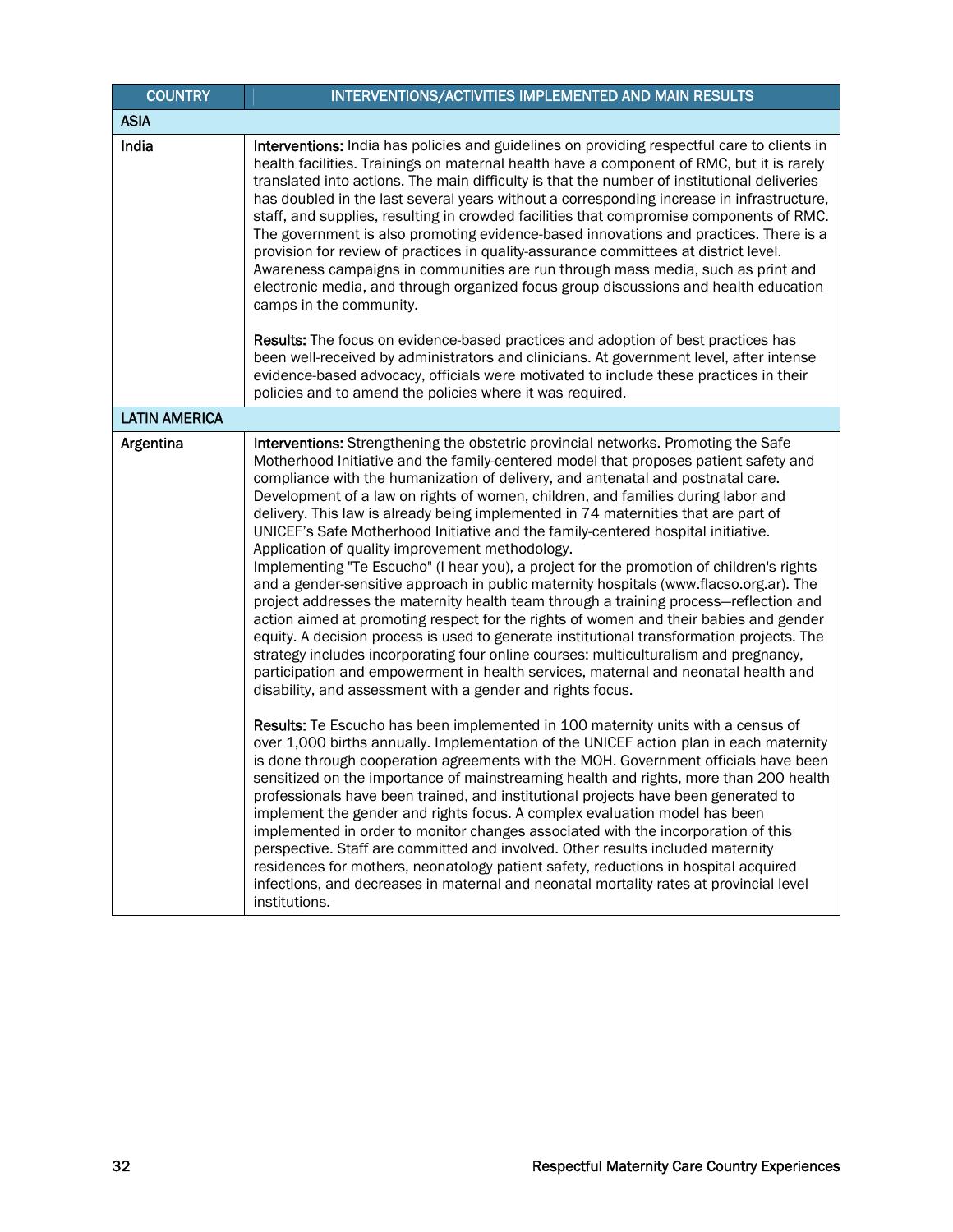| <b>COUNTRY</b>       | INTERVENTIONS/ACTIVITIES IMPLEMENTED AND MAIN RESULTS                                                                                                                                                                                                                                                                                                                                                                                                                                                                                                                                                                                                                                                                                                                                                                                                                                                                                                                                                                                                                                                                                                                                                                                                                                                                                                                                                                                                                                                                                                                                                                                                                                                                                                                                                                                                                                                                                                                                                                                                                                                                                                                                                       |
|----------------------|-------------------------------------------------------------------------------------------------------------------------------------------------------------------------------------------------------------------------------------------------------------------------------------------------------------------------------------------------------------------------------------------------------------------------------------------------------------------------------------------------------------------------------------------------------------------------------------------------------------------------------------------------------------------------------------------------------------------------------------------------------------------------------------------------------------------------------------------------------------------------------------------------------------------------------------------------------------------------------------------------------------------------------------------------------------------------------------------------------------------------------------------------------------------------------------------------------------------------------------------------------------------------------------------------------------------------------------------------------------------------------------------------------------------------------------------------------------------------------------------------------------------------------------------------------------------------------------------------------------------------------------------------------------------------------------------------------------------------------------------------------------------------------------------------------------------------------------------------------------------------------------------------------------------------------------------------------------------------------------------------------------------------------------------------------------------------------------------------------------------------------------------------------------------------------------------------------------|
| <b>ASIA</b>          |                                                                                                                                                                                                                                                                                                                                                                                                                                                                                                                                                                                                                                                                                                                                                                                                                                                                                                                                                                                                                                                                                                                                                                                                                                                                                                                                                                                                                                                                                                                                                                                                                                                                                                                                                                                                                                                                                                                                                                                                                                                                                                                                                                                                             |
| India                | Interventions: India has policies and guidelines on providing respectful care to clients in<br>health facilities. Trainings on maternal health have a component of RMC, but it is rarely<br>translated into actions. The main difficulty is that the number of institutional deliveries<br>has doubled in the last several years without a corresponding increase in infrastructure,<br>staff, and supplies, resulting in crowded facilities that compromise components of RMC.<br>The government is also promoting evidence-based innovations and practices. There is a<br>provision for review of practices in quality-assurance committees at district level.<br>Awareness campaigns in communities are run through mass media, such as print and<br>electronic media, and through organized focus group discussions and health education<br>camps in the community.                                                                                                                                                                                                                                                                                                                                                                                                                                                                                                                                                                                                                                                                                                                                                                                                                                                                                                                                                                                                                                                                                                                                                                                                                                                                                                                                     |
|                      | Results: The focus on evidence-based practices and adoption of best practices has<br>been well-received by administrators and clinicians. At government level, after intense<br>evidence-based advocacy, officials were motivated to include these practices in their<br>policies and to amend the policies where it was required.                                                                                                                                                                                                                                                                                                                                                                                                                                                                                                                                                                                                                                                                                                                                                                                                                                                                                                                                                                                                                                                                                                                                                                                                                                                                                                                                                                                                                                                                                                                                                                                                                                                                                                                                                                                                                                                                          |
| <b>LATIN AMERICA</b> |                                                                                                                                                                                                                                                                                                                                                                                                                                                                                                                                                                                                                                                                                                                                                                                                                                                                                                                                                                                                                                                                                                                                                                                                                                                                                                                                                                                                                                                                                                                                                                                                                                                                                                                                                                                                                                                                                                                                                                                                                                                                                                                                                                                                             |
| Argentina            | Interventions: Strengthening the obstetric provincial networks. Promoting the Safe<br>Motherhood Initiative and the family-centered model that proposes patient safety and<br>compliance with the humanization of delivery, and antenatal and postnatal care.<br>Development of a law on rights of women, children, and families during labor and<br>delivery. This law is already being implemented in 74 maternities that are part of<br>UNICEF's Safe Motherhood Initiative and the family-centered hospital initiative.<br>Application of quality improvement methodology.<br>Implementing "Te Escucho" (I hear you), a project for the promotion of children's rights<br>and a gender-sensitive approach in public maternity hospitals (www.flacso.org.ar). The<br>project addresses the maternity health team through a training process-reflection and<br>action aimed at promoting respect for the rights of women and their babies and gender<br>equity. A decision process is used to generate institutional transformation projects. The<br>strategy includes incorporating four online courses: multiculturalism and pregnancy,<br>participation and empowerment in health services, maternal and neonatal health and<br>disability, and assessment with a gender and rights focus.<br>Results: Te Escucho has been implemented in 100 maternity units with a census of<br>over 1,000 births annually. Implementation of the UNICEF action plan in each maternity<br>is done through cooperation agreements with the MOH. Government officials have been<br>sensitized on the importance of mainstreaming health and rights, more than 200 health<br>professionals have been trained, and institutional projects have been generated to<br>implement the gender and rights focus. A complex evaluation model has been<br>implemented in order to monitor changes associated with the incorporation of this<br>perspective. Staff are committed and involved. Other results included maternity<br>residences for mothers, neonatology patient safety, reductions in hospital acquired<br>infections, and decreases in maternal and neonatal mortality rates at provincial level<br>institutions. |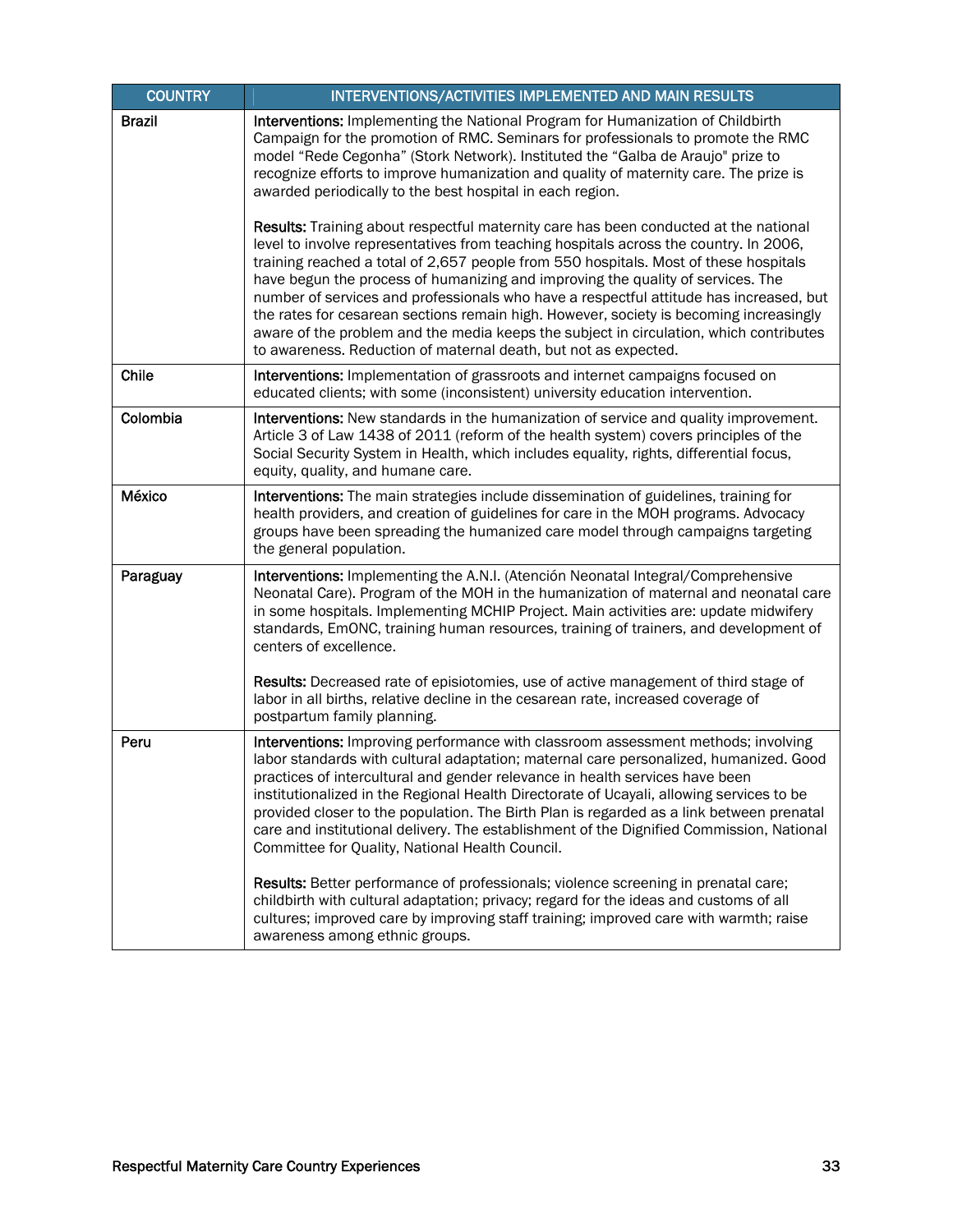| <b>COUNTRY</b> | INTERVENTIONS/ACTIVITIES IMPLEMENTED AND MAIN RESULTS                                                                                                                                                                                                                                                                                                                                                                                                                                                                                                                                                                                                                                                     |
|----------------|-----------------------------------------------------------------------------------------------------------------------------------------------------------------------------------------------------------------------------------------------------------------------------------------------------------------------------------------------------------------------------------------------------------------------------------------------------------------------------------------------------------------------------------------------------------------------------------------------------------------------------------------------------------------------------------------------------------|
| <b>Brazil</b>  | Interventions: Implementing the National Program for Humanization of Childbirth<br>Campaign for the promotion of RMC. Seminars for professionals to promote the RMC<br>model "Rede Cegonha" (Stork Network). Instituted the "Galba de Araujo" prize to<br>recognize efforts to improve humanization and quality of maternity care. The prize is<br>awarded periodically to the best hospital in each region.                                                                                                                                                                                                                                                                                              |
|                | Results: Training about respectful maternity care has been conducted at the national<br>level to involve representatives from teaching hospitals across the country. In 2006,<br>training reached a total of 2,657 people from 550 hospitals. Most of these hospitals<br>have begun the process of humanizing and improving the quality of services. The<br>number of services and professionals who have a respectful attitude has increased, but<br>the rates for cesarean sections remain high. However, society is becoming increasingly<br>aware of the problem and the media keeps the subject in circulation, which contributes<br>to awareness. Reduction of maternal death, but not as expected. |
| Chile          | Interventions: Implementation of grassroots and internet campaigns focused on<br>educated clients; with some (inconsistent) university education intervention.                                                                                                                                                                                                                                                                                                                                                                                                                                                                                                                                            |
| Colombia       | Interventions: New standards in the humanization of service and quality improvement.<br>Article 3 of Law 1438 of 2011 (reform of the health system) covers principles of the<br>Social Security System in Health, which includes equality, rights, differential focus,<br>equity, quality, and humane care.                                                                                                                                                                                                                                                                                                                                                                                               |
| México         | Interventions: The main strategies include dissemination of guidelines, training for<br>health providers, and creation of guidelines for care in the MOH programs. Advocacy<br>groups have been spreading the humanized care model through campaigns targeting<br>the general population.                                                                                                                                                                                                                                                                                                                                                                                                                 |
| Paraguay       | Interventions: Implementing the A.N.I. (Atención Neonatal Integral/Comprehensive<br>Neonatal Care). Program of the MOH in the humanization of maternal and neonatal care<br>in some hospitals. Implementing MCHIP Project. Main activities are: update midwifery<br>standards, EmONC, training human resources, training of trainers, and development of<br>centers of excellence.                                                                                                                                                                                                                                                                                                                        |
|                | Results: Decreased rate of episiotomies, use of active management of third stage of<br>labor in all births, relative decline in the cesarean rate, increased coverage of<br>postpartum family planning.                                                                                                                                                                                                                                                                                                                                                                                                                                                                                                   |
| Peru           | Interventions: Improving performance with classroom assessment methods; involving<br>labor standards with cultural adaptation; maternal care personalized, humanized. Good<br>practices of intercultural and gender relevance in health services have been<br>institutionalized in the Regional Health Directorate of Ucayali, allowing services to be<br>provided closer to the population. The Birth Plan is regarded as a link between prenatal<br>care and institutional delivery. The establishment of the Dignified Commission, National<br>Committee for Quality, National Health Council.                                                                                                         |
|                | Results: Better performance of professionals; violence screening in prenatal care;<br>childbirth with cultural adaptation; privacy; regard for the ideas and customs of all<br>cultures; improved care by improving staff training; improved care with warmth; raise<br>awareness among ethnic groups.                                                                                                                                                                                                                                                                                                                                                                                                    |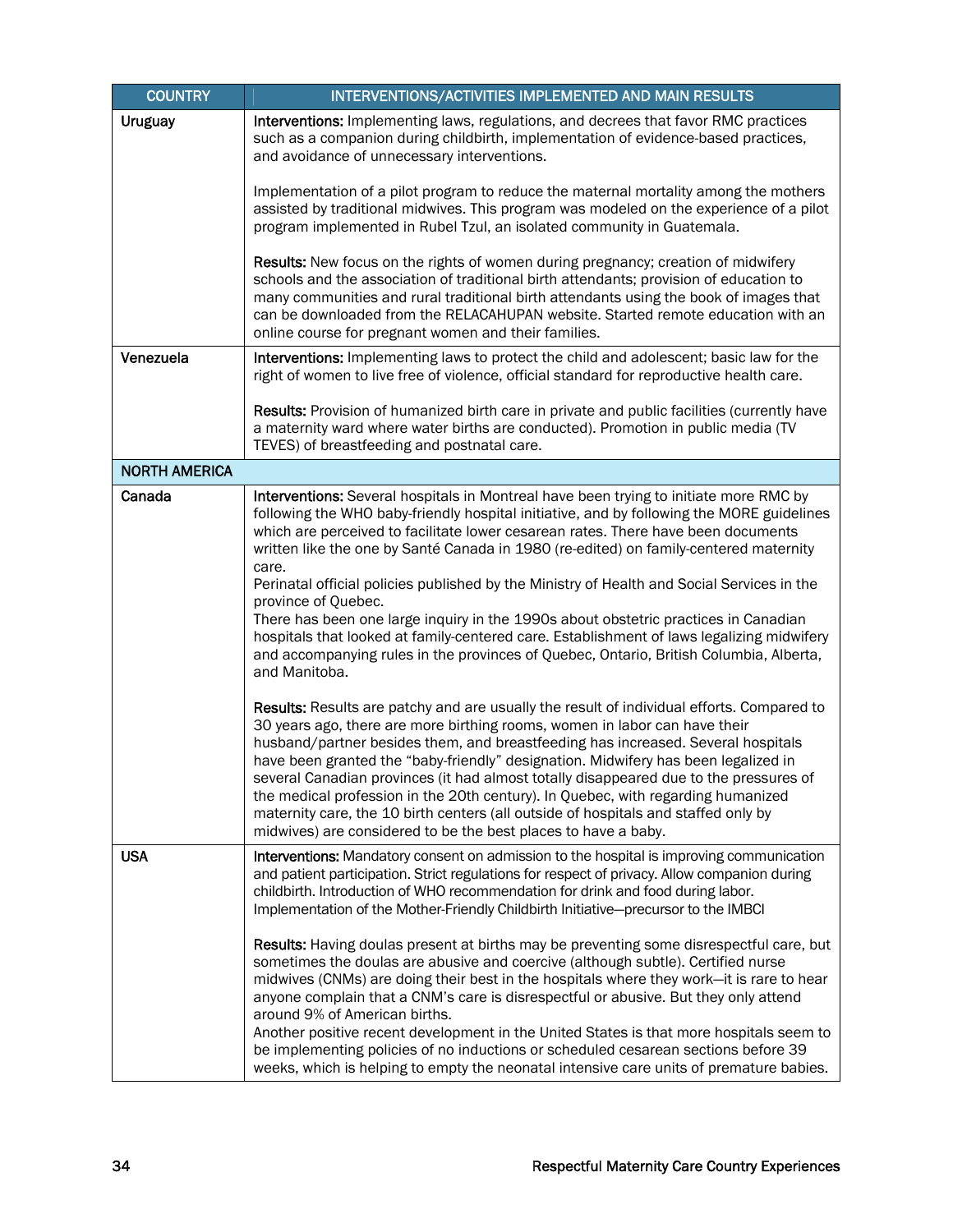| <b>COUNTRY</b>       | INTERVENTIONS/ACTIVITIES IMPLEMENTED AND MAIN RESULTS                                                                                                                                                                                                                                                                                                                                                                                                                                                                                                                                                                                                                                                                                                                                                                                                                                                                                                                                                                                                                                                                                                                                                                                                                                                                           |
|----------------------|---------------------------------------------------------------------------------------------------------------------------------------------------------------------------------------------------------------------------------------------------------------------------------------------------------------------------------------------------------------------------------------------------------------------------------------------------------------------------------------------------------------------------------------------------------------------------------------------------------------------------------------------------------------------------------------------------------------------------------------------------------------------------------------------------------------------------------------------------------------------------------------------------------------------------------------------------------------------------------------------------------------------------------------------------------------------------------------------------------------------------------------------------------------------------------------------------------------------------------------------------------------------------------------------------------------------------------|
| <b>Uruguay</b>       | Interventions: Implementing laws, regulations, and decrees that favor RMC practices<br>such as a companion during childbirth, implementation of evidence-based practices,<br>and avoidance of unnecessary interventions.                                                                                                                                                                                                                                                                                                                                                                                                                                                                                                                                                                                                                                                                                                                                                                                                                                                                                                                                                                                                                                                                                                        |
|                      | Implementation of a pilot program to reduce the maternal mortality among the mothers<br>assisted by traditional midwives. This program was modeled on the experience of a pilot<br>program implemented in Rubel Tzul, an isolated community in Guatemala.                                                                                                                                                                                                                                                                                                                                                                                                                                                                                                                                                                                                                                                                                                                                                                                                                                                                                                                                                                                                                                                                       |
|                      | Results: New focus on the rights of women during pregnancy; creation of midwifery<br>schools and the association of traditional birth attendants; provision of education to<br>many communities and rural traditional birth attendants using the book of images that<br>can be downloaded from the RELACAHUPAN website. Started remote education with an<br>online course for pregnant women and their families.                                                                                                                                                                                                                                                                                                                                                                                                                                                                                                                                                                                                                                                                                                                                                                                                                                                                                                                |
| Venezuela            | Interventions: Implementing laws to protect the child and adolescent; basic law for the<br>right of women to live free of violence, official standard for reproductive health care.                                                                                                                                                                                                                                                                                                                                                                                                                                                                                                                                                                                                                                                                                                                                                                                                                                                                                                                                                                                                                                                                                                                                             |
|                      | Results: Provision of humanized birth care in private and public facilities (currently have<br>a maternity ward where water births are conducted). Promotion in public media (TV<br>TEVES) of breastfeeding and postnatal care.                                                                                                                                                                                                                                                                                                                                                                                                                                                                                                                                                                                                                                                                                                                                                                                                                                                                                                                                                                                                                                                                                                 |
| <b>NORTH AMERICA</b> |                                                                                                                                                                                                                                                                                                                                                                                                                                                                                                                                                                                                                                                                                                                                                                                                                                                                                                                                                                                                                                                                                                                                                                                                                                                                                                                                 |
| Canada               | Interventions: Several hospitals in Montreal have been trying to initiate more RMC by<br>following the WHO baby-friendly hospital initiative, and by following the MORE guidelines<br>which are perceived to facilitate lower cesarean rates. There have been documents<br>written like the one by Santé Canada in 1980 (re-edited) on family-centered maternity<br>care.<br>Perinatal official policies published by the Ministry of Health and Social Services in the<br>province of Quebec.<br>There has been one large inquiry in the 1990s about obstetric practices in Canadian<br>hospitals that looked at family-centered care. Establishment of laws legalizing midwifery<br>and accompanying rules in the provinces of Quebec, Ontario, British Columbia, Alberta,<br>and Manitoba.<br>Results: Results are patchy and are usually the result of individual efforts. Compared to<br>30 years ago, there are more birthing rooms, women in labor can have their<br>husband/partner besides them, and breastfeeding has increased. Several hospitals<br>have been granted the "baby-friendly" designation. Midwifery has been legalized in<br>several Canadian provinces (it had almost totally disappeared due to the pressures of<br>the medical profession in the 20th century). In Quebec, with regarding humanized |
|                      | maternity care, the 10 birth centers (all outside of hospitals and staffed only by<br>midwives) are considered to be the best places to have a baby.                                                                                                                                                                                                                                                                                                                                                                                                                                                                                                                                                                                                                                                                                                                                                                                                                                                                                                                                                                                                                                                                                                                                                                            |
| <b>USA</b>           | <b>Interventions:</b> Mandatory consent on admission to the hospital is improving communication<br>and patient participation. Strict regulations for respect of privacy. Allow companion during<br>childbirth. Introduction of WHO recommendation for drink and food during labor.<br>Implementation of the Mother-Friendly Childbirth Initiative-precursor to the IMBCI                                                                                                                                                                                                                                                                                                                                                                                                                                                                                                                                                                                                                                                                                                                                                                                                                                                                                                                                                        |
|                      | Results: Having doulas present at births may be preventing some disrespectful care, but<br>sometimes the doulas are abusive and coercive (although subtle). Certified nurse<br>midwives (CNMs) are doing their best in the hospitals where they work-it is rare to hear<br>anyone complain that a CNM's care is disrespectful or abusive. But they only attend<br>around 9% of American births.<br>Another positive recent development in the United States is that more hospitals seem to<br>be implementing policies of no inductions or scheduled cesarean sections before 39<br>weeks, which is helping to empty the neonatal intensive care units of premature babies.                                                                                                                                                                                                                                                                                                                                                                                                                                                                                                                                                                                                                                                     |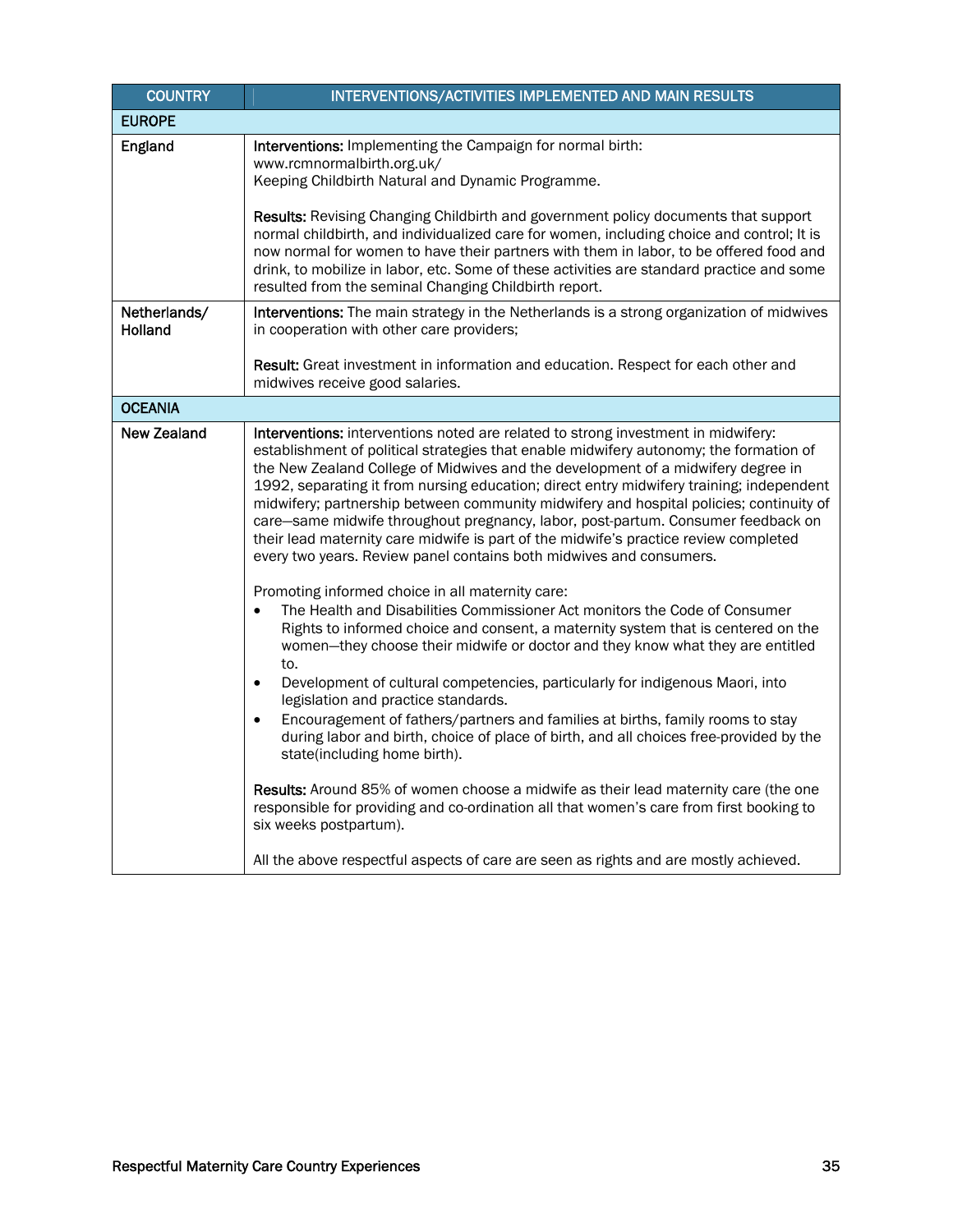| <b>COUNTRY</b>          | INTERVENTIONS/ACTIVITIES IMPLEMENTED AND MAIN RESULTS                                                                                                                                                                                                                                                                                                                                                                                                                                                                                                                                                                                                                                                                                                                                                                                                                                                                                                                                                                                                                                                                                                                                                                                                                                                                                                                                                                                                                                                                                                                                                                                                                                                           |
|-------------------------|-----------------------------------------------------------------------------------------------------------------------------------------------------------------------------------------------------------------------------------------------------------------------------------------------------------------------------------------------------------------------------------------------------------------------------------------------------------------------------------------------------------------------------------------------------------------------------------------------------------------------------------------------------------------------------------------------------------------------------------------------------------------------------------------------------------------------------------------------------------------------------------------------------------------------------------------------------------------------------------------------------------------------------------------------------------------------------------------------------------------------------------------------------------------------------------------------------------------------------------------------------------------------------------------------------------------------------------------------------------------------------------------------------------------------------------------------------------------------------------------------------------------------------------------------------------------------------------------------------------------------------------------------------------------------------------------------------------------|
| <b>EUROPE</b>           |                                                                                                                                                                                                                                                                                                                                                                                                                                                                                                                                                                                                                                                                                                                                                                                                                                                                                                                                                                                                                                                                                                                                                                                                                                                                                                                                                                                                                                                                                                                                                                                                                                                                                                                 |
| England                 | Interventions: Implementing the Campaign for normal birth:<br>www.rcmnormalbirth.org.uk/<br>Keeping Childbirth Natural and Dynamic Programme.                                                                                                                                                                                                                                                                                                                                                                                                                                                                                                                                                                                                                                                                                                                                                                                                                                                                                                                                                                                                                                                                                                                                                                                                                                                                                                                                                                                                                                                                                                                                                                   |
|                         | Results: Revising Changing Childbirth and government policy documents that support<br>normal childbirth, and individualized care for women, including choice and control; It is<br>now normal for women to have their partners with them in labor, to be offered food and<br>drink, to mobilize in labor, etc. Some of these activities are standard practice and some<br>resulted from the seminal Changing Childbirth report.                                                                                                                                                                                                                                                                                                                                                                                                                                                                                                                                                                                                                                                                                                                                                                                                                                                                                                                                                                                                                                                                                                                                                                                                                                                                                 |
| Netherlands/<br>Holland | Interventions: The main strategy in the Netherlands is a strong organization of midwives<br>in cooperation with other care providers;                                                                                                                                                                                                                                                                                                                                                                                                                                                                                                                                                                                                                                                                                                                                                                                                                                                                                                                                                                                                                                                                                                                                                                                                                                                                                                                                                                                                                                                                                                                                                                           |
|                         | Result: Great investment in information and education. Respect for each other and<br>midwives receive good salaries.                                                                                                                                                                                                                                                                                                                                                                                                                                                                                                                                                                                                                                                                                                                                                                                                                                                                                                                                                                                                                                                                                                                                                                                                                                                                                                                                                                                                                                                                                                                                                                                            |
| <b>OCEANIA</b>          |                                                                                                                                                                                                                                                                                                                                                                                                                                                                                                                                                                                                                                                                                                                                                                                                                                                                                                                                                                                                                                                                                                                                                                                                                                                                                                                                                                                                                                                                                                                                                                                                                                                                                                                 |
| <b>New Zealand</b>      | Interventions: interventions noted are related to strong investment in midwifery:<br>establishment of political strategies that enable midwifery autonomy; the formation of<br>the New Zealand College of Midwives and the development of a midwifery degree in<br>1992, separating it from nursing education; direct entry midwifery training; independent<br>midwifery; partnership between community midwifery and hospital policies; continuity of<br>care-same midwife throughout pregnancy, labor, post-partum. Consumer feedback on<br>their lead maternity care midwife is part of the midwife's practice review completed<br>every two years. Review panel contains both midwives and consumers.<br>Promoting informed choice in all maternity care:<br>The Health and Disabilities Commissioner Act monitors the Code of Consumer<br>$\bullet$<br>Rights to informed choice and consent, a maternity system that is centered on the<br>women-they choose their midwife or doctor and they know what they are entitled<br>to.<br>Development of cultural competencies, particularly for indigenous Maori, into<br>$\bullet$<br>legislation and practice standards.<br>Encouragement of fathers/partners and families at births, family rooms to stay<br>$\bullet$<br>during labor and birth, choice of place of birth, and all choices free-provided by the<br>state(including home birth).<br><b>Results:</b> Around 85% of women choose a midwife as their lead maternity care (the one<br>responsible for providing and co-ordination all that women's care from first booking to<br>six weeks postpartum).<br>All the above respectful aspects of care are seen as rights and are mostly achieved. |